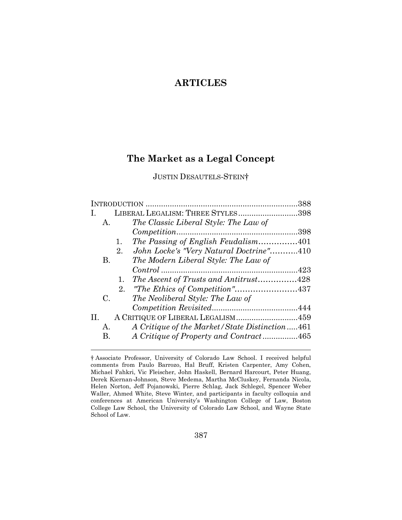# **ARTICLES**

# **The Market as a Legal Concept**

JUSTIN DESAUTELS-STEIN†

| Ι. |                | LIBERAL LEGALISM: THREE STYLES398             |  |
|----|----------------|-----------------------------------------------|--|
|    | А.             | The Classic Liberal Style: The Law of         |  |
|    |                |                                               |  |
|    |                | 1.                                            |  |
|    |                | John Locke's "Very Natural Doctrine"410<br>2. |  |
|    | <b>B.</b>      | The Modern Liberal Style: The Law of          |  |
|    |                |                                               |  |
|    |                | The Ascent of Trusts and Antitrust428<br>1.   |  |
|    |                |                                               |  |
|    | $\mathbf{C}$ . | The Neoliberal Style: The Law of              |  |
|    |                |                                               |  |
| Н. |                | A CRITIQUE OF LIBERAL LEGALISM459             |  |
|    | A.             | A Critique of the Market/State Distinction461 |  |
|    | В.             |                                               |  |
|    |                |                                               |  |

<sup>†</sup> Associate Professor, University of Colorado Law School. I received helpful comments from Paulo Barrozo, Hal Bruff, Kristen Carpenter, Amy Cohen, Michael Fahkri, Vic Fleischer, John Haskell, Bernard Harcourt, Peter Huang, Derek Kiernan-Johnson, Steve Medema, Martha McCluskey, Fernanda Nicola, Helen Norton, Jeff Pojanowski, Pierre Schlag, Jack Schlegel, Spencer Weber Waller, Ahmed White, Steve Winter, and participants in faculty colloquia and conferences at American University's Washington College of Law, Boston College Law School, the University of Colorado Law School, and Wayne State School of Law.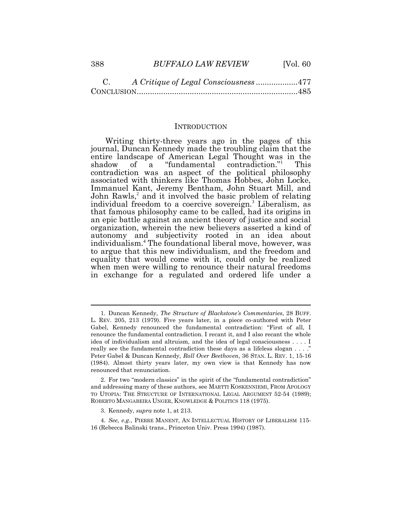#### INTRODUCTION

Writing thirty-three years ago in the pages of this journal, Duncan Kennedy made the troubling claim that the entire landscape of American Legal Thought was in the shadow of a "fundamental contradiction." This contradiction was an aspect of the political philosophy associated with thinkers like Thomas Hobbes, John Locke, Immanuel Kant, Jeremy Bentham, John Stuart Mill, and John Rawls,<sup>2</sup> and it involved the basic problem of relating individual freedom to a coercive sovereign.<sup>3</sup> Liberalism, as that famous philosophy came to be called, had its origins in an epic battle against an ancient theory of justice and social organization, wherein the new believers asserted a kind of autonomy and subjectivity rooted in an idea about individualism.<sup>4</sup> The foundational liberal move, however, was to argue that this new individualism, and the freedom and equality that would come with it, could only be realized when men were willing to renounce their natural freedoms in exchange for a regulated and ordered life under a

3. Kennedy, *supra* note 1, at 213.

<sup>1.</sup> Duncan Kennedy, *The Structure of Blackstone"s Commentaries*, 28 BUFF. L. REV. 205, 213 (1979). Five years later, in a piece co-authored with Peter Gabel, Kennedy renounced the fundamental contradiction: "First of all, I renounce the fundamental contradiction. I recant it, and I also recant the whole idea of individualism and altruism, and the idea of legal consciousness . . . . I really see the fundamental contradiction these days as a lifeless slogan . . . ." Peter Gabel & Duncan Kennedy, *Roll Over Beethoven*, 36 STAN. L. REV. 1, 15-16 (1984). Almost thirty years later, my own view is that Kennedy has now renounced that renunciation.

<sup>2.</sup> For two "modern classics" in the spirit of the "fundamental contradiction" and addressing many of these authors, see MARTTI KOSKENNIEMI, FROM APOLOGY TO UTOPIA: THE STRUCTURE OF INTERNATIONAL LEGAL ARGUMENT 52-54 (1989); ROBERTO MANGABEIRA UNGER, KNOWLEDGE & POLITICS 118 (1975).

<sup>4.</sup> *See, e.g.*, PIERRE MANENT, AN INTELLECTUAL HISTORY OF LIBERALISM 115- 16 (Rebecca Balinski trans., Princeton Univ. Press 1994) (1987).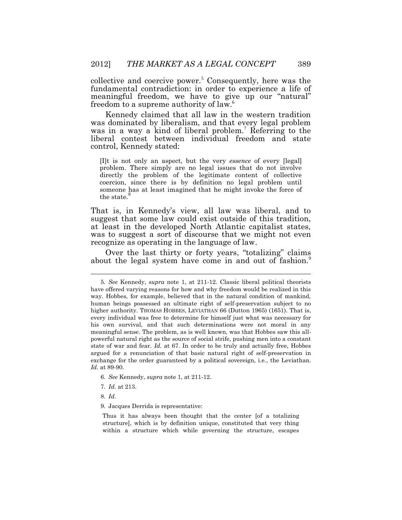collective and coercive power.<sup>5</sup> Consequently, here was the fundamental contradiction: in order to experience a life of meaningful freedom, we have to give up our "natural" freedom to a supreme authority of law.<sup>6</sup>

Kennedy claimed that all law in the western tradition was dominated by liberalism, and that every legal problem was in a way a kind of liberal problem.<sup>7</sup> Referring to the liberal contest between individual freedom and state control, Kennedy stated:

[I]t is not only an aspect, but the very *essence* of every [legal] problem. There simply are no legal issues that do not involve directly the problem of the legitimate content of collective coercion, since there is by definition no legal problem until someone has at least imagined that he might invoke the force of the state.<sup>8</sup>

That is, in Kennedy"s view, all law was liberal, and to suggest that some law could exist outside of this tradition, at least in the developed North Atlantic capitalist states, was to suggest a sort of discourse that we might not even recognize as operating in the language of law.

Over the last thirty or forty years, "totalizing" claims about the legal system have come in and out of fashion.<sup>9</sup>

- 6. *See* Kennedy, *supra* note 1, at 211-12.
- 7. *Id.* at 213.

8. *Id.*

9. Jacques Derrida is representative:

Thus it has always been thought that the center [of a totalizing structure], which is by definition unique, constituted that very thing within a structure which while governing the structure, escapes

<sup>5.</sup> *See* Kennedy, *supra* note 1, at 211-12. Classic liberal political theorists have offered varying reasons for how and why freedom would be realized in this way. Hobbes, for example, believed that in the natural condition of mankind, human beings possessed an ultimate right of self-preservation subject to no higher authority. THOMAS HOBBES, LEVIATHAN 66 (Dutton 1965) (1651). That is, every individual was free to determine for himself just what was necessary for his own survival, and that such determinations were not moral in any meaningful sense. The problem, as is well known, was that Hobbes saw this allpowerful natural right as the source of social strife, pushing men into a constant state of war and fear. *Id.* at 67. In order to be truly and actually free, Hobbes argued for a renunciation of that basic natural right of self-preservation in exchange for the order guaranteed by a political sovereign, i.e., the Leviathan. *Id.* at 89-90.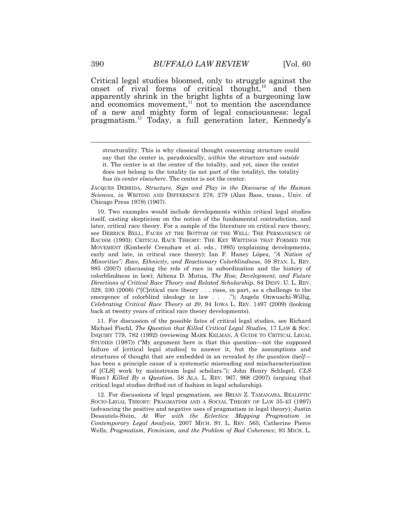Critical legal studies bloomed, only to struggle against the onset of rival forms of critical thought, $10^{\circ}$  and then apparently shrink in the bright lights of a burgeoning law and economics movement, $\frac{11}{11}$  not to mention the ascendance of a new and mighty form of legal consciousness: legal pragmatism.<sup>12</sup> Today, a full generation later, Kennedy's

JACQUES DERRIDA, *Structure, Sign and Play in the Discourse of the Human Sciences*, *in* WRITING AND DIFFERENCE 278, 279 (Alan Bass, trans., Univ. of Chicago Press 1978) (1967).

10. Two examples would include developments within critical legal studies itself, casting skepticism on the notion of the fundamental contradiction, and later, critical race theory. For a sample of the literature on critical race theory, see DERRICK BELL, FACES AT THE BOTTOM OF THE WELL: THE PERMANENCE OF RACISM (1993); CRITICAL RACE THEORY: THE KEY WRITINGS THAT FORMED THE MOVEMENT (Kimberlé Crenshaw et al. eds., 1995) (explaining developments, early and late, in critical race theory); Ian F. Haney López, *"A Nation of Minorities": Race, Ethnicity, and Reactionary Colorblindness*, 59 STAN. L. REV. 985 (2007) (discussing the role of race in subordination and the history of colorblindness in law); Athena D. Mutua, *The Rise, Development, and Future Directions of Critical Race Theory and Related Scholarship*, 84 DENV. U. L. REV. 329, 330 (2006) ("[C]ritical race theory . . . rises, in part, as a challenge to the emergence of colorblind ideology in law . . . ."); Angela Onwuachi-Willig, *Celebrating Critical Race Theory at 20*, 94 IOWA L. REV. 1497 (2009) (looking back at twenty years of critical race theory developments).

11. For discussion of the possible fates of critical legal studies, see Richard Michael Fischl, *The Question that Killed Critical Legal Studies*, 17 LAW & SOC. INQUIRY 779, 782 (1992) (reviewing MARK KELMAN, A GUIDE TO CRITICAL LEGAL STUDIES (1987)) ("My argument here is that this question—not the supposed failure of [critical legal studies] to answer it, but the assumptions and structures of thought that are embedded in an revealed *by the question itself* has been a principle cause of a systematic misreading and mischaracterization of [CLS] work by mainstream legal scholars."); John Henry Schlegel, *CLS Wasn"t Killed By a Question*, 58 ALA. L. REV. 967, 968 (2007) (arguing that critical legal studies drifted out of fashion in legal scholarship).

12. For discussions of legal pragmatism, see BRIAN Z. TAMANAHA, REALISTIC SOCIO-LEGAL THEORY: PRAGMATISM AND A SOCIAL THEORY OF LAW 35-43 (1997) (advancing the positive and negative uses of pragmatism in legal theory); Justin Desautels-Stein, *At War with the Eclectics: Mapping Pragmatism in Contemporary Legal Analysis*, 2007 MICH. ST. L. REV. 565; Catherine Pierce Wells, *Pragmatism, Feminism, and the Problem of Bad Coherence*, 93 MICH. L.

structurality. This is why classical thought concerning structure could say that the center is, paradoxically, *within* the structure and *outside* it. The center is at the center of the totality, and yet, since the center does not belong to the totality (is not part of the totality), the totality *has its center elsewhere*. The center is not the center.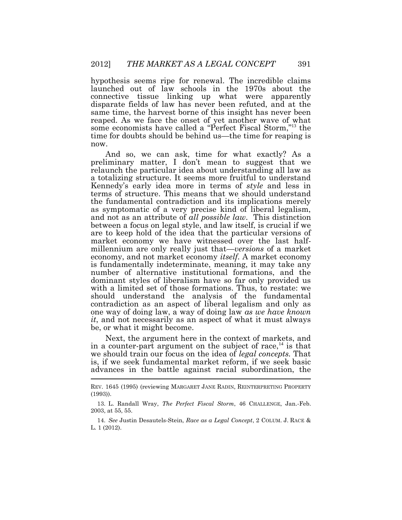hypothesis seems ripe for renewal. The incredible claims launched out of law schools in the 1970s about the connective tissue linking up what were apparently disparate fields of law has never been refuted, and at the same time, the harvest borne of this insight has never been reaped. As we face the onset of yet another wave of what some economists have called a "Perfect Fiscal Storm,"<sup>13</sup> the time for doubts should be behind us—the time for reaping is now.

And so, we can ask, time for what exactly? As a preliminary matter, I don't mean to suggest that we relaunch the particular idea about understanding all law as a totalizing structure. It seems more fruitful to understand Kennedy"s early idea more in terms of *style* and less in terms of structure. This means that we should understand the fundamental contradiction and its implications merely as symptomatic of a very precise kind of liberal legalism, and not as an attribute of *all possible law*. This distinction between a focus on legal style, and law itself, is crucial if we are to keep hold of the idea that the particular versions of market economy we have witnessed over the last halfmillennium are only really just that—*versions* of a market economy, and not market economy *itself.* A market economy is fundamentally indeterminate, meaning, it may take any number of alternative institutional formations, and the dominant styles of liberalism have so far only provided us with a limited set of those formations. Thus, to restate: we should understand the analysis of the fundamental contradiction as an aspect of liberal legalism and only as one way of doing law, a way of doing law *as we have known it*, and not necessarily as an aspect of what it must always be, or what it might become.

Next, the argument here in the context of markets, and in a counter-part argument on the subject of race,  $^{14}$  is that we should train our focus on the idea of *legal concepts.* That is, if we seek fundamental market reform, if we seek basic advances in the battle against racial subordination, the

REV. 1645 (1995) (reviewing MARGARET JANE RADIN, REINTERPRETING PROPERTY (1993)).

<sup>13.</sup> L. Randall Wray, *The Perfect Fiscal Storm*, 46 CHALLENGE, Jan.-Feb. 2003, at 55, 55.

<sup>14.</sup> *See* Justin Desautels-Stein, *Race as a Legal Concept*, 2 COLUM. J. RACE & L. 1 (2012).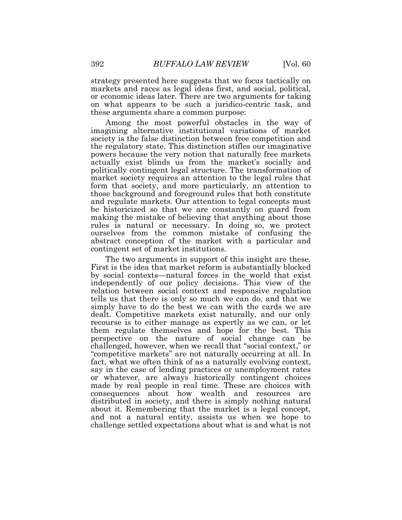strategy presented here suggests that we focus tactically on markets and races as legal ideas first, and social, political, or economic ideas later. There are two arguments for taking on what appears to be such a juridico-centric task, and these arguments share a common purpose:

Among the most powerful obstacles in the way of imagining alternative institutional variations of market society is the false distinction between free competition and the regulatory state. This distinction stifles our imaginative powers because the very notion that naturally free markets actually exist blinds us from the market's socially and politically contingent legal structure. The transformation of market society requires an attention to the legal rules that form that society, and more particularly, an attention to those background and foreground rules that both constitute and regulate markets. Our attention to legal concepts must be historicized so that we are constantly on guard from making the mistake of believing that anything about those rules is natural or necessary. In doing so, we protect ourselves from the common mistake of confusing the abstract conception of the market with a particular and contingent set of market institutions.

The two arguments in support of this insight are these. First is the idea that market reform is substantially blocked by social contexts—natural forces in the world that exist independently of our policy decisions. This view of the relation between social context and responsive regulation tells us that there is only so much we can do, and that we simply have to do the best we can with the cards we are dealt. Competitive markets exist naturally, and our only recourse is to either manage as expertly as we can, or let them regulate themselves and hope for the best. This perspective on the nature of social change can be challenged, however, when we recall that "social context," or "competitive markets" are not naturally occurring at all. In fact, what we often think of as a naturally evolving context, say in the case of lending practices or unemployment rates or whatever, are always historically contingent choices made by real people in real time. These are choices with consequences about how wealth and resources are distributed in society, and there is simply nothing natural about it. Remembering that the market is a legal concept, and not a natural entity, assists us when we hope to challenge settled expectations about what is and what is not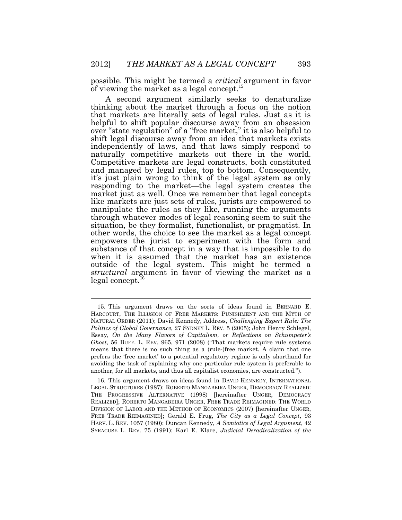possible. This might be termed a *critical* argument in favor of viewing the market as a legal concept.<sup>15</sup>

A second argument similarly seeks to denaturalize thinking about the market through a focus on the notion that markets are literally sets of legal rules. Just as it is helpful to shift popular discourse away from an obsession over "state regulation" of a "free market," it is also helpful to shift legal discourse away from an idea that markets exists independently of laws, and that laws simply respond to naturally competitive markets out there in the world. Competitive markets are legal constructs, both constituted and managed by legal rules, top to bottom. Consequently, it"s just plain wrong to think of the legal system as only responding to the market—the legal system creates the market just as well. Once we remember that legal concepts like markets are just sets of rules, jurists are empowered to manipulate the rules as they like, running the arguments through whatever modes of legal reasoning seem to suit the situation, be they formalist, functionalist, or pragmatist. In other words, the choice to see the market as a legal concept empowers the jurist to experiment with the form and substance of that concept in a way that is impossible to do when it is assumed that the market has an existence outside of the legal system. This might be termed a *structural* argument in favor of viewing the market as a legal concept.<sup>16</sup>

<sup>15.</sup> This argument draws on the sorts of ideas found in BERNARD E. HARCOURT, THE ILLUSION OF FREE MARKETS: PUNISHMENT AND THE MYTH OF NATURAL ORDER (2011); David Kennedy, Address, *Challenging Expert Rule: The Politics of Global Governance*, 27 SYDNEY L. REV. 5 (2005); John Henry Schlegel, Essay, *On the Many Flavors of Capitalism, or Reflections on Schumpeter"s Ghost*, 56 BUFF. L. REV. 965, 971 (2008) ("That markets require rule systems means that there is no such thing as a (rule-)free market. A claim that one prefers the "free market" to a potential regulatory regime is only shorthand for avoiding the task of explaining why one particular rule system is preferable to another, for all markets, and thus all capitalist economies, are constructed.").

<sup>16.</sup> This argument draws on ideas found in DAVID KENNEDY, INTERNATIONAL LEGAL STRUCTURES (1987); ROBERTO MANGABEIRA UNGER, DEMOCRACY REALIZED: THE PROGRESSIVE ALTERNATIVE (1998) [hereinafter UNGER, DEMOCRACY REALIZED]; ROBERTO MANGABEIRA UNGER, FREE TRADE REIMAGINED: THE WORLD DIVISION OF LABOR AND THE METHOD OF ECONOMICS (2007) [hereinafter UNGER, FREE TRADE REIMAGINED]; Gerald E. Frug, *The City as a Legal Concept*, 93 HARV. L. REV. 1057 (1980); Duncan Kennedy, *A Semiotics of Legal Argument*, 42 SYRACUSE L. REV. 75 (1991); Karl E. Klare, *Judicial Deradicalization of the*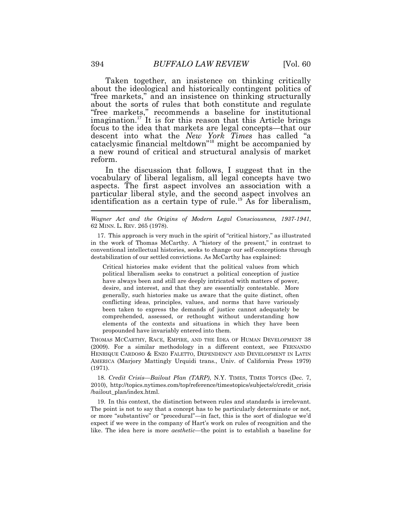Taken together, an insistence on thinking critically about the ideological and historically contingent politics of "free markets," and an insistence on thinking structurally about the sorts of rules that both constitute and regulate "free markets," recommends a baseline for institutional imagination.<sup>17</sup> It is for this reason that this Article brings focus to the idea that markets are legal concepts—that our descent into what the *New York Times* has called "a cataclysmic financial meltdown"<sup>18</sup> might be accompanied by a new round of critical and structural analysis of market reform.

In the discussion that follows, I suggest that in the vocabulary of liberal legalism, all legal concepts have two aspects. The first aspect involves an association with a particular liberal style, and the second aspect involves an identification as a certain type of rule.<sup>19</sup> As for liberalism,

*Wagner Act and the Origins of Modern Legal Consciousness, 1937-1941*, 62 MINN. L. REV. 265 (1978).

17. This approach is very much in the spirit of "critical history," as illustrated in the work of Thomas McCarthy. A "history of the present," in contrast to conventional intellectual histories, seeks to change our self-conceptions through destabilization of our settled convictions. As McCarthy has explained:

Critical histories make evident that the political values from which political liberalism seeks to construct a political conception of justice have always been and still are deeply intricated with matters of power, desire, and interest, and that they are essentially contestable. More generally, such histories make us aware that the quite distinct, often conflicting ideas, principles, values, and norms that have variously been taken to express the demands of justice cannot adequately be comprehended, assessed, or rethought without understanding how elements of the contexts and situations in which they have been propounded have invariably entered into them.

THOMAS MCCARTHY, RACE, EMPIRE, AND THE IDEA OF HUMAN DEVELOPMENT 38 (2009). For a similar methodology in a different context, see FERNANDO HENRIQUE CARDOSO & ENZO FALETTO, DEPENDENCY AND DEVELOPMENT IN LATIN AMERICA (Marjory Mattingly Urquidi trans., Univ. of California Press 1979) (1971).

18. *Credit Crisis—Bailout Plan (TARP)*, N.Y. TIMES, TIMES TOPICS (Dec. 7, 2010), http://topics.nytimes.com/top/reference/timestopics/subjects/c/credit\_crisis /bailout\_plan/index.html.

19. In this context, the distinction between rules and standards is irrelevant. The point is not to say that a concept has to be particularly determinate or not, or more "substantive" or "procedural"—in fact, this is the sort of dialogue we"d expect if we were in the company of Hart"s work on rules of recognition and the like. The idea here is more *aesthetic*—the point is to establish a baseline for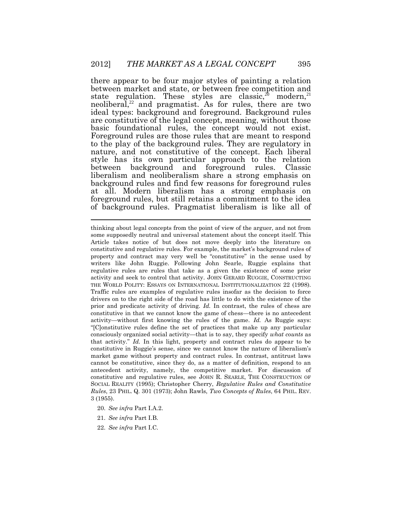there appear to be four major styles of painting a relation between market and state, or between free competition and state regulation. These styles are classic,<sup>20</sup> modern,<sup>21</sup> neoliberal, $^{22}$  and pragmatist. As for rules, there are two ideal types: background and foreground. Background rules are constitutive of the legal concept, meaning, without those basic foundational rules, the concept would not exist. Foreground rules are those rules that are meant to respond to the play of the background rules. They are regulatory in nature, and not constitutive of the concept. Each liberal style has its own particular approach to the relation between background and foreground rules. Classic liberalism and neoliberalism share a strong emphasis on background rules and find few reasons for foreground rules at all. Modern liberalism has a strong emphasis on foreground rules, but still retains a commitment to the idea of background rules. Pragmatist liberalism is like all of

thinking about legal concepts from the point of view of the arguer, and not from some supposedly neutral and universal statement about the concept itself. This Article takes notice of but does not move deeply into the literature on constitutive and regulative rules. For example, the market"s background rules of property and contract may very well be "constitutive" in the sense used by writers like John Ruggie. Following John Searle, Ruggie explains that regulative rules are rules that take as a given the existence of some prior activity and seek to control that activity. JOHN GERARD RUGGIE, CONSTRUCTING THE WORLD POLITY: ESSAYS ON INTERNATIONAL INSTITUTIONALIZATION 22 (1998). Traffic rules are examples of regulative rules insofar as the decision to force drivers on to the right side of the road has little to do with the existence of the prior and predicate activity of driving. *Id.* In contrast, the rules of chess are constitutive in that we cannot know the game of chess—there is no antecedent activity—without first knowing the rules of the game. *Id.* As Ruggie says: "[C]onstitutive rules define the set of practices that make up any particular consciously organized social activity—that is to say, they specify *what counts* as that activity." *Id.* In this light, property and contract rules do appear to be constitutive in Ruggie's sense, since we cannot know the nature of liberalism's market game without property and contract rules. In contrast, antitrust laws cannot be constitutive, since they do, as a matter of definition, respond to an antecedent activity, namely, the competitive market. For discussion of constitutive and regulative rules, see JOHN R. SEARLE, THE CONSTRUCTION OF SOCIAL REALITY (1995); Christopher Cherry, *Regulative Rules and Constitutive Rules*, 23 PHIL. Q. 301 (1973); John Rawls, *Two Concepts of Rules*, 64 PHIL. REV. 3 (1955).

- 20. *See infra* Part I.A.2.
- 21. *See infra* Part I.B.
- 22. *See infra* Part I.C.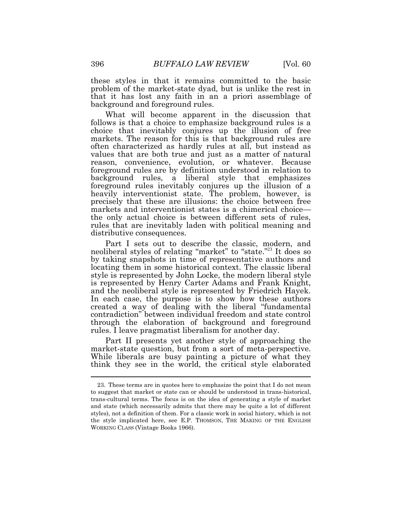these styles in that it remains committed to the basic problem of the market-state dyad, but is unlike the rest in that it has lost any faith in an a priori assemblage of background and foreground rules.

What will become apparent in the discussion that follows is that a choice to emphasize background rules is a choice that inevitably conjures up the illusion of free markets. The reason for this is that background rules are often characterized as hardly rules at all, but instead as values that are both true and just as a matter of natural reason, convenience, evolution, or whatever. Because foreground rules are by definition understood in relation to background rules, a liberal style that emphasizes foreground rules inevitably conjures up the illusion of a heavily interventionist state. The problem, however, is precisely that these are illusions: the choice between free markets and interventionist states is a chimerical choice the only actual choice is between different sets of rules, rules that are inevitably laden with political meaning and distributive consequences.

Part I sets out to describe the classic, modern, and neoliberal styles of relating "market" to "state." <sup>23</sup> It does so by taking snapshots in time of representative authors and locating them in some historical context. The classic liberal style is represented by John Locke, the modern liberal style is represented by Henry Carter Adams and Frank Knight, and the neoliberal style is represented by Friedrich Hayek. In each case, the purpose is to show how these authors created a way of dealing with the liberal "fundamental contradiction" between individual freedom and state control through the elaboration of background and foreground rules. I leave pragmatist liberalism for another day.

Part II presents yet another style of approaching the market-state question, but from a sort of meta-perspective. While liberals are busy painting a picture of what they think they see in the world, the critical style elaborated

<sup>23.</sup> These terms are in quotes here to emphasize the point that I do not mean to suggest that market or state can or should be understood in trans-historical, trans-cultural terms. The focus is on the idea of generating a style of market and state (which necessarily admits that there may be quite a lot of different styles), not a definition of them. For a classic work in social history, which is not the style implicated here, see E.P. THOMSON, THE MAKING OF THE ENGLISH WORKING CLASS (Vintage Books 1966).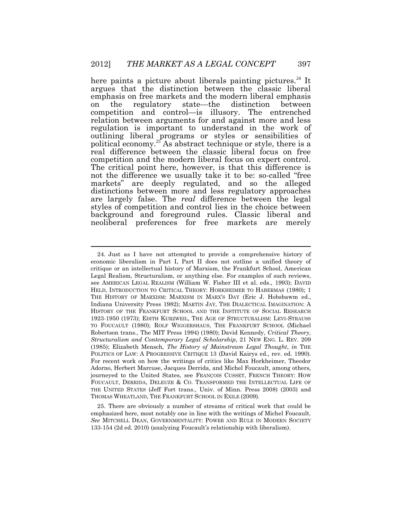here paints a picture about liberals painting pictures.<sup>24</sup> It argues that the distinction between the classic liberal emphasis on free markets and the modern liberal emphasis on the regulatory state—the distinction between competition and control—is illusory. The entrenched relation between arguments for and against more and less regulation is important to understand in the work of outlining liberal programs or styles or sensibilities of political economy.<sup>25</sup> As abstract technique or style, there is a real difference between the classic liberal focus on free competition and the modern liberal focus on expert control. The critical point here, however, is that this difference is not the difference we usually take it to be: so-called "free markets" are deeply regulated, and so the alleged distinctions between more and less regulatory approaches are largely false. The *real* difference between the legal styles of competition and control lies in the choice between background and foreground rules. Classic liberal and neoliberal preferences for free markets are merely

<sup>24.</sup> Just as I have not attempted to provide a comprehensive history of economic liberalism in Part I, Part II does not outline a unified theory of critique or an intellectual history of Marxism, the Frankfurt School, American Legal Realism, Structuralism, or anything else. For examples of such reviews, see AMERICAN LEGAL REALISM (William W. Fisher III et al. eds., 1993); DAVID HELD, INTRODUCTION TO CRITICAL THEORY: HORKHEIMER TO HABERMAS (1980); 1 THE HISTORY OF MARXISM: MARXISM IN MARX'S DAY (Eric J. Hobsbawm ed., Indiana University Press 1982); MARTIN JAY, THE DIALECTICAL IMAGINATION: A HISTORY OF THE FRANKFURT SCHOOL AND THE INSTITUTE OF SOCIAL RESEARCH 1923-1950 (1973); EDITH KURZWEIL, THE AGE OF STRUCTURALISM: LEVI-STRAUSS TO FOUCAULT (1980); ROLF WIGGERSHAUS, THE FRANKFURT SCHOOL (Michael Robertson trans., The MIT Press 1994) (1980); David Kennedy, *Critical Theory, Structuralism and Contemporary Legal Scholarship*, 21 NEW ENG. L. REV. 209 (1985); Elizabeth Mensch, *The History of Mainstream Legal Thought*, *in* THE POLITICS OF LAW: A PROGRESSIVE CRITIQUE 13 (David Kairys ed., rev. ed. 1990). For recent work on how the writings of critics like Max Horkheimer, Theodor Adorno, Herbert Marcuse, Jacques Derrida, and Michel Foucault, among others, journeyed to the United States, see FRANÇOIS CUSSET, FRENCH THEORY: HOW FOUCAULT, DERRIDA, DELEUZE & CO. TRANSFORMED THE INTELLECTUAL LIFE OF THE UNITED STATES (Jeff Fort trans., Univ. of Minn. Press 2008) (2003) and THOMAS WHEATLAND, THE FRANKFURT SCHOOL IN EXILE (2009).

<sup>25.</sup> There are obviously a number of streams of critical work that could be emphasized here, most notably one in line with the writings of Michel Foucault. *See* MITCHELL DEAN, GOVERNMENTALITY: POWER AND RULE IN MODERN SOCIETY 133-154 (2d ed. 2010) (analyzing Foucault"s relationship with liberalism).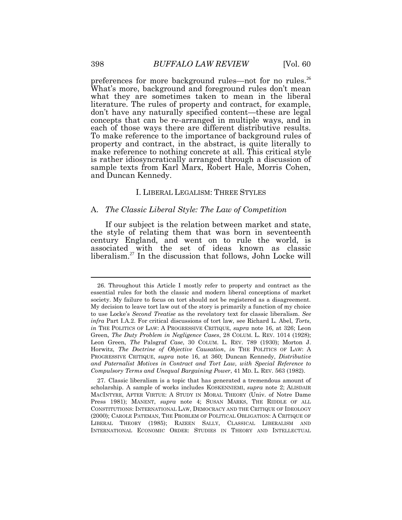preferences for more background rules—not for no rules.<sup>26</sup> What's more, background and foreground rules don't mean what they are sometimes taken to mean in the liberal literature. The rules of property and contract, for example, don"t have any naturally specified content—these are legal concepts that can be re-arranged in multiple ways, and in each of those ways there are different distributive results. To make reference to the importance of background rules of property and contract, in the abstract, is quite literally to make reference to nothing concrete at all. This critical style is rather idiosyncratically arranged through a discussion of sample texts from Karl Marx, Robert Hale, Morris Cohen, and Duncan Kennedy.

## I. LIBERAL LEGALISM: THREE STYLES

### A. *The Classic Liberal Style: The Law of Competition*

If our subject is the relation between market and state, the style of relating them that was born in seventeenth century England, and went on to rule the world, is associated with the set of ideas known as classic liberalism.<sup>27</sup> In the discussion that follows, John Locke will

<sup>26.</sup> Throughout this Article I mostly refer to property and contract as the essential rules for both the classic and modern liberal conceptions of market society. My failure to focus on tort should not be registered as a disagreement. My decision to leave tort law out of the story is primarily a function of my choice to use Locke"s *Second Treatise* as the revelatory text for classic liberalism. *See infra* Part I.A.2. For critical discussions of tort law, see Richard L. Abel, *Torts*, *in* THE POLITICS OF LAW: A PROGRESSIVE CRITIQUE, *supra* note 16, at 326; Leon Green, *The Duty Problem in Negligence Cases*, 28 COLUM. L. REV. 1014 (1928); Leon Green, *The* Palsgraf *Case*, 30 COLUM. L. REV. 789 (1930); Morton J. Horwitz, *The Doctrine of Objective Causation*, *in* THE POLITICS OF LAW: A PROGRESSIVE CRITIQUE, *supra* note 16, at 360; Duncan Kennedy, *Distributive and Paternalist Motives in Contract and Tort Law, with Special Reference to Compulsory Terms and Unequal Bargaining Power*, 41 MD. L. REV. 563 (1982).

<sup>27.</sup> Classic liberalism is a topic that has generated a tremendous amount of scholarship. A sample of works includes KOSKENNIEMI, *supra* note 2; ALISDAIR MACINTYRE, AFTER VIRTUE: A STUDY IN MORAL THEORY (Univ. of Notre Dame Press 1981); MANENT, *supra* note 4; SUSAN MARKS, THE RIDDLE OF ALL CONSTITUTIONS: INTERNATIONAL LAW, DEMOCRACY AND THE CRITIQUE OF IDEOLOGY (2000); CAROLE PATEMAN, THE PROBLEM OF POLITICAL OBLIGATION: A CRITIQUE OF LIBERAL THEORY (1985); RAZEEN SALLY, CLASSICAL LIBERALISM AND INTERNATIONAL ECONOMIC ORDER: STUDIES IN THEORY AND INTELLECTUAL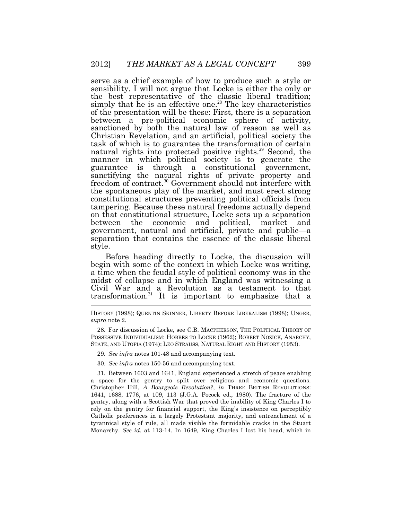serve as a chief example of how to produce such a style or sensibility. I will not argue that Locke is either the only or the best representative of the classic liberal tradition; simply that he is an effective one.<sup>28</sup> The key characteristics of the presentation will be these: First, there is a separation between a pre-political economic sphere of activity, sanctioned by both the natural law of reason as well as Christian Revelation, and an artificial, political society the task of which is to guarantee the transformation of certain natural rights into protected positive rights.<sup>29</sup> Second, the manner in which political society is to generate the guarantee is through a constitutional government, sanctifying the natural rights of private property and freedom of contract.<sup>30</sup> Government should not interfere with the spontaneous play of the market, and must erect strong constitutional structures preventing political officials from tampering. Because these natural freedoms actually depend on that constitutional structure, Locke sets up a separation between the economic and political, market and government, natural and artificial, private and public—a separation that contains the essence of the classic liberal style.

Before heading directly to Locke, the discussion will begin with some of the context in which Locke was writing, a time when the feudal style of political economy was in the midst of collapse and in which England was witnessing a Civil War and a Revolution as a testament to that transformation.<sup>31</sup> It is important to emphasize that a

- 29. *See infra* notes 101-48 and accompanying text.
- 30. *See infra* notes 150-56 and accompanying text.

31. Between 1603 and 1641, England experienced a stretch of peace enabling a space for the gentry to split over religious and economic questions. Christopher Hill, *A Bourgeois Revolution?*, *in* THREE BRITISH REVOLUTIONS: 1641, 1688, 1776, at 109, 113 (J.G.A. Pocock ed., 1980). The fracture of the gentry, along with a Scottish War that proved the inability of King Charles I to rely on the gentry for financial support, the King"s insistence on perceptibly Catholic preferences in a largely Protestant majority, and entrenchment of a tyrannical style of rule, all made visible the formidable cracks in the Stuart Monarchy. *See id.* at 113-14. In 1649, King Charles I lost his head, which in

HISTORY (1998); QUENTIN SKINNER, LIBERTY BEFORE LIBERALISM (1998); UNGER, *supra* note 2.

<sup>28.</sup> For discussion of Locke, see C.B. MACPHERSON, THE POLITICAL THEORY OF POSSESSIVE INDIVIDUALISM: HOBBES TO LOCKE (1962); ROBERT NOZICK, ANARCHY, STATE, AND UTOPIA (1974); LEO STRAUSS, NATURAL RIGHT AND HISTORY (1953).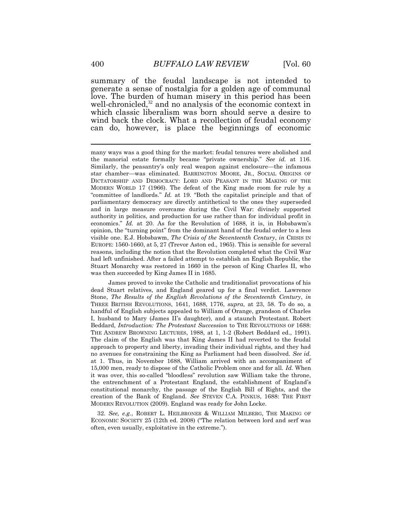summary of the feudal landscape is not intended to generate a sense of nostalgia for a golden age of communal love. The burden of human misery in this period has been well-chronicled, $32$  and no analysis of the economic context in which classic liberalism was born should serve a desire to wind back the clock. What a recollection of feudal economy can do, however, is place the beginnings of economic

James proved to invoke the Catholic and traditionalist provocations of his dead Stuart relatives, and England geared up for a final verdict. Lawrence Stone, *The Results of the English Revolutions of the Seventeenth Century*, *in* THREE BRITISH REVOLUTIONS, 1641, 1688, 1776, *supra*, at 23, 58. To do so, a handful of English subjects appealed to William of Orange, grandson of Charles I, husband to Mary (James II"s daughter), and a staunch Protestant. Robert Beddard, *Introduction: The Protestant Succession* to THE REVOLUTIONS OF 1688: THE ANDREW BROWNING LECTURES, 1988, at 1, 1-2 (Robert Beddard ed., 1991). The claim of the English was that King James II had reverted to the feudal approach to property and liberty, invading their individual rights, and they had no avenues for constraining the King as Parliament had been dissolved. *See id.*  at 1. Thus, in November 1688, William arrived with an accompaniment of 15,000 men, ready to dispose of the Catholic Problem once and for all. *Id.* When it was over, this so-called "bloodless" revolution saw William take the throne, the entrenchment of a Protestant England, the establishment of England"s constitutional monarchy, the passage of the English Bill of Rights, and the creation of the Bank of England. *See* STEVEN C.A. PINKUS, 1688: THE FIRST MODERN REVOLUTION (2009). England was ready for John Locke.

32. *See, e.g.*, ROBERT L. HEILBRONER & WILLIAM MILBERG, THE MAKING OF ECONOMIC SOCIETY 25 (12th ed. 2008) ("The relation between lord and serf was often, even usually, exploitative in the extreme.").

many ways was a good thing for the market: feudal tenures were abolished and the manorial estate formally became "private ownership." *See id.* at 116. Similarly, the peasantry's only real weapon against enclosure—the infamous star chamber—was eliminated. BARRINGTON MOORE, JR., SOCIAL ORIGINS OF DICTATORSHIP AND DEMOCRACY: LORD AND PEASANT IN THE MAKING OF THE MODERN WORLD 17 (1966). The defeat of the King made room for rule by a "committee of landlords." *Id.* at 19. "Both the capitalist principle and that of parliamentary democracy are directly antithetical to the ones they superseded and in large measure overcame during the Civil War: divinely supported authority in politics, and production for use rather than for individual profit in economics." *Id.* at 20. As for the Revolution of 1688, it is, in Hobsbawm's opinion, the "turning point" from the dominant hand of the feudal order to a less visible one. E.J. Hobsbawm, *The Crisis of the Seventeenth Century*, *in* CRISIS IN EUROPE: 1560-1660, at 5, 27 (Trevor Aston ed., 1965). This is sensible for several reasons, including the notion that the Revolution completed what the Civil War had left unfinished. After a failed attempt to establish an English Republic, the Stuart Monarchy was restored in 1660 in the person of King Charles II, who was then succeeded by King James II in 1685.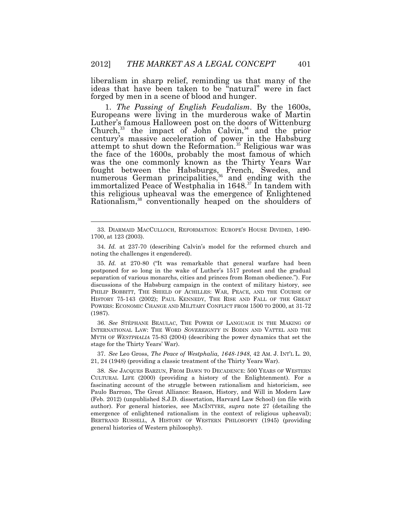liberalism in sharp relief, reminding us that many of the ideas that have been taken to be "natural" were in fact forged by men in a scene of blood and hunger.

1. *The Passing of English Feudalism.* By the 1600s, Europeans were living in the murderous wake of Martin Luther"s famous Halloween post on the doors of Wittenburg Church,<sup>33</sup> the impact of  $\bar{J}$ ohn Calvin,<sup>34</sup> and the prior century"s massive acceleration of power in the Habsburg attempt to shut down the Reformation.<sup>35</sup> Religious war was the face of the 1600s, probably the most famous of which was the one commonly known as the Thirty Years War fought between the Habsburgs, French, Swedes, and numerous German principalities,<sup>36</sup> and ending with the immortalized Peace of Westphalia in 1648.<sup>37</sup> In tandem with this religious upheaval was the emergence of Enlightened Rationalism,<sup>38</sup> conventionally heaped on the shoulders of

35. *Id.* at 270-80 ("It was remarkable that general warfare had been postponed for so long in the wake of Luther"s 1517 protest and the gradual separation of various monarchs, cities and princes from Roman obedience."). For discussions of the Habsburg campaign in the context of military history, see PHILIP BOBBITT, THE SHIELD OF ACHILLES: WAR, PEACE, AND THE COURSE OF HISTORY 75-143 (2002); PAUL KENNEDY, THE RISE AND FALL OF THE GREAT POWERS: ECONOMIC CHANGE AND MILITARY CONFLICT FROM 1500 TO 2000, at 31-72 (1987).

36. *See* STÉPHANE BEAULAC, THE POWER OF LANGUAGE IN THE MAKING OF INTERNATIONAL LAW: THE WORD *SOVEREIGNTY* IN BODIN AND VATTEL AND THE MYTH OF *WESTPHALIA* 75-83 (2004) (describing the power dynamics that set the stage for the Thirty Years' War).

37. *See* Leo Gross, *The Peace of Westphalia, 1648-1948*, 42 AM. J. INT"L L. 20, 21, 24 (1948) (providing a classic treatment of the Thirty Years War).

38. *See* JACQUES BARZUN, FROM DAWN TO DECADENCE: 500 YEARS OF WESTERN CULTURAL LIFE (2000) (providing a history of the Enlightenment). For a fascinating account of the struggle between rationalism and historicism, see Paulo Barrozo, The Great Alliance: Reason, History, and Will in Modern Law (Feb. 2012) (unpublished S.J.D. dissertation, Harvard Law School) (on file with author). For general histories, see MACINTYRE, *supra* note 27 (detailing the emergence of enlightened rationalism in the context of religious upheaval); BERTRAND RUSSELL, A HISTORY OF WESTERN PHILOSOPHY (1945) (providing general histories of Western philosophy).

<sup>33.</sup> DIARMAID MACCULLOCH, REFORMATION: EUROPE"S HOUSE DIVIDED, 1490- 1700, at 123 (2003).

<sup>34.</sup> *Id.* at 237-70 (describing Calvin"s model for the reformed church and noting the challenges it engendered).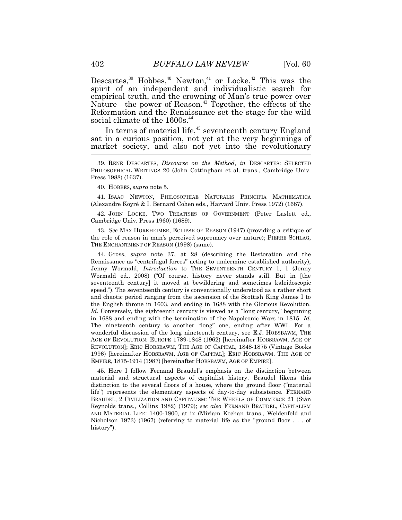Descartes,<sup>39</sup> Hobbes,<sup>40</sup> Newton,<sup>41</sup> or Locke.<sup>42</sup> This was the spirit of an independent and individualistic search for empirical truth, and the crowning of Man"s true power over Nature—the power of Reason.<sup>43</sup> Together, the effects of the Reformation and the Renaissance set the stage for the wild social climate of the 1600s.<sup>44</sup>

In terms of material life,<sup>45</sup> seventeenth century England sat in a curious position, not yet at the very beginnings of market society, and also not yet into the revolutionary

39. RENÈ DESCARTES, *Discourse on the Method*, *in* DESCARTES: SELECTED PHILOSOPHICAL WRITINGS 20 (John Cottingham et al. trans., Cambridge Univ. Press 1988) (1637).

40. HOBBES, *supra* note 5.

41. ISAAC NEWTON, PHILOSOPHIAE NATURALIS PRINCIPIA MATHEMATICA (Alexandre Koyré & I. Bernard Cohen eds., Harvard Univ. Press 1972) (1687).

42. JOHN LOCKE, TWO TREATISES OF GOVERNMENT (Peter Laslett ed., Cambridge Univ. Press 1960) (1689).

43. *See* MAX HORKHEIMER, ECLIPSE OF REASON (1947) (providing a critique of the role of reason in man"s perceived supremacy over nature); PIERRE SCHLAG, THE ENCHANTMENT OF REASON (1998) (same).

44. Gross, *supra* note 37, at 28 (describing the Restoration and the Renaissance as "centrifugal forces" acting to undermine established authority); Jenny Wormald, *Introduction* to THE SEVENTEENTH CENTURY 1, 1 (Jenny Wormald ed., 2008) ("Of course, history never stands still. But in [the seventeenth century] it moved at bewildering and sometimes kaleidoscopic speed."). The seventeenth century is conventionally understood as a rather short and chaotic period ranging from the ascension of the Scottish King James I to the English throne in 1603, and ending in 1688 with the Glorious Revolution. Id. Conversely, the eighteenth century is viewed as a "long century," beginning in 1688 and ending with the termination of the Napoleonic Wars in 1815. *Id*. The nineteenth century is another "long" one, ending after WWI. For a wonderful discussion of the long nineteenth century, see E.J. HOBSBAWM, THE AGE OF REVOLUTION: EUROPE 1789-1848 (1962) [hereinafter HOBSBAWM, AGE OF REVOLUTION]; ERIC HOBSBAWM, THE AGE OF CAPITAL, 1848-1875 (Vintage Books 1996) [hereinafter HOBSBAWM, AGE OF CAPITAL]; ERIC HOBSBAWM, THE AGE OF EMPIRE, 1875-1914 (1987) [hereinafter HOBSBAWM, AGE OF EMPIRE].

45. Here I follow Fernand Braudel"s emphasis on the distinction between material and structural aspects of capitalist history. Braudel likens this distinction to the several floors of a house, where the ground floor ("material life") represents the elementary aspects of day-to-day subsistence. FERNAND BRAUDEL, 2 CIVILIZATION AND CAPITALISM: THE WHEELS OF COMMERCE 21 (Siân Reynolds trans., Collins 1982) (1979); *see also* FERNAND BRAUDEL, CAPITALISM AND MATERIAL LIFE: 1400-1800, at ix (Miriam Kochan trans., Weidenfeld and Nicholson 1973) (1967) (referring to material life as the "ground floor . . . of history").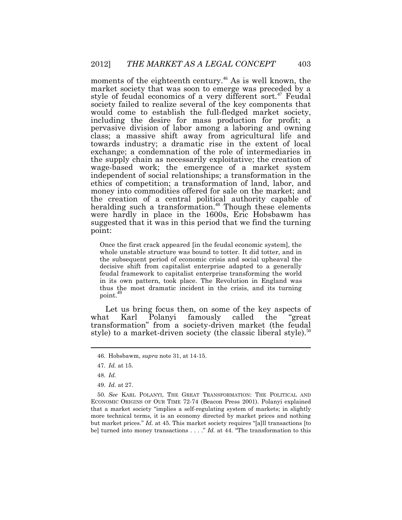moments of the eighteenth century.<sup>46</sup> As is well known, the market society that was soon to emerge was preceded by a style of feudal economics of a very different sort.<sup>47</sup> Feudal society failed to realize several of the key components that would come to establish the full-fledged market society, including the desire for mass production for profit; a pervasive division of labor among a laboring and owning class; a massive shift away from agricultural life and towards industry; a dramatic rise in the extent of local exchange; a condemnation of the role of intermediaries in the supply chain as necessarily exploitative; the creation of wage-based work; the emergence of a market system independent of social relationships; a transformation in the ethics of competition; a transformation of land, labor, and money into commodities offered for sale on the market; and the creation of a central political authority capable of heralding such a transformation.<sup>48</sup> Though these elements were hardly in place in the 1600s, Eric Hobsbawm has suggested that it was in this period that we find the turning point:

Once the first crack appeared [in the feudal economic system], the whole unstable structure was bound to totter. It did totter, and in the subsequent period of economic crisis and social upheaval the decisive shift from capitalist enterprise adapted to a generally feudal framework to capitalist enterprise transforming the world in its own pattern, took place. The Revolution in England was thus the most dramatic incident in the crisis, and its turning point.

Let us bring focus then, on some of the key aspects of what Karl Polanyi famously called the "great transformation" from a society-driven market (the feudal style) to a market-driven society (the classic liberal style).<sup>50</sup>

50. *See* KARL POLANYI, THE GREAT TRANSFORMATION: THE POLITICAL AND ECONOMIC ORIGINS OF OUR TIME 72-74 (Beacon Press 2001). Polanyi explained that a market society "implies a self-regulating system of markets; in slightly more technical terms, it is an economy directed by market prices and nothing but market prices." *Id.* at 45. This market society requires "[a]ll transactions [to be] turned into money transactions . . . ." *Id.* at 44. "The transformation to this

<sup>46.</sup> Hobsbawm, *supra* note 31, at 14-15.

<sup>47.</sup> *Id.* at 15.

<sup>48.</sup> *Id.*

<sup>49.</sup> *Id.* at 27.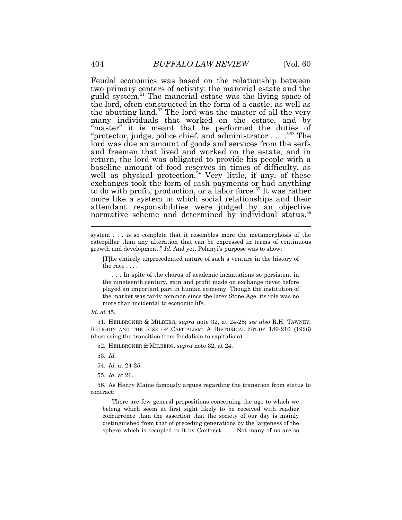Feudal economics was based on the relationship between two primary centers of activity: the manorial estate and the guild system.<sup>51</sup> The manorial estate was the living space of the lord, often constructed in the form of a castle, as well as the abutting land.<sup>52</sup> The lord was the master of all the very many individuals that worked on the estate, and by "master" it is meant that he performed the duties of "protector, judge, police chief, and administrator  $\dots$ ."<sup>53</sup> The lord was due an amount of goods and services from the serfs and freemen that lived and worked on the estate, and in return, the lord was obligated to provide his people with a baseline amount of food reserves in times of difficulty, as well as physical protection.<sup>54</sup> Very little, if any, of these exchanges took the form of cash payments or had anything to do with profit, production, or a labor force.<sup>55</sup> It was rather more like a system in which social relationships and their attendant responsibilities were judged by an objective normative scheme and determined by individual status.<sup>56</sup>

system . . . is so complete that it resembles more the metamorphosis of the caterpillar than any alteration that can be expressed in terms of continuous growth and development." *Id.* And yet, Polanyi's purpose was to show:

[T]he entirely unprecedented nature of such a venture in the history of the race . . . .

. . . In spite of the chorus of academic incantations so persistent in the nineteenth century, gain and profit made on exchange never before played an important part in human economy. Though the institution of the market was fairly common since the later Stone Age, its role was no more than incidental to economic life.

#### *Id.* at 45.

51. HEILBRONER & MILBERG, *supra* note 32, at 24-28; *see also* R.H. TAWNEY, RELIGION AND THE RISE OF CAPITALISM: A HISTORICAL STUDY 189-210 (1926) (discussing the transition from feudalism to capitalism).

52. HEILBRONER & MILBERG, *supra* note 32, at 24.

- 54. *Id.* at 24-25.
- 55. *Id*. at 26.

56. As Henry Maine famously argues regarding the transition from status to contract:

There are few general propositions concerning the age to which we belong which seem at first sight likely to be received with readier concurrence than the assertion that the society of our day is mainly distinguished from that of preceding generations by the largeness of the sphere which is occupied in it by Contract. . . . Not many of us are so

<sup>53.</sup> *Id.*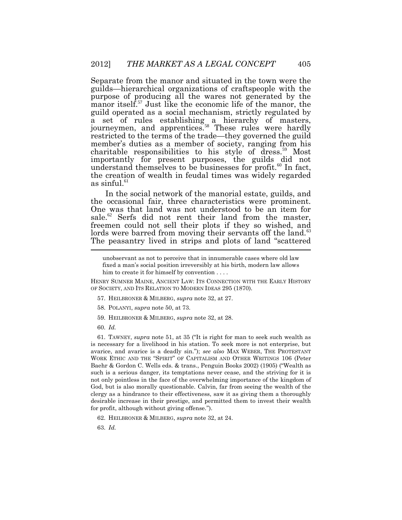Separate from the manor and situated in the town were the guilds—hierarchical organizations of craftspeople with the purpose of producing all the wares not generated by the manor itself.<sup>57</sup> Just like the economic life of the manor, the guild operated as a social mechanism, strictly regulated by a set of rules establishing a hierarchy of masters, journeymen, and apprentices.<sup>58</sup> These rules were hardly restricted to the terms of the trade—they governed the guild member"s duties as a member of society, ranging from his charitable responsibilities to his style of dress.<sup>59</sup> Most importantly for present purposes, the guilds did not understand themselves to be businesses for profit.<sup>60</sup> In fact, the creation of wealth in feudal times was widely regarded as sinful. $61$ 

In the social network of the manorial estate, guilds, and the occasional fair, three characteristics were prominent. One was that land was not understood to be an item for sale. $62$  Serfs did not rent their land from the master, freemen could not sell their plots if they so wished, and lords were barred from moving their servants off the land.<sup>63</sup> The peasantry lived in strips and plots of land "scattered

HENRY SUMNER MAINE, ANCIENT LAW: ITS CONNECTION WITH THE EARLY HISTORY OF SOCIETY, AND ITS RELATION TO MODERN IDEAS 295 (1870).

- 57. HEILBRONER & MILBERG, *supra* note 32, at 27.
- 58. POLANYI, *supra* note 50, at 73.
- 59. HEILBRONER & MILBERG, *supra* note 32, at 28.
- 60. *Id.*

61. TAWNEY, *supra* note 51, at 35 ("It is right for man to seek such wealth as is necessary for a livelihood in his station. To seek more is not enterprise, but avarice, and avarice is a deadly sin."); *see also* MAX WEBER, THE PROTESTANT WORK ETHIC AND THE "SPIRIT" OF CAPITALISM AND OTHER WRITINGS 106 (Peter Baehr & Gordon C. Wells eds. & trans., Penguin Books 2002) (1905) ("Wealth as such is a serious danger, its temptations never cease, and the striving for it is not only pointless in the face of the overwhelming importance of the kingdom of God, but is also morally questionable. Calvin, far from seeing the wealth of the clergy as a hindrance to their effectiveness, saw it as giving them a thoroughly desirable increase in their prestige, and permitted them to invest their wealth for profit, although without giving offense.").

62. HEILBRONER & MILBERG, *supra* note 32, at 24.

63. *Id.*

unobservant as not to perceive that in innumerable cases where old law fixed a man"s social position irreversibly at his birth, modern law allows him to create it for himself by convention . . . .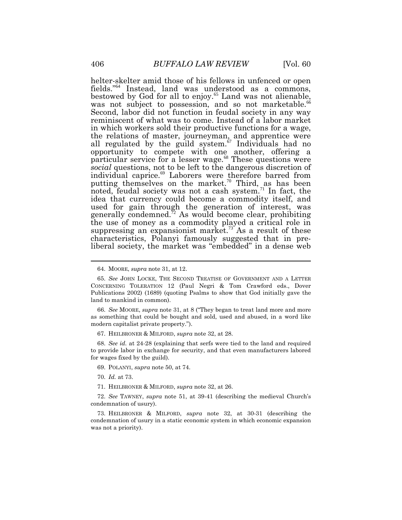helter-skelter amid those of his fellows in unfenced or open fields."<sup>64</sup> Instead, land was understood as a commons, bestowed by God for all to enjoy.<sup>65</sup> Land was not alienable, was not subject to possession, and so not marketable.<sup>66</sup> Second, labor did not function in feudal society in any way reminiscent of what was to come. Instead of a labor market in which workers sold their productive functions for a wage, the relations of master, journeyman, and apprentice were all regulated by the guild system.<sup> $67$ </sup> Individuals had no opportunity to compete with one another, offering a particular service for a lesser wage.<sup>68</sup> These questions were *social* questions, not to be left to the dangerous discretion of individual caprice.<sup>69</sup> Laborers were therefore barred from putting themselves on the market.<sup>70</sup> Third, as has been noted, feudal society was not a cash system.<sup>71</sup> In fact, the idea that currency could become a commodity itself, and used for gain through the generation of interest, was generally condemned. $\frac{72}{2}$  As would become clear, prohibiting the use of money as a commodity played a critical role in suppressing an expansionist market.<sup>73</sup> As a result of these characteristics, Polanyi famously suggested that in preliberal society, the market was "embedded" in a dense web

66. *See* MOORE, *supra* note 31, at 8 ("They began to treat land more and more as something that could be bought and sold, used and abused, in a word like modern capitalist private property.").

67. HEILBRONER & MILFORD, *supra* note 32, at 28.

68. *See id.* at 24-28 (explaining that serfs were tied to the land and required to provide labor in exchange for security, and that even manufacturers labored for wages fixed by the guild).

69. POLANYI, *supra* note 50, at 74.

70. *Id.* at 73.

71. HEILBRONER & MILFORD, *supra* note 32, at 26.

72. *See* TAWNEY, *supra* note 51, at 39-41 (describing the medieval Church"s condemnation of usury).

73. HEILBRONER & MILFORD, *supra* note 32, at 30-31 (describing the condemnation of usury in a static economic system in which economic expansion was not a priority).

<sup>64.</sup> MOORE, *supra* note 31, at 12.

<sup>65.</sup> *See* JOHN LOCKE, THE SECOND TREATISE OF GOVERNMENT AND A LETTER CONCERNING TOLERATION 12 (Paul Negri & Tom Crawford eds., Dover Publications 2002) (1689) (quoting Psalms to show that God initially gave the land to mankind in common).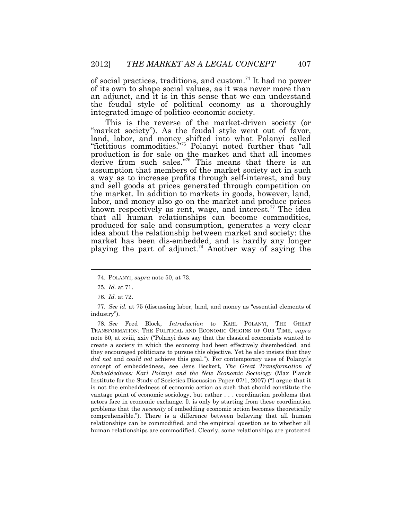of social practices, traditions, and custom.<sup>74</sup> It had no power of its own to shape social values, as it was never more than an adjunct, and it is in this sense that we can understand the feudal style of political economy as a thoroughly integrated image of politico-economic society.

This is the reverse of the market-driven society (or "market society"). As the feudal style went out of favor, land, labor, and money shifted into what Polanyi called "fictitious commodities."<sup>75</sup> Polanyi noted further that "all production is for sale on the market and that all incomes derive from such sales."<sup>76</sup> This means that there is an assumption that members of the market society act in such a way as to increase profits through self-interest, and buy and sell goods at prices generated through competition on the market. In addition to markets in goods, however, land, labor, and money also go on the market and produce prices known respectively as rent, wage, and interest.<sup>77</sup> The idea that all human relationships can become commodities, produced for sale and consumption, generates a very clear idea about the relationship between market and society: the market has been dis-embedded, and is hardly any longer playing the part of adjunct.<sup>78</sup> Another way of saying the

78. *See* Fred Block, *Introduction* to KARL POLANYI, THE GREAT TRANSFORMATION: THE POLITICAL AND ECONOMIC ORIGINS OF OUR TIME, *supra* note 50, at xviii, xxiv ("Polanyi does say that the classical economists wanted to create a society in which the economy had been effectively disembedded, and they encouraged politicians to pursue this objective. Yet he also insists that they *did not* and *could not* achieve this goal."). For contemporary uses of Polanyi"s concept of embeddedness, see Jens Beckert, *The Great Transformation of Embeddedness: Karl Polanyi and the New Economic Sociology* (Max Planck Institute for the Study of Societies Discussion Paper 07/1, 2007) ("I argue that it is not the embeddedness of economic action as such that should constitute the vantage point of economic sociology, but rather . . . coordination problems that actors face in economic exchange. It is only by starting from these coordination problems that the *necessity* of embedding economic action becomes theoretically comprehensible."). There is a difference between believing that all human relationships can be commodified, and the empirical question as to whether all human relationships are commodified. Clearly, some relationships are protected

<sup>74.</sup> POLANYI, *supra* note 50, at 73.

<sup>75.</sup> *Id.* at 71.

<sup>76.</sup> *Id.* at 72.

<sup>77.</sup> *See id.* at 75 (discussing labor, land, and money as "essential elements of industry").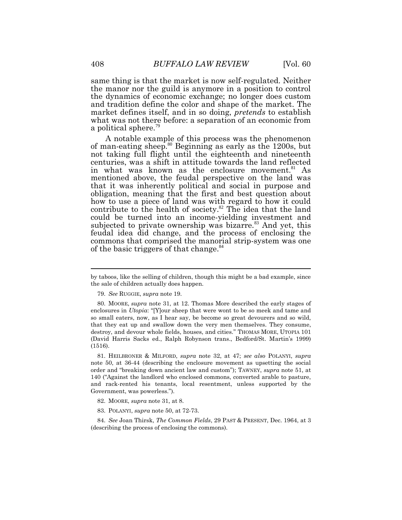same thing is that the market is now self-regulated. Neither the manor nor the guild is anymore in a position to control the dynamics of economic exchange; no longer does custom and tradition define the color and shape of the market. The market defines itself, and in so doing, *pretends* to establish what was not there before: a separation of an economic from a political sphere.<sup>79</sup>

A notable example of this process was the phenomenon of man-eating sheep.<sup>80</sup> Beginning as early as the 1200s, but not taking full flight until the eighteenth and nineteenth centuries, was a shift in attitude towards the land reflected in what was known as the enclosure movement.<sup>81</sup> As mentioned above, the feudal perspective on the land was that it was inherently political and social in purpose and obligation, meaning that the first and best question about how to use a piece of land was with regard to how it could contribute to the health of society.<sup>82</sup> The idea that the land could be turned into an income-yielding investment and subjected to private ownership was bizarre.<sup>83</sup> And yet, this feudal idea did change, and the process of enclosing the commons that comprised the manorial strip-system was one of the basic triggers of that change.<sup>84</sup>

81. HEILBRONER & MILFORD, *supra* note 32, at 47; *see also* POLANYI, *supra*  note 50, at 36-44 (describing the enclosure movement as upsetting the social order and "breaking down ancient law and custom"); TAWNEY, *supra* note 51, at 140 ("Against the landlord who enclosed commons, converted arable to pasture, and rack-rented his tenants, local resentment, unless supported by the Government, was powerless.").

- 82. MOORE, *supra* note 31, at 8.
- 83. POLANYI, *supra* note 50, at 72-73.

84. *See* Joan Thirsk, *The Common Fields*, 29 PAST & PRESENT, Dec. 1964, at 3 (describing the process of enclosing the commons).

by taboos, like the selling of children, though this might be a bad example, since the sale of children actually does happen.

<sup>79.</sup> *See* RUGGIE, *supra* note 19.

<sup>80.</sup> MOORE, *supra* note 31, at 12. Thomas More described the early stages of enclosures in *Utopia*: "[Y]our sheep that were wont to be so meek and tame and so small eaters, now, as I hear say, be become so great devourers and so wild, that they eat up and swallow down the very men themselves. They consume, destroy, and devour whole fields, houses, and cities." THOMAS MORE, UTOPIA 101 (David Harris Sacks ed., Ralph Robynson trans., Bedford/St. Martin"s 1999) (1516).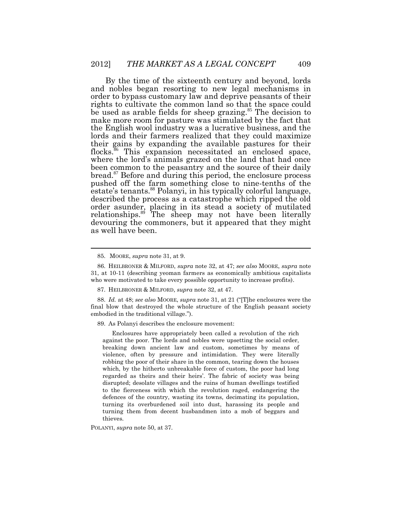By the time of the sixteenth century and beyond, lords and nobles began resorting to new legal mechanisms in order to bypass customary law and deprive peasants of their rights to cultivate the common land so that the space could be used as arable fields for sheep grazing.<sup>85</sup> The decision to make more room for pasture was stimulated by the fact that the English wool industry was a lucrative business, and the lords and their farmers realized that they could maximize their gains by expanding the available pastures for their flocks.<sup>86</sup> This expansion necessitated an enclosed space, where the lord"s animals grazed on the land that had once been common to the peasantry and the source of their daily bread.<sup>87</sup> Before and during this period, the enclosure process pushed off the farm something close to nine-tenths of the estate's tenants.<sup>88</sup> Polanyi, in his typically colorful language, described the process as a catastrophe which ripped the old order asunder, placing in its stead a society of mutilated relationships.<sup>89</sup> The sheep may not have been literally devouring the commoners, but it appeared that they might as well have been.

87. HEILBRONER & MILFORD, *supra* note 32, at 47.

88. *Id.* at 48; *see also* MOORE, *supra* note 31, at 21 ("[T]he enclosures were the final blow that destroyed the whole structure of the English peasant society embodied in the traditional village.").

89. As Polanyi describes the enclosure movement:

Enclosures have appropriately been called a revolution of the rich against the poor. The lords and nobles were upsetting the social order, breaking down ancient law and custom, sometimes by means of violence, often by pressure and intimidation. They were literally robbing the poor of their share in the common, tearing down the houses which, by the hitherto unbreakable force of custom, the poor had long regarded as theirs and their heirs'. The fabric of society was being disrupted; desolate villages and the ruins of human dwellings testified to the fierceness with which the revolution raged, endangering the defences of the country, wasting its towns, decimating its population, turning its overburdened soil into dust, harassing its people and turning them from decent husbandmen into a mob of beggars and thieves.

POLANYI, *supra* note 50, at 37.

<sup>85.</sup> MOORE, *supra* note 31, at 9.

<sup>86.</sup> HEILBRONER & MILFORD, *supra* note 32, at 47; *see also* MOORE, *supra* note 31, at 10-11 (describing yeoman farmers as economically ambitious capitalists who were motivated to take every possible opportunity to increase profits).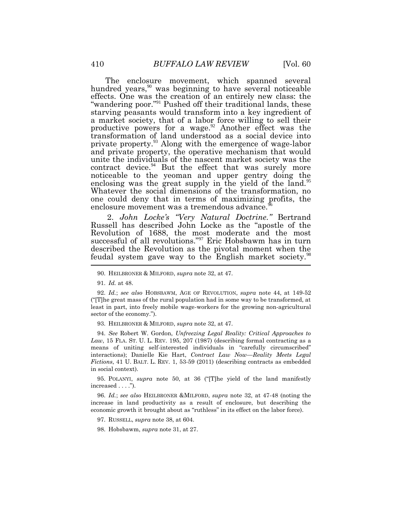The enclosure movement, which spanned several hundred years, $90$  was beginning to have several noticeable effects. One was the creation of an entirely new class: the "wandering poor."<sup>91</sup> Pushed off their traditional lands, these starving peasants would transform into a key ingredient of a market society, that of a labor force willing to sell their productive powers for a wage.<sup>92</sup> Another effect was the transformation of land understood as a social device into private property.<sup>93</sup> Along with the emergence of wage-labor and private property, the operative mechanism that would unite the individuals of the nascent market society was the contract device. $94$  But the effect that was surely more noticeable to the yeoman and upper gentry doing the enclosing was the great supply in the yield of the land.<sup>95</sup> Whatever the social dimensions of the transformation, no one could deny that in terms of maximizing profits, the enclosure movement was a tremendous advance.<sup>96</sup>

2. *John Locke"s "Very Natural Doctrine."* Bertrand Russell has described John Locke as the "apostle of the Revolution of 1688, the most moderate and the most successful of all revolutions."<sup>97</sup> Eric Hobsbawm has in turn described the Revolution as the pivotal moment when the feudal system gave way to the English market society.<sup>9</sup>

93. HEILBRONER & MILFORD, *supra* note 32, at 47.

94. *See* Robert W. Gordon, *Unfreezing Legal Reality: Critical Approaches to Law*, 15 FLA. ST. U. L. REV. 195, 207 (1987) (describing formal contracting as a means of uniting self-interested individuals in "carefully circumscribed" interactions); Danielle Kie Hart, *Contract Law Now—Reality Meets Legal Fictions*, 41 U. BALT. L. REV. 1, 53-59 (2011) (describing contracts as embedded in social context).

95. POLANYI, *supra* note 50, at 36 ("[T]he yield of the land manifestly increased . . . .").

96. *Id.*; *see also* HEILBRONER &MILFORD, *supra* note 32, at 47-48 (noting the increase in land productivity as a result of enclosure, but describing the economic growth it brought about as "ruthless" in its effect on the labor force).

97. RUSSELL, *supra* note 38, at 604.

98. Hobsbawm, *supra* note 31, at 27.

<sup>90.</sup> HEILBRONER & MILFORD, *supra* note 32, at 47.

<sup>91.</sup> *Id.* at 48.

<sup>92.</sup> *Id.*; *see also* HOBSBAWM, AGE OF REVOLUTION, *supra* note 44, at 149-52 ("[T]he great mass of the rural population had in some way to be transformed, at least in part, into freely mobile wage-workers for the growing non-agricultural sector of the economy.").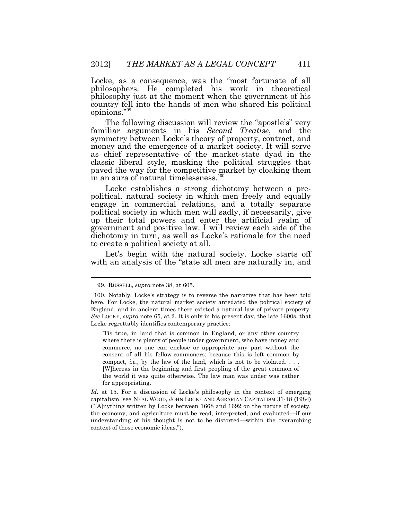Locke, as a consequence, was the "most fortunate of all philosophers. He completed his work in theoretical philosophy just at the moment when the government of his country fell into the hands of men who shared his political opinions."<sup>99</sup>

The following discussion will review the "apostle's" very familiar arguments in his *Second Treatise*, and the symmetry between Locke's theory of property, contract, and money and the emergence of a market society. It will serve as chief representative of the market-state dyad in the classic liberal style, masking the political struggles that paved the way for the competitive market by cloaking them in an aura of natural timelessness.<sup>100</sup>

Locke establishes a strong dichotomy between a prepolitical, natural society in which men freely and equally engage in commercial relations, and a totally separate political society in which men will sadly, if necessarily, give up their total powers and enter the artificial realm of government and positive law. I will review each side of the dichotomy in turn, as well as Locke's rationale for the need to create a political society at all.

Let's begin with the natural society. Locke starts off with an analysis of the "state all men are naturally in, and

"Tis true, in land that is common in England, or any other country where there is plenty of people under government, who have money and commerce, no one can enclose or appropriate any part without the consent of all his fellow-commoners: because this is left common by compact, *i.e.*, by the law of the land, which is not to be violated. . . . [W]hereas in the beginning and first peopling of the great common of the world it was quite otherwise. The law man was under was rather for appropriating.

*Id.* at 15. For a discussion of Locke's philosophy in the context of emerging capitalism, see NEAL WOOD, JOHN LOCKE AND AGRARIAN CAPITALISM 31-48 (1984) ("[A]nything written by Locke between 1668 and 1692 on the nature of society, the economy, and agriculture must be read, interpreted, and evaluated—if our understanding of his thought is not to be distorted—within the overarching context of those economic ideas.").

<sup>99.</sup> RUSSELL, *supra* note 38, at 605.

<sup>100.</sup> Notably, Locke"s strategy is to reverse the narrative that has been told here. For Locke, the natural market society antedated the political society of England, and in ancient times there existed a natural law of private property. *See* LOCKE, *supra* note 65, at 2. It is only in his present day, the late 1600s, that Locke regrettably identifies contemporary practice: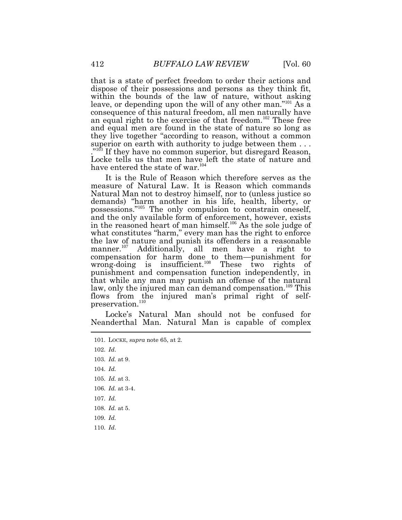that is a state of perfect freedom to order their actions and dispose of their possessions and persons as they think fit, within the bounds of the law of nature, without asking leave, or depending upon the will of any other man."<sup>101</sup> As a consequence of this natural freedom, all men naturally have an equal right to the exercise of that freedom.<sup>102</sup> These free and equal men are found in the state of nature so long as they live together "according to reason, without a common superior on earth with authority to judge between them . . . ."<sup>103</sup> If they have no common superior, but disregard Reason, Locke tells us that men have left the state of nature and have entered the state of war.<sup>104</sup>

It is the Rule of Reason which therefore serves as the measure of Natural Law. It is Reason which commands Natural Man not to destroy himself, nor to (unless justice so demands) "harm another in his life, health, liberty, or possessions."<sup>105</sup> The only compulsion to constrain oneself, and the only available form of enforcement, however, exists in the reasoned heart of man himself.<sup>106</sup> As the sole judge of what constitutes "harm," every man has the right to enforce the law of nature and punish its offenders in a reasonable manner.<sup>107</sup> Additionally, all men have a right to compensation for harm done to them—punishment for wrong-doing is insufficient.<sup>108</sup> These two rights of punishment and compensation function independently, in that while any man may punish an offense of the natural law, only the injured man can demand compensation.<sup>109</sup> This flows from the injured man's primal right of selfpreservation.<sup>110</sup>

Locke"s Natural Man should not be confused for Neanderthal Man. Natural Man is capable of complex

<sup>101.</sup> LOCKE, *supra* note 65, at 2.

<sup>102.</sup> *Id*.

<sup>103.</sup> *Id.* at 9.

<sup>104.</sup> *Id.* 

<sup>105.</sup> *Id.* at 3.

<sup>106.</sup> *Id.* at 3-4.

<sup>107.</sup> *Id.*

<sup>108.</sup> *Id.* at 5.

<sup>109.</sup> *Id.*

<sup>110.</sup> *Id*.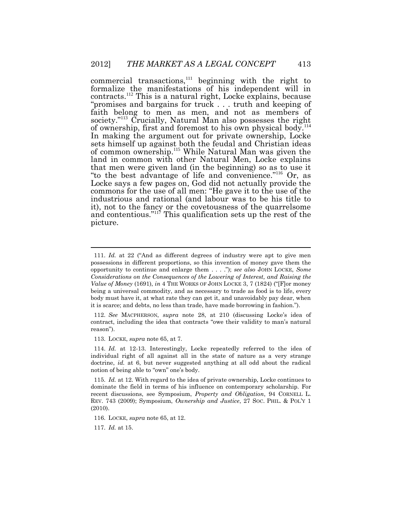commercial transactions,<sup>111</sup> beginning with the right to formalize the manifestations of his independent will in contracts.<sup>112</sup> This is a natural right, Locke explains, because "promises and bargains for truck . . . truth and keeping of faith belong to men as men, and not as members of society."<sup>113</sup> Crucially, Natural Man also possesses the right of ownership, first and foremost to his own physical body.<sup>114</sup> In making the argument out for private ownership, Locke sets himself up against both the feudal and Christian ideas of common ownership.<sup>115</sup> While Natural Man was given the land in common with other Natural Men, Locke explains that men were given land (in the beginning) so as to use it "to the best advantage of life and convenience."<sup>116</sup> Or, as Locke says a few pages on, God did not actually provide the commons for the use of all men: "He gave it to the use of the industrious and rational (and labour was to be his title to it), not to the fancy or the covetousness of the quarrelsome and contentious."<sup>117</sup> This qualification sets up the rest of the picture.

113. LOCKE, *supra* note 65, at 7.

117. *Id.* at 15.

<sup>111.</sup> *Id.* at 22 ("And as different degrees of industry were apt to give men possessions in different proportions, so this invention of money gave them the opportunity to continue and enlarge them . . . ."); *see also* JOHN LOCKE, *Some Considerations on the Consequences of the Lowering of Interest, and Raising the Value of Money* (1691), *in* 4 THE WORKS OF JOHN LOCKE 3, 7 (1824) ("[F]or money being a universal commodity, and as necessary to trade as food is to life, every body must have it, at what rate they can get it, and unavoidably pay dear, when it is scarce; and debts, no less than trade, have made borrowing in fashion.").

<sup>112.</sup> *See* MACPHERSON, *supra* note 28, at 210 (discussing Locke"s idea of contract, including the idea that contracts "owe their validity to man"s natural reason").

<sup>114.</sup> *Id.* at 12-13. Interestingly, Locke repeatedly referred to the idea of individual right of all against all in the state of nature as a very strange doctrine, *id.* at 6, but never suggested anything at all odd about the radical notion of being able to "own" one"s body.

<sup>115.</sup> *Id.* at 12. With regard to the idea of private ownership, Locke continues to dominate the field in terms of his influence on contemporary scholarship. For recent discussions, see Symposium, *Property and Obligation*, 94 CORNELL L. REV. 743 (2009); Symposium, *Ownership and Justice*, 27 SOC. PHIL. & POL"Y 1 (2010).

<sup>116.</sup> LOCKE, *supra* note 65, at 12.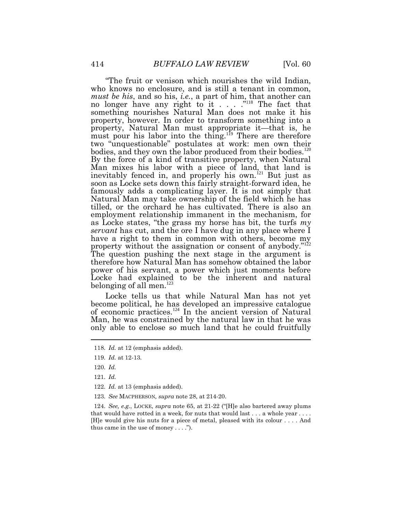"The fruit or venison which nourishes the wild Indian, who knows no enclosure, and is still a tenant in common, *must be his*, and so his, *i.e.*, a part of him, that another can no longer have any right to it . . . . .<sup>3118</sup> The fact that something nourishes Natural Man does not make it his property, however. In order to transform something into a property, Natural Man must appropriate it—that is, he must pour his labor into the thing.<sup>119</sup> There are therefore two "unquestionable" postulates at work: men own their bodies, and they own the labor produced from their bodies.<sup>120</sup> By the force of a kind of transitive property, when Natural Man mixes his labor with a piece of land, that land is inevitably fenced in, and properly his own.<sup>121</sup> But just as soon as Locke sets down this fairly straight-forward idea, he famously adds a complicating layer. It is not simply that Natural Man may take ownership of the field which he has tilled, or the orchard he has cultivated. There is also an employment relationship immanent in the mechanism, for as Locke states, "the grass my horse has bit, the turfs *my servant* has cut, and the ore I have dug in any place where I have a right to them in common with others, become my property without the assignation or consent of anybody."<sup>122</sup> The question pushing the next stage in the argument is therefore how Natural Man has somehow obtained the labor power of his servant, a power which just moments before Locke had explained to be the inherent and natural belonging of all men.<sup>123</sup>

Locke tells us that while Natural Man has not yet become political, he has developed an impressive catalogue of economic practices.<sup>124</sup> In the ancient version of Natural Man, he was constrained by the natural law in that he was only able to enclose so much land that he could fruitfully

123. *See* MACPHERSON*, supra* note 28, at 214-20.

124. *See, e.g.*, LOCKE, *supra* note 65, at 21-22 ("[H]e also bartered away plums that would have rotted in a week, for nuts that would last . . . a whole year . . . . [H]e would give his nuts for a piece of metal, pleased with its colour . . . . And thus came in the use of money . . . .").

<sup>118.</sup> *Id.* at 12 (emphasis added).

<sup>119.</sup> *Id.* at 12-13.

<sup>120.</sup> *Id.* 

<sup>121.</sup> *Id.*

<sup>122.</sup> *Id.* at 13 (emphasis added).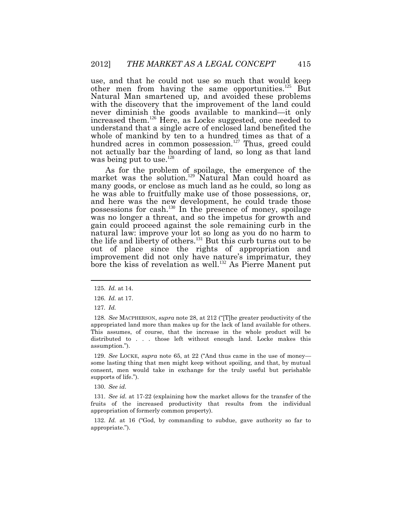use, and that he could not use so much that would keep other men from having the same opportunities.<sup>125</sup> But Natural Man smartened up, and avoided these problems with the discovery that the improvement of the land could never diminish the goods available to mankind—it only increased them.<sup>126</sup> Here, as Locke suggested, one needed to understand that a single acre of enclosed land benefited the whole of mankind by ten to a hundred times as that of a hundred acres in common possession.<sup>127</sup> Thus, greed could not actually bar the hoarding of land, so long as that land was being put to use.<sup>128</sup>

As for the problem of spoilage, the emergence of the market was the solution.<sup>129</sup> Natural Man could hoard as many goods, or enclose as much land as he could, so long as he was able to fruitfully make use of those possessions, or, and here was the new development, he could trade those possessions for cash.<sup>130</sup> In the presence of money, spoilage was no longer a threat, and so the impetus for growth and gain could proceed against the sole remaining curb in the natural law: improve your lot so long as you do no harm to the life and liberty of others.<sup>131</sup> But this curb turns out to be out of place since the rights of appropriation and improvement did not only have nature's imprimatur, they bore the kiss of revelation as well.<sup>132</sup> As Pierre Manent put

128. *See* MACPHERSON, *supra* note 28, at 212 ("[T]he greater productivity of the appropriated land more than makes up for the lack of land available for others. This assumes, of course, that the increase in the whole product will be distributed to . . . those left without enough land. Locke makes this assumption.").

129. *See* LOCKE, *supra* note 65, at 22 ("And thus came in the use of money some lasting thing that men might keep without spoiling, and that, by mutual consent, men would take in exchange for the truly useful but perishable supports of life.").

130. *See id.*

131. *See id.* at 17-22 (explaining how the market allows for the transfer of the fruits of the increased productivity that results from the individual appropriation of formerly common property).

132. *Id.* at 16 ("God, by commanding to subdue, gave authority so far to appropriate.").

<sup>125.</sup> *Id.* at 14.

<sup>126.</sup> *Id.* at 17.

<sup>127</sup>*. Id.*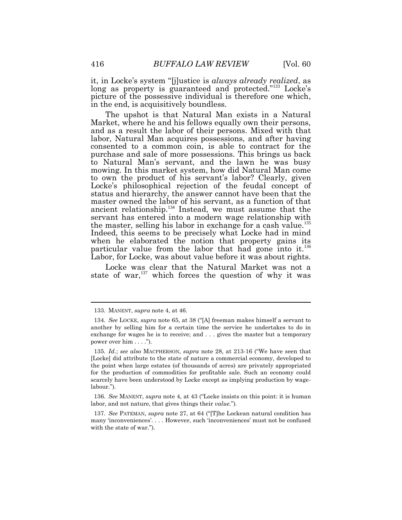it, in Locke"s system "[j]ustice is *always already realized*, as long as property is guaranteed and protected."<sup>133</sup> Locke's picture of the possessive individual is therefore one which, in the end, is acquisitively boundless.

The upshot is that Natural Man exists in a Natural Market, where he and his fellows equally own their persons, and as a result the labor of their persons. Mixed with that labor, Natural Man acquires possessions, and after having consented to a common coin, is able to contract for the purchase and sale of more possessions. This brings us back to Natural Man"s servant, and the lawn he was busy mowing. In this market system, how did Natural Man come to own the product of his servant's labor? Clearly, given Locke's philosophical rejection of the feudal concept of status and hierarchy, the answer cannot have been that the master owned the labor of his servant, as a function of that ancient relationship.<sup>134</sup> Instead, we must assume that the servant has entered into a modern wage relationship with the master, selling his labor in exchange for a cash value.<sup>135</sup> Indeed, this seems to be precisely what Locke had in mind when he elaborated the notion that property gains its particular value from the labor that had gone into it.<sup>136</sup> Labor, for Locke, was about value before it was about rights.

Locke was clear that the Natural Market was not a state of war,<sup>137</sup> which forces the question of why it was

<sup>133.</sup> MANENT, *supra* note 4, at 46.

<sup>134.</sup> *See* LOCKE, *supra* note 65, at 38 ("[A] freeman makes himself a servant to another by selling him for a certain time the service he undertakes to do in exchange for wages he is to receive; and . . . gives the master but a temporary power over him . . . .").

<sup>135.</sup> *Id*.; *see also* MACPHERSON, *supra* note 28, at 213-16 ("We have seen that [Locke] did attribute to the state of nature a commercial economy, developed to the point when large estates (of thousands of acres) are privately appropriated for the production of commodities for profitable sale. Such an economy could scarcely have been understood by Locke except as implying production by wagelabour.").

<sup>136.</sup> *See* MANENT, *supra* note 4, at 43 ("Locke insists on this point: it is human labor, and not nature, that gives things their *value*.").

<sup>137.</sup> *See* PATEMAN, *supra* note 27, at 64 ("[T]he Lockean natural condition has many 'inconveniences'.... However, such 'inconveniences' must not be confused with the state of war.").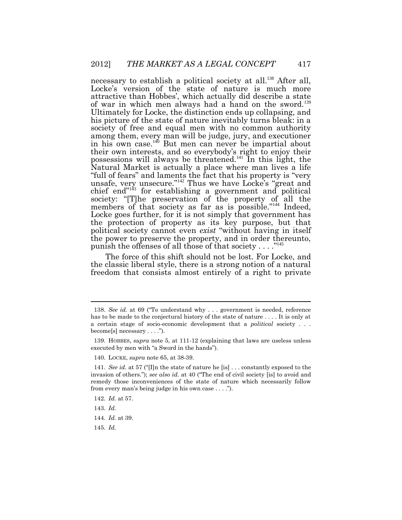necessary to establish a political society at all.<sup>138</sup> After all, Locke's version of the state of nature is much more attractive than Hobbes', which actually did describe a state of war in which men always had a hand on the sword.<sup>139</sup> Ultimately for Locke, the distinction ends up collapsing, and his picture of the state of nature inevitably turns bleak: in a society of free and equal men with no common authority among them, every man will be judge, jury, and executioner in his own case.<sup>140</sup> But men can never be impartial about their own interests, and so everybody"s right to enjoy their possessions will always be threatened.<sup>141</sup> In this light, the Natural Market is actually a place where man lives a life "full of fears" and laments the fact that his property is "very unsafe, very unsecure."<sup>142</sup> Thus we have Locke's "great and chief end<sup>"143</sup> for establishing a government and political society: "[T]he preservation of the property of all the members of that society as far as is possible."<sup>144</sup> Indeed, Locke goes further, for it is not simply that government has the protection of property as its key purpose, but that political society cannot even *exist* "without having in itself the power to preserve the property, and in order thereunto, punish the offenses of all those of that society  $\dots$ ."<sup>145</sup>

The force of this shift should not be lost. For Locke, and the classic liberal style, there is a strong notion of a natural freedom that consists almost entirely of a right to private

140. LOCKE, *supra* note 65, at 38-39.

- 142. *Id.* at 57.
- 143. *Id.*
- 144. *Id.* at 39.
- 145. *Id.*

<sup>138.</sup> *See id.* at 69 ("To understand why . . . government is needed, reference has to be made to the conjectural history of the state of nature . . . . It is only at a certain stage of socio-economic development that a *political* society . . . become[s] necessary . . . .").

<sup>139.</sup> HOBBES, *supra* note 5, at 111-12 (explaining that laws are useless unless executed by men with "a Sword in the hands").

<sup>141.</sup> *See id.* at 57 ("[I]n the state of nature he [is] . . . constantly exposed to the invasion of others."); *see also id.* at 40 ("The end of civil society [is] to avoid and remedy those inconveniences of the state of nature which necessarily follow from every man"s being judge in his own case . . . .").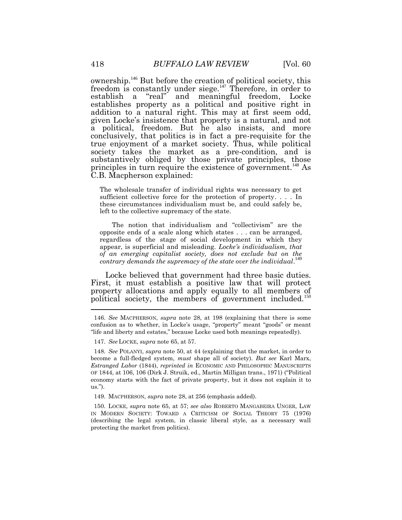ownership.<sup>146</sup> But before the creation of political society, this freedom is constantly under siege. $^{147}$  Therefore, in order to establish a "real" and meaningful freedom, Locke establishes property as a political and positive right in addition to a natural right. This may at first seem odd, given Locke"s insistence that property is a natural, and not a political, freedom. But he also insists, and more conclusively, that politics is in fact a pre-requisite for the true enjoyment of a market society. Thus, while political society takes the market as a pre-condition, and is substantively obliged by those private principles, those principles in turn require the existence of government.<sup>148</sup> As C.B. Macpherson explained:

The wholesale transfer of individual rights was necessary to get sufficient collective force for the protection of property. . . . In these circumstances individualism must be, and could safely be, left to the collective supremacy of the state.

The notion that individualism and "collectivism" are the opposite ends of a scale along which states . . . can be arranged, regardless of the stage of social development in which they appear, is superficial and misleading. *Locke"s individualism, that of an emerging capitalist society, does not exclude but on the contrary demands the supremacy of the state over the individual*. 149

Locke believed that government had three basic duties. First, it must establish a positive law that will protect property allocations and apply equally to all members of political society, the members of government included.<sup>150</sup>

<sup>146.</sup> *See* MACPHERSON, *supra* note 28, at 198 (explaining that there is some confusion as to whether, in Locke's usage, "property" meant "goods" or meant "life and liberty and estates," because Locke used both meanings repeatedly).

<sup>147.</sup> *See* LOCKE, *supra* note 65, at 57.

<sup>148.</sup> *See* POLANYI, *supra* note 50, at 44 (explaining that the market, in order to become a full-fledged system, *must* shape all of society). *But see* Karl Marx, *Estranged Labor* (1844), *reprinted in* ECONOMIC AND PHILOSOPHIC MANUSCRIPTS OF 1844, at 106, 106 (Dirk J. Struik, ed., Martin Milligan trans., 1971) ("Political economy starts with the fact of private property, but it does not explain it to us.").

<sup>149.</sup> MACPHERSON, *supra* note 28, at 256 (emphasis added).

<sup>150.</sup> LOCKE, *supra* note 65, at 57; *see also* ROBERTO MANGABEIRA UNGER, LAW IN MODERN SOCIETY: TOWARD A CRITICISM OF SOCIAL THEORY 75 (1976) (describing the legal system, in classic liberal style, as a necessary wall protecting the market from politics).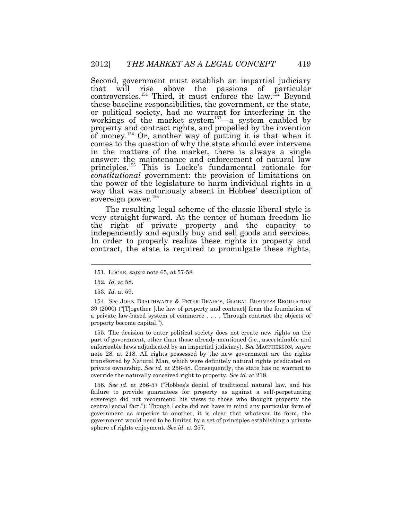Second, government must establish an impartial judiciary that will rise above the passions of particular controversies.<sup>151</sup> Third, it must enforce the law.<sup>152</sup> Beyond these baseline responsibilities, the government, or the state, or political society, had no warrant for interfering in the workings of the market system<sup>153</sup>—a system enabled by property and contract rights, and propelled by the invention of money.<sup>154</sup> Or, another way of putting it is that when it comes to the question of why the state should ever intervene in the matters of the market, there is always a single answer: the maintenance and enforcement of natural law principles.<sup>155</sup> This is Locke"s fundamental rationale for *constitutional* government: the provision of limitations on the power of the legislature to harm individual rights in a way that was notoriously absent in Hobbes" description of sovereign power.<sup>156</sup>

The resulting legal scheme of the classic liberal style is very straight-forward. At the center of human freedom lie the right of private property and the capacity to independently and equally buy and sell goods and services. In order to properly realize these rights in property and contract, the state is required to promulgate these rights,

155. The decision to enter political society does not create new rights on the part of government, other than those already mentioned (i.e., ascertainable and enforceable laws adjudicated by an impartial judiciary). *See* MACPHERSON, *supra* note 28, at 218. All rights possessed by the new government are the rights transferred by Natural Man, which were definitely natural rights predicated on private ownership. *See id.* at 256-58. Consequently, the state has no warrant to override the naturally conceived right to property. *See id.* at 218.

156. *See id.* at 256-57 ("Hobbes"s denial of traditional natural law, and his failure to provide guarantees for property as against a self-perpetuating sovereign did not recommend his views to those who thought property the central social fact."). Though Locke did not have in mind any particular form of government as superior to another, it is clear that whatever its form, the government would need to be limited by a set of principles establishing a private sphere of rights enjoyment. *See id.* at 257.

<sup>151.</sup> LOCKE, *supra* note 65, at 57-58.

<sup>152.</sup> *Id.* at 58.

<sup>153.</sup> *Id.* at 59.

<sup>154.</sup> *See* JOHN BRAITHWAITE & PETER DRAHOS, GLOBAL BUSINESS REGULATION 39 (2000) ("[T]ogether [the law of property and contract] form the foundation of a private law-based system of commerce . . . . Through contract the objects of property become capital.").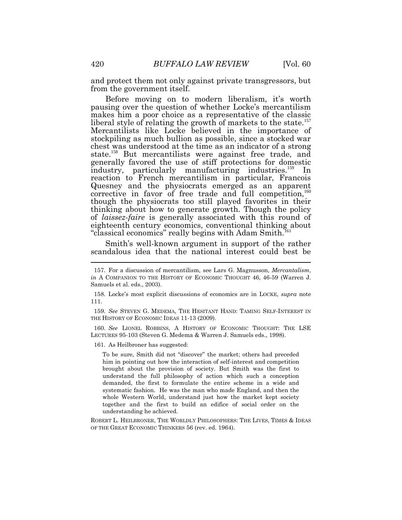and protect them not only against private transgressors, but from the government itself.

Before moving on to modern liberalism, it's worth pausing over the question of whether Locke's mercantilism makes him a poor choice as a representative of the classic liberal style of relating the growth of markets to the state.<sup>157</sup> Mercantilists like Locke believed in the importance of stockpiling as much bullion as possible, since a stocked war chest was understood at the time as an indicator of a strong state.<sup>158</sup> But mercantilists were against free trade, and generally favored the use of stiff protections for domestic industry, particularly manufacturing industries.<sup>159</sup> In reaction to French mercantilism in particular, Francois Quesney and the physiocrats emerged as an apparent corrective in favor of free trade and full competition, $160$ though the physiocrats too still played favorites in their thinking about how to generate growth. Though the policy of *laissez-faire* is generally associated with this round of eighteenth century economics, conventional thinking about "classical economics" really begins with Adam Smith.<sup>1</sup>

Smith's well-known argument in support of the rather scandalous idea that the national interest could best be

160. *See* LIONEL ROBBINS, A HISTORY OF ECONOMIC THOUGHT: THE LSE LECTURES 95-103 (Steven G. Medema & Warren J. Samuels eds., 1998).

161. As Heilbroner has suggested:

To be sure, Smith did not "discover" the market; others had preceded him in pointing out how the interaction of self-interest and competition brought about the provision of society. But Smith was the first to understand the full philosophy of action which such a conception demanded, the first to formulate the entire scheme in a wide and systematic fashion. He was the man who made England, and then the whole Western World, understand just how the market kept society together and the first to build an edifice of social order on the understanding he achieved.

ROBERT L. HEILBRONER, THE WORLDLY PHILOSOPHERS: THE LIVES, TIMES & IDEAS OF THE GREAT ECONOMIC THINKERS 56 (rev. ed. 1964).

<sup>157.</sup> For a discussion of mercantilism, see Lars G. Magnusson, *Mercantalism*, *in* A COMPANION TO THE HISTORY OF ECONOMIC THOUGHT 46, 46-59 (Warren J. Samuels et al. eds., 2003).

<sup>158.</sup> Locke"s most explicit discussions of economics are in LOCKE, *supra* note 111.

<sup>159.</sup> *See* STEVEN G. MEDEMA, THE HESITANT HAND: TAMING SELF-INTEREST IN THE HISTORY OF ECONOMIC IDEAS 11-13 (2009).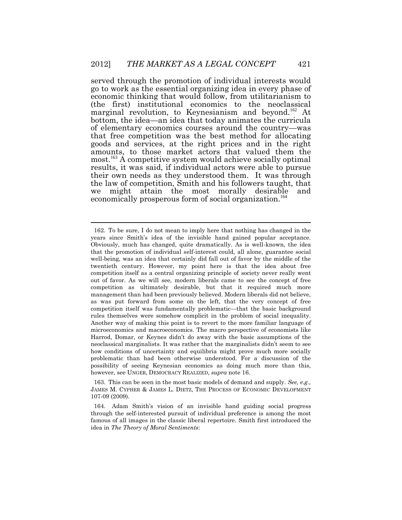served through the promotion of individual interests would go to work as the essential organizing idea in every phase of economic thinking that would follow, from utilitarianism to (the first) institutional economics to the neoclassical marginal revolution, to Keynesianism and beyond.<sup>162</sup> At bottom, the idea—an idea that today animates the curricula of elementary economics courses around the country—was that free competition was the best method for allocating goods and services, at the right prices and in the right amounts, to those market actors that valued them the most.<sup>163</sup> A competitive system would achieve socially optimal results, it was said, if individual actors were able to pursue their own needs as they understood them. It was through the law of competition, Smith and his followers taught, that we might attain the most morally desirable and economically prosperous form of social organization.<sup>164</sup>

163. This can be seen in the most basic models of demand and supply. *See, e.g.,*  JAMES M. CYPHER & JAMES L. DIETZ, THE PROCESS OF ECONOMIC DEVELOPMENT 107-09 (2009).

<sup>162.</sup> To be sure, I do not mean to imply here that nothing has changed in the years since Smith"s idea of the invisible hand gained popular acceptance. Obviously, much has changed, quite dramatically. As is well-known, the idea that the promotion of individual self-interest could, all alone, guarantee social well-being, was an idea that certainly did fall out of favor by the middle of the twentieth century. However, my point here is that the idea about free competition itself as a central organizing principle of society never really went out of favor. As we will see, modern liberals came to see the concept of free competition as ultimately desirable, but that it required much more management than had been previously believed. Modern liberals did not believe, as was put forward from some on the left, that the very concept of free competition itself was fundamentally problematic—that the basic background rules themselves were somehow complicit in the problem of social inequality. Another way of making this point is to revert to the more familiar language of microeconomics and macroeconomics. The macro perspective of economists like Harrod, Domar, or Keynes didn"t do away with the basic assumptions of the neoclassical marginalists. It was rather that the marginalists didn"t seem to see how conditions of uncertainty and equilibria might prove much more socially problematic than had been otherwise understood. For a discussion of the possibility of seeing Keynesian economics as doing much more than this, however, see UNGER, DEMOCRACY REALIZED, *supra* note 16.

<sup>164.</sup> Adam Smith"s vision of an invisible hand guiding social progress through the self-interested pursuit of individual preference is among the most famous of all images in the classic liberal repertoire. Smith first introduced the idea in *The Theory of Moral Sentiments*: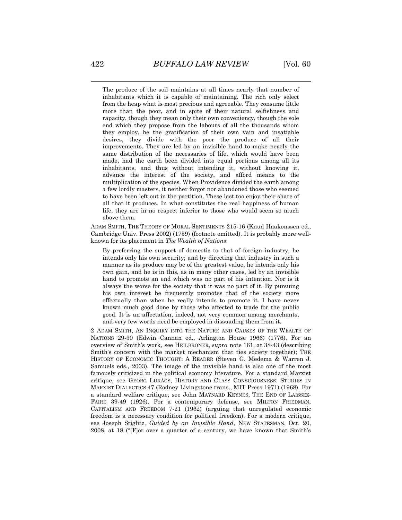The produce of the soil maintains at all times nearly that number of inhabitants which it is capable of maintaining. The rich only select from the heap what is most precious and agreeable. They consume little more than the poor, and in spite of their natural selfishness and rapacity, though they mean only their own conveniency, though the sole end which they propose from the labours of all the thousands whom they employ, be the gratification of their own vain and insatiable desires, they divide with the poor the produce of all their improvements. They are led by an invisible hand to make nearly the same distribution of the necessaries of life, which would have been made, had the earth been divided into equal portions among all its inhabitants, and thus without intending it, without knowing it, advance the interest of the society, and afford means to the multiplication of the species. When Providence divided the earth among a few lordly masters, it neither forgot nor abandoned those who seemed to have been left out in the partition. These last too enjoy their share of all that it produces. In what constitutes the real happiness of human life, they are in no respect inferior to those who would seem so much above them.

ADAM SMITH, THE THEORY OF MORAL SENTIMENTS 215-16 (Knud Haakonssen ed., Cambridge Univ. Press 2002) (1759) (footnote omitted). It is probably more wellknown for its placement in *The Wealth of Nations*:

By preferring the support of domestic to that of foreign industry, he intends only his own security; and by directing that industry in such a manner as its produce may be of the greatest value, he intends only his own gain, and he is in this, as in many other cases, led by an invisible hand to promote an end which was no part of his intention. Nor is it always the worse for the society that it was no part of it. By pursuing his own interest he frequently promotes that of the society more effectually than when he really intends to promote it. I have never known much good done by those who affected to trade for the public good. It is an affectation, indeed, not very common among merchants, and very few words need be employed in dissuading them from it.

2 ADAM SMITH, AN INQUIRY INTO THE NATURE AND CAUSES OF THE WEALTH OF NATIONS 29-30 (Edwin Cannan ed., Arlington House 1966) (1776). For an overview of Smith"s work, see HEILBRONER, *supra* note 161, at 38-43 (describing Smith's concern with the market mechanism that ties society together); THE HISTORY OF ECONOMIC THOUGHT: A READER (Steven G. Medema & Warren J. Samuels eds., 2003). The image of the invisible hand is also one of the most famously criticized in the political economy literature. For a standard Marxist critique, see GEORG LUKÁCS, HISTORY AND CLASS CONSCIOUSNESS: STUDIES IN MARXIST DIALECTICS 47 (Rodney Livingstone trans., MIT Press 1971) (1968). For a standard welfare critique, see John MAYNARD KEYNES, THE END OF LAISSEZ-FAIRE 39-49 (1926). For a contemporary defense, see MILTON FRIEDMAN, CAPITALISM AND FREEDOM 7-21 (1962) (arguing that unregulated economic freedom is a necessary condition for political freedom). For a modern critique, see Joseph Stiglitz, *Guided by an Invisible Hand*, NEW STATESMAN, Oct. 20, 2008, at 18 ("[F]or over a quarter of a century, we have known that Smith's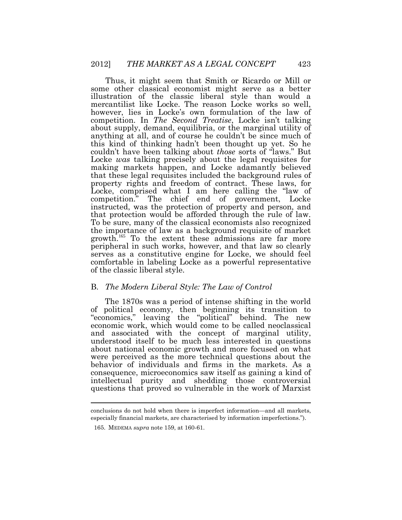Thus, it might seem that Smith or Ricardo or Mill or some other classical economist might serve as a better illustration of the classic liberal style than would a mercantilist like Locke. The reason Locke works so well, however, lies in Locke's own formulation of the law of competition. In *The Second Treatise*, Locke isn"t talking about supply, demand, equilibria, or the marginal utility of anything at all, and of course he couldn"t be since much of this kind of thinking hadn"t been thought up yet. So he couldn"t have been talking about *those* sorts of "laws." But Locke *was* talking precisely about the legal requisites for making markets happen, and Locke adamantly believed that these legal requisites included the background rules of property rights and freedom of contract. These laws, for Locke, comprised what I am here calling the "law of competition." The chief end of government, Locke instructed, was the protection of property and person, and that protection would be afforded through the rule of law. To be sure, many of the classical economists also recognized the importance of law as a background requisite of market growth.<sup>165</sup> To the extent these admissions are far more peripheral in such works, however, and that law so clearly serves as a constitutive engine for Locke, we should feel comfortable in labeling Locke as a powerful representative of the classic liberal style.

## B. *The Modern Liberal Style: The Law of Control*

The 1870s was a period of intense shifting in the world of political economy, then beginning its transition to "economics," leaving the "political" behind. The new economic work, which would come to be called neoclassical and associated with the concept of marginal utility, understood itself to be much less interested in questions about national economic growth and more focused on what were perceived as the more technical questions about the behavior of individuals and firms in the markets. As a consequence, microeconomics saw itself as gaining a kind of intellectual purity and shedding those controversial questions that proved so vulnerable in the work of Marxist

conclusions do not hold when there is imperfect information—and all markets, especially financial markets, are characterised by information imperfections.").

<sup>165.</sup> MEDEMA *supra* note 159, at 160-61.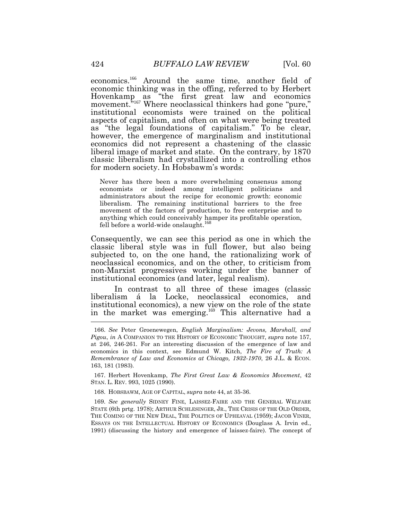economics.<sup>166</sup> Around the same time, another field of economic thinking was in the offing, referred to by Herbert Hovenkamp as "the first great law and economics movement."<sup>167</sup> Where neoclassical thinkers had gone "pure," institutional economists were trained on the political aspects of capitalism, and often on what were being treated as "the legal foundations of capitalism." To be clear, however, the emergence of marginalism and institutional economics did not represent a chastening of the classic liberal image of market and state. On the contrary, by 1870 classic liberalism had crystallized into a controlling ethos for modern society. In Hobsbawm"s words:

Never has there been a more overwhelming consensus among economists or indeed among intelligent politicians and administrators about the recipe for economic growth: economic liberalism. The remaining institutional barriers to the free movement of the factors of production, to free enterprise and to anything which could conceivably hamper its profitable operation, fell before a world-wide onslaught.<sup>168</sup>

Consequently, we can see this period as one in which the classic liberal style was in full flower, but also being subjected to, on the one hand, the rationalizing work of neoclassical economics, and on the other, to criticism from non-Marxist progressives working under the banner of institutional economics (and later, legal realism).

In contrast to all three of these images (classic liberalism á la Locke, neoclassical economics, and institutional economics), a new view on the role of the state in the market was emerging. <sup>169</sup> This alternative had a

167. Herbert Hovenkamp, *The First Great Law & Economics Movement*, 42 STAN. L. REV. 993, 1025 (1990).

168. HOBSBAWM, AGE OF CAPITAL, *supra* note 44, at 35-36.

169. *See generally* SIDNEY FINE, LAISSEZ-FAIRE AND THE GENERAL WELFARE STATE (6th prtg. 1978); ARTHUR SCHLESINGER, JR., THE CRISIS OF THE OLD ORDER, THE COMING OF THE NEW DEAL, THE POLITICS OF UPHEAVAL (1959); JACOB VINER, ESSAYS ON THE INTELLECTUAL HISTORY OF ECONOMICS (Douglass A. Irvin ed., 1991) (discussing the history and emergence of laissez-faire). The concept of

<sup>166.</sup> *See* Peter Groenewegen, *English Marginalism: Jevons, Marshall, and Pigou*, *in* A COMPANION TO THE HISTORY OF ECONOMIC THOUGHT, *supra* note 157, at 246, 246-261. For an interesting discussion of the emergence of law and economics in this context, see Edmund W. Kitch, *The Fire of Truth: A Remembrance of Law and Economics at Chicago, 1932-1970*, 26 J.L. & ECON. 163, 181 (1983).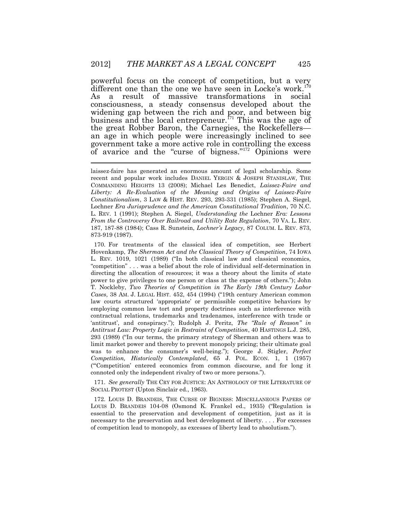powerful focus on the concept of competition, but a very different one than the one we have seen in Locke's work.<sup>170</sup> As a result of massive transformations in social consciousness, a steady consensus developed about the widening gap between the rich and poor, and between big business and the local entrepreneur.<sup> $171$ </sup> This was the age of the great Robber Baron, the Carnegies, the Rockefellers an age in which people were increasingly inclined to see government take a more active role in controlling the excess of avarice and the "curse of bigness."<sup>172</sup> Opinions were

170. For treatments of the classical idea of competition, see Herbert Hovenkamp, *The Sherman Act and the Classical Theory of Competition*, 74 IOWA L. REV. 1019, 1021 (1989) ("In both classical law and classical economics, "competition" . . . was a belief about the role of individual self-determination in directing the allocation of resources; it was a theory about the limits of state power to give privileges to one person or class at the expense of others."); John T. Nockleby, *Two Theories of Competition in The Early 19th Century Labor Cases*, 38 AM. J. LEGAL HIST. 452, 454 (1994) ("19th century American common law courts structured "appropriate" or permissible competitive behaviors by employing common law tort and property doctrines such as interference with contractual relations, trademarks and tradenames, interference with trade or 'antitrust', and conspiracy."); Rudolph J. Peritz, The "Rule of Reason" in *Antitrust Law: Property Logic in Restraint of Competition*, 40 HASTINGS L.J. 285, 293 (1989) ("In our terms, the primary strategy of Sherman and others was to limit market power and thereby to prevent monopoly pricing; their ultimate goal was to enhance the consumer's well-being."); George J. Stigler, *Perfect Competition, Historically Contemplated*, 65 J. POL. ECON. 1, 1 (1957) (""Competition" entered economics from common discourse, and for long it connoted only the independent rivalry of two or more persons.").

171. *See generally* THE CRY FOR JUSTICE: AN ANTHOLOGY OF THE LITERATURE OF SOCIAL PROTEST (Upton Sinclair ed., 1963).

172. LOUIS D. BRANDEIS, THE CURSE OF BIGNESS: MISCELLANEOUS PAPERS OF LOUIS D. BRANDEIS 104-08 (Osmond K. Frankel ed., 1935) ("Regulation is essential to the preservation and development of competition, just as it is necessary to the preservation and best development of liberty. . . . For excesses of competition lead to monopoly, as excesses of liberty lead to absolutism.").

laissez-faire has generated an enormous amount of legal scholarship. Some recent and popular work includes DANIEL YERGIN & JOSEPH STANISLAW, THE COMMANDING HEIGHTS 13 (2008); Michael Les Benedict, *Laissez-Faire and Liberty: A Re-Evaluation of the Meaning and Origins of Laissez-Faire Constitutionalism*, 3 LAW & HIST. REV. 293, 293-331 (1985); Stephen A. Siegel, Lochner *[Era Jurisprudence and the American Constitutional Tradition](http://web2.westlaw.com/find/default.wl?tf=-1&rs=WLW10.03&serialnum=0101103622&fn=_top&sv=Split&tc=-1&pbc=78BBEB4A&ordoc=0298836032&findtype=Y&db=1199&vr=2.0&rp=%2ffind%2fdefault.wl&mt=208)*, 70 N.C. L. REV. [1 \(1991\);](http://web2.westlaw.com/find/default.wl?tf=-1&rs=WLW10.03&serialnum=0101103622&fn=_top&sv=Split&tc=-1&pbc=78BBEB4A&ordoc=0298836032&findtype=Y&db=1199&vr=2.0&rp=%2ffind%2fdefault.wl&mt=208) Stephen A. Siegel, *Understanding the* Lochner *Era: Lessons From the Controversy Over Railroad and Utility Rate Regulation*, 70 VA. L. REV. 187, 187-88 (1984); Cass R. Sunstein, *Lochner"s Legacy*, 87 COLUM. L. REV. 873, 873-919 (1987).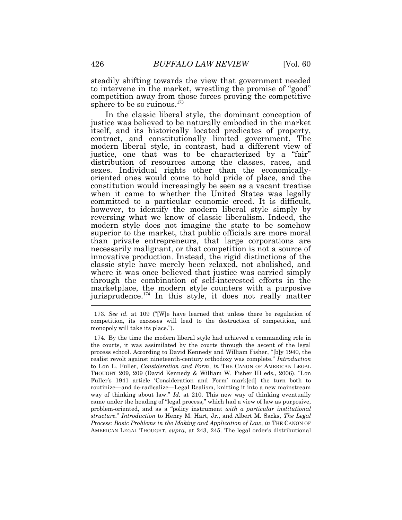steadily shifting towards the view that government needed to intervene in the market, wrestling the promise of "good" competition away from those forces proving the competitive sphere to be so ruinous. $173$ 

In the classic liberal style, the dominant conception of justice was believed to be naturally embodied in the market itself, and its historically located predicates of property, contract, and constitutionally limited government. The modern liberal style, in contrast, had a different view of justice, one that was to be characterized by a "fair" distribution of resources among the classes, races, and sexes. Individual rights other than the economicallyoriented ones would come to hold pride of place, and the constitution would increasingly be seen as a vacant treatise when it came to whether the United States was legally committed to a particular economic creed. It is difficult, however, to identify the modern liberal style simply by reversing what we know of classic liberalism. Indeed, the modern style does not imagine the state to be somehow superior to the market, that public officials are more moral than private entrepreneurs, that large corporations are necessarily malignant, or that competition is not a source of innovative production. Instead, the rigid distinctions of the classic style have merely been relaxed, not abolished, and where it was once believed that justice was carried simply through the combination of self-interested efforts in the marketplace, the modern style counters with a purposive jurisprudence.<sup>174</sup> In this style, it does not really matter

<sup>173.</sup> *See id.* at 109 ("[W]e have learned that unless there be regulation of competition, its excesses will lead to the destruction of competition, and monopoly will take its place.").

<sup>174.</sup> By the time the modern liberal style had achieved a commanding role in the courts, it was assimilated by the courts through the ascent of the legal process school. According to David Kennedy and William Fisher, "[b]y 1940, the realist revolt against nineteenth-century orthodoxy was complete." *Introduction* to Lon L. Fuller, *Consideration and Form*, *in* THE CANON OF AMERICAN LEGAL THOUGHT 209, 209 (David Kennedy & William W. Fisher III eds., 2006). "Lon Fuller"s 1941 article "Consideration and Form" mark[ed] the turn both to routinize—and de-radicalize—Legal Realism, knitting it into a new mainstream way of thinking about law." *Id.* at 210. This new way of thinking eventually came under the heading of "legal process," which had a view of law as purposive, problem-oriented, and as a "policy instrument *with a particular institutional structure*." *Introduction* to Henry M. Hart, Jr., and Albert M. Sacks, *The Legal Process: Basic Problems in the Making and Application of Law*, *in* THE CANON OF AMERICAN LEGAL THOUGHT, *supra*, at 243, 245. The legal order"s distributional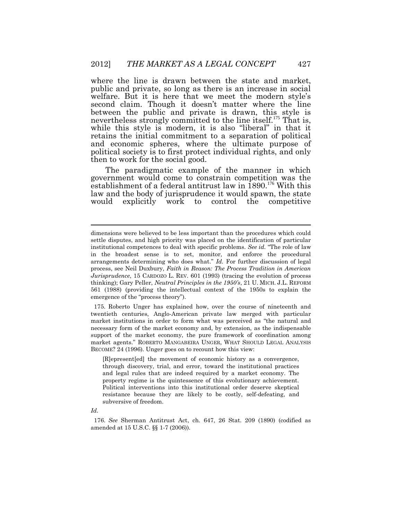where the line is drawn between the state and market, public and private, so long as there is an increase in social welfare. But it is here that we meet the modern style's second claim. Though it doesn't matter where the line between the public and private is drawn, this style is nevertheless strongly committed to the line itself.<sup>175</sup> That is, while this style is modern, it is also "liberal" in that it retains the initial commitment to a separation of political and economic spheres, where the ultimate purpose of political society is to first protect individual rights, and only then to work for the social good.

The paradigmatic example of the manner in which government would come to constrain competition was the establishment of a federal antitrust law in 1890.<sup>176</sup> With this law and the body of jurisprudence it would spawn, the state would explicitly work to control the competitive

175. Roberto Unger has explained how, over the course of nineteenth and twentieth centuries, Anglo-American private law merged with particular market institutions in order to form what was perceived as "the natural and necessary form of the market economy and, by extension, as the indispensable support of the market economy, the pure framework of coordination among market agents." ROBERTO MANGABEIRA UNGER, WHAT SHOULD LEGAL ANALYSIS BECOME? 24 (1996). Unger goes on to recount how this view:

[R]epresent[ed] the movement of economic history as a convergence, through discovery, trial, and error, toward the institutional practices and legal rules that are indeed required by a market economy. The property regime is the quintessence of this evolutionary achievement. Political interventions into this institutional order deserve skeptical resistance because they are likely to be costly, self-defeating, and subversive of freedom.

*Id.*

176. *See* Sherman Antitrust Act, ch. 647, 26 Stat. 209 (1890) (codified as amended at 15 U.S.C. §§ 1-7 (2006)).

dimensions were believed to be less important than the procedures which could settle disputes, and high priority was placed on the identification of particular institutional competences to deal with specific problems. *See id.* "The role of law in the broadest sense is to set, monitor, and enforce the procedural arrangements determining who does what." *Id.* For further discussion of legal process, see Neil Duxbury, *Faith in Reason: The Process Tradition in American Jurisprudence*, 15 CARDOZO L. REV. 601 (1993) (tracing the evolution of process thinking); Gary Peller, *Neutral Principles in the 1950"s*, 21 U. MICH. J.L. REFORM 561 (1988) (providing the intellectual context of the 1950s to explain the emergence of the "process theory").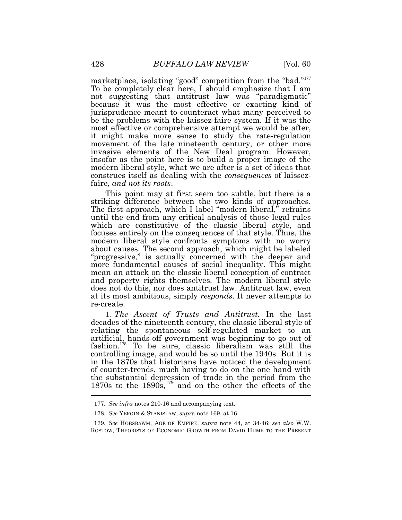marketplace, isolating "good" competition from the "bad."<sup>177</sup> To be completely clear here, I should emphasize that I am not suggesting that antitrust law was "paradigmatic" because it was the most effective or exacting kind of jurisprudence meant to counteract what many perceived to be the problems with the laissez-faire system. If it was the most effective or comprehensive attempt we would be after, it might make more sense to study the rate-regulation movement of the late nineteenth century, or other more invasive elements of the New Deal program. However, insofar as the point here is to build a proper image of the modern liberal style, what we are after is a set of ideas that construes itself as dealing with the *consequences* of laissezfaire, *and not its roots*.

This point may at first seem too subtle, but there is a striking difference between the two kinds of approaches. The first approach, which I label "modern liberal," refrains until the end from any critical analysis of those legal rules which are constitutive of the classic liberal style, and focuses entirely on the consequences of that style. Thus, the modern liberal style confronts symptoms with no worry about causes. The second approach, which might be labeled "progressive," is actually concerned with the deeper and more fundamental causes of social inequality. This might mean an attack on the classic liberal conception of contract and property rights themselves. The modern liberal style does not do this, nor does antitrust law. Antitrust law, even at its most ambitious, simply *responds*. It never attempts to re-create.

1. *The Ascent of Trusts and Antitrust.* In the last decades of the nineteenth century, the classic liberal style of relating the spontaneous self-regulated market to an artificial, hands-off government was beginning to go out of fashion.<sup>178</sup> To be sure, classic liberalism was still the controlling image, and would be so until the 1940s. But it is in the 1870s that historians have noticed the development of counter-trends, much having to do on the one hand with the substantial depression of trade in the period from the  $1870s$  to the  $1890s$ ,  $179$  and on the other the effects of the

<sup>177.</sup> *See infra* notes 210-16 and accompanying text.

<sup>178.</sup> *See* YERGIN & STANISLAW, *supr*a note 169, at 16.

<sup>179.</sup> *See* HOBSBAWM, AGE OF EMPIRE, *supra* note 44, at 34-46; *see also* W.W. ROSTOW, THEORISTS OF ECONOMIC GROWTH FROM DAVID HUME TO THE PRESENT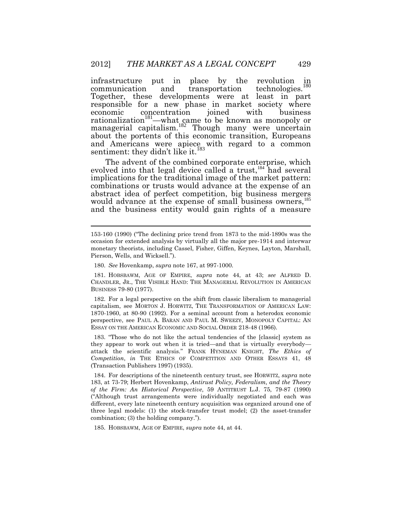infrastructure put in place by the revolution in communication and transportation technologies.<sup>180</sup> Together, these developments were at least in part responsible for a new phase in market society where economic concentration joined with business rationalization<sup>181</sup>—what came to be known as monopoly or managerial capitalism.<sup>182</sup> Though many were uncertain about the portents of this economic transition, Europeans and Americans were apiece with regard to a common sentiment: they didn't like it.<sup>183</sup>

The advent of the combined corporate enterprise, which evolved into that legal device called a trust,<sup>184</sup> had several implications for the traditional image of the market pattern: combinations or trusts would advance at the expense of an abstract idea of perfect competition, big business mergers would advance at the expense of small business owners,<sup>185</sup> and the business entity would gain rights of a measure

181. HOBSBAWM, AGE OF EMPIRE, *supra* note 44, at 43; *see* ALFRED D. CHANDLER, JR., THE VISIBLE HAND: THE MANAGERIAL REVOLUTION IN AMERICAN BUSINESS 79-80 (1977).

182. For a legal perspective on the shift from classic liberalism to managerial capitalism, see MORTON J. HORWITZ, THE TRANSFORMATION OF AMERICAN LAW: 1870-1960, at 80-90 (1992). For a seminal account from a heterodox economic perspective, see PAUL A. BARAN AND PAUL M. SWEEZY, MONOPOLY CAPITAL: AN ESSAY ON THE AMERICAN ECONOMIC AND SOCIAL ORDER 218-48 (1966).

183. "Those who do not like the actual tendencies of the [classic] system as they appear to work out when it is tried—and that is virtually everybody attack the scientific analysis." FRANK HYNEMAN KNIGHT, *The Ethics of Competition*, *in* THE ETHICS OF COMPETITION AND OTHER ESSAYS 41, 48 (Transaction Publishers 1997) (1935).

184. For descriptions of the nineteenth century trust, see HORWITZ, *supra* note 183, at 73-79; Herbert Hovenkamp, *Antirust Policy, Federalism, and the Theory of the Firm: An Historical Perspective*, 59 ANTITRUST L.J. 75, 79-87 (1990) ("Although trust arrangements were individually negotiated and each was different, every late nineteenth century acquisition was organized around one of three legal models: (1) the stock-transfer trust model; (2) the asset-transfer combination; (3) the holding company.").

185. HOBSBAWM, AGE OF EMPIRE, *supra* note 44, at 44.

<sup>153-160 (1990)</sup> ("The declining price trend from 1873 to the mid-1890s was the occasion for extended analysis by virtually all the major pre-1914 and interwar monetary theorists, including Cassel, Fisher, Giffen, Keynes, Layton, Marshall, Pierson, Wells, and Wicksell.").

<sup>180.</sup> *See* Hovenkamp, *supra* note 167, at 997-1000.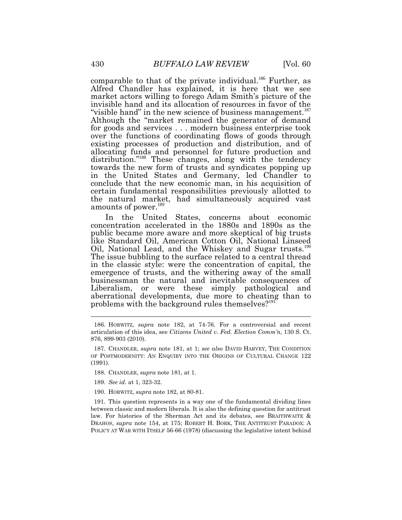comparable to that of the private individual.<sup>186</sup> Further, as Alfred Chandler has explained, it is here that we see market actors willing to forego Adam Smith's picture of the invisible hand and its allocation of resources in favor of the "visible hand" in the new science of business management. $187$ Although the "market remained the generator of demand for goods and services . . . modern business enterprise took over the functions of coordinating flows of goods through existing processes of production and distribution, and of allocating funds and personnel for future production and distribution."<sup>188</sup> These changes, along with the tendency towards the new form of trusts and syndicates popping up in the United States and Germany, led Chandler to conclude that the new economic man, in his acquisition of certain fundamental responsibilities previously allotted to the natural market, had simultaneously acquired vast amounts of power.<sup>189</sup>

In the United States, concerns about economic concentration accelerated in the 1880s and 1890s as the public became more aware and more skeptical of big trusts like Standard Oil, American Cotton Oil, National Linseed Oil, National Lead, and the Whiskey and Sugar trusts. 190 The issue bubbling to the surface related to a central thread in the classic style: were the concentration of capital, the emergence of trusts, and the withering away of the small businessman the natural and inevitable consequences of Liberalism, or were these simply pathological and aberrational developments, due more to cheating than to problems with the background rules themselves?<sup>191</sup>

- 188. CHANDLER, *supra* note 181, at 1.
- 189. *See id.* at 1, 323-32.
- 190. HORWITZ, *supra* note 182, at 80-81.

191. This question represents in a way one of the fundamental dividing lines between classic and modern liberals. It is also the defining question for antitrust law. For histories of the Sherman Act and its debates, see BRAITHWAITE & DRAHOS, *supra* note 154, at 175; ROBERT H. BORK, THE ANTITRUST PARADOX: A POLICY AT WAR WITH ITSELF 56-66 (1978) (discussing the legislative intent behind

<sup>186.</sup> HORWITZ, *supra* note 182, at 74-76. For a controversial and recent articulation of this idea, see *Citizens United v. Fed. Election Comm"n*, 130 S. Ct. 876, 899-903 (2010).

<sup>187.</sup> CHANDLER, *supra* note 181, at 1; *see also* DAVID HARVEY, THE CONDITION OF POSTMODERNITY: AN ENQUIRY INTO THE ORIGINS OF CULTURAL CHANGE 122 (1991).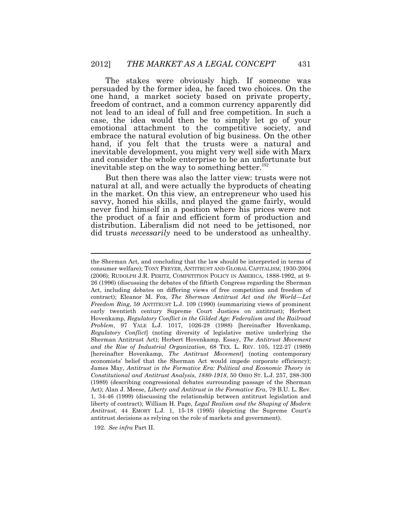The stakes were obviously high. If someone was persuaded by the former idea, he faced two choices. On the one hand, a market society based on private property, freedom of contract, and a common currency apparently did not lead to an ideal of full and free competition. In such a case, the idea would then be to simply let go of your emotional attachment to the competitive society, and embrace the natural evolution of big business. On the other hand, if you felt that the trusts were a natural and inevitable development, you might very well side with Marx and consider the whole enterprise to be an unfortunate but inevitable step on the way to something better. $^{192}$ 

But then there was also the latter view: trusts were not natural at all, and were actually the byproducts of cheating in the market. On this view, an entrepreneur who used his savvy, honed his skills, and played the game fairly, would never find himself in a position where his prices were not the product of a fair and efficient form of production and distribution. Liberalism did not need to be jettisoned, nor did trusts *necessarily* need to be understood as unhealthy.

192. *See infra* Part II.

the Sherman Act, and concluding that the law should be interpreted in terms of consumer welfare); TONY FREYER, ANTITRUST AND GLOBAL CAPITALISM, 1930-2004 (2006); RUDOLPH J.R. PERITZ, COMPETITION POLICY IN AMERICA, 1888-1992, at 9- 26 (1996) (discussing the debates of the fiftieth Congress regarding the Sherman Act, including debates on differing views of free competition and freedom of contract); Eleanor M. Fox, *The Sherman Antitrust Act and the World—Let Freedom Ring*, 59 ANTITRUST L.J. 109 (1990) (summarizing views of prominent early twentieth century Supreme Court Justices on antitrust); Herbert Hovenkamp, *Regulatory Conflict in the Gilded Age: Federalism and the Railroad Problem*, 97 YALE L.J. 1017, 1026-28 (1988) [hereinafter Hovenkamp, *Regulatory Conflict*] (noting diversity of legislative motive underlying the Sherman Antitrust Act); Herbert Hovenkamp, Essay, *The Antitrust Movement and the Rise of Industrial Organization,* 68 TEX. L. REV. 105, 122-27 (1989) [hereinafter Hovenkamp, *The Antitrust Movement*] (noting contemporary economists' belief that the Sherman Act would impede corporate efficiency); James May, *Antitrust in the Formative Era: Political and Economic Theory in Constitutional and Antitrust Analysis, 1880-1918*, 50 OHIO ST. L.J. 257, 288-300 (1989) (describing congressional debates surrounding passage of the Sherman Act); Alan J. Meese, *Liberty and Antitrust in the Formative Era*, 79 B.U. L. Rev. 1, 34-46 (1999) (discussing the relationship between antitrust legislation and liberty of contract); William H. Page, *Legal Realism and the Shaping of Modern Antitrust*, 44 EMORY L.J. 1, 15-18 (1995) (depicting the Supreme Court"s antitrust decisions as relying on the role of markets and government).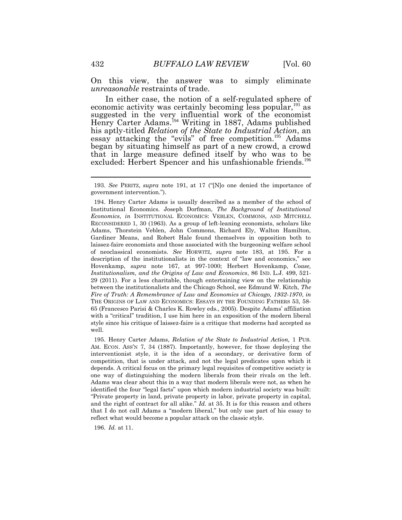On this view, the answer was to simply eliminate *unreasonable* restraints of trade.

In either case, the notion of a self-regulated sphere of economic activity was certainly becoming less popular,<sup>193</sup> as suggested in the very influential work of the economist Henry Carter Adams.<sup>194</sup> Writing in 1887, Adams published his aptly-titled *Relation of the State to Industrial Action*, an essay attacking the "evils" of free competition.<sup>195</sup> Adams began by situating himself as part of a new crowd, a crowd that in large measure defined itself by who was to be excluded: Herbert Spencer and his unfashionable friends.<sup>196</sup>

195. Henry Carter Adams, *Relation of the State to Industrial Action,* 1 PUB. AM. ECON. ASS'N 7, 34 (1887). Importantly, however, for those deploying the interventionist style, it is the idea of a secondary, or derivative form of competition, that is under attack, and not the legal predicates upon which it depends. A critical focus on the primary legal requisites of competitive society is one way of distinguishing the modern liberals from their rivals on the left. Adams was clear about this in a way that modern liberals were not, as when he identified the four "legal facts" upon which modern industrial society was built: "Private property in land, private property in labor, private property in capital, and the right of contract for all alike." *Id.* at 35. It is for this reason and others that I do not call Adams a "modern liberal," but only use part of his essay to reflect what would become a popular attack on the classic style.

196. *Id.* at 11.

<sup>193.</sup> *See* PERITZ, *supra* note 191, at 17 ("[N]o one denied the importance of government intervention.").

<sup>194.</sup> Henry Carter Adams is usually described as a member of the school of Institutional Economics. Joseph Dorfman, *The Background of Institutional Economics*, *in* INSTITUTIONAL ECONOMICS: VEBLEN, COMMONS, AND MITCHELL RECONSIDERED 1, 30 (1963). As a group of left-leaning economists, scholars like Adams, Thorstein Veblen, John Commons, Richard Ely, Walton Hamilton, Gardiner Means, and Robert Hale found themselves in opposition both to laissez-faire economists and those associated with the burgeoning welfare school of neoclassical economists. *See* HORWITZ, *supra* note 183, at 195. For a description of the institutionalists in the context of "law and economics," see Hovenkamp, *supra* note 167, at 997-1000; Herbert Hovenkamp, *Coase, Institutionalism, and the Origins of Law and Economics*, 86 IND. L.J. 499, 521- 29 (2011). For a less charitable, though entertaining view on the relationship between the institutionalists and the Chicago School, see Edmund W. Kitch, *The Fire of Truth: A Remembrance of Law and Economics at Chicago, 1932-1970*, *in*  THE ORIGINS OF LAW AND ECONOMICS: ESSAYS BY THE FOUNDING FATHERS 53, 58- 65 (Francesco Parisi & Charles K. Rowley eds., 2005). Despite Adams" affiliation with a "critical" tradition, I use him here in an exposition of the modern liberal style since his critique of laissez-faire is a critique that moderns had accepted as well.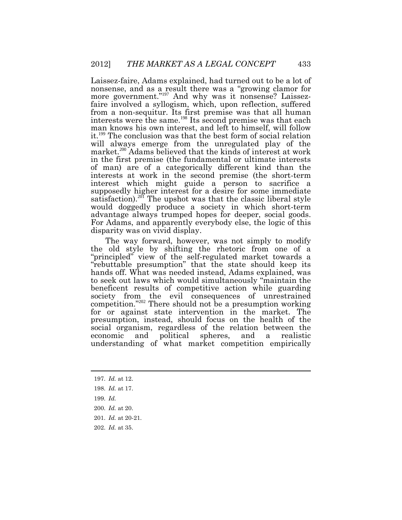Laissez-faire, Adams explained, had turned out to be a lot of nonsense, and as a result there was a "growing clamor for more government."<sup>197</sup> And why was it nonsense? Laissezfaire involved a syllogism, which, upon reflection, suffered from a non-sequitur. Its first premise was that all human interests were the same.<sup>198</sup> Its second premise was that each man knows his own interest, and left to himself, will follow it.<sup>199</sup> The conclusion was that the best form of social relation will always emerge from the unregulated play of the market.<sup>200</sup> Adams believed that the kinds of interest at work in the first premise (the fundamental or ultimate interests of man) are of a categorically different kind than the interests at work in the second premise (the short-term interest which might guide a person to sacrifice a supposedly higher interest for a desire for some immediate satisfaction).<sup>201</sup> The upshot was that the classic liberal style would doggedly produce a society in which short-term advantage always trumped hopes for deeper, social goods. For Adams, and apparently everybody else, the logic of this disparity was on vivid display.

The way forward, however, was not simply to modify the old style by shifting the rhetoric from one of a "principled" view of the self-regulated market towards a "rebuttable presumption" that the state should keep its hands off. What was needed instead, Adams explained, was to seek out laws which would simultaneously "maintain the beneficent results of competitive action while guarding society from the evil consequences of unrestrained competition." <sup>202</sup> There should not be a presumption working for or against state intervention in the market. The presumption, instead, should focus on the health of the social organism, regardless of the relation between the economic and political spheres, and a realistic understanding of what market competition empirically

- 197. *Id.* at 12.
- 198. *Id.* at 17.
- 199. *Id.*
- 200. *Id.* at 20.
- 201. *Id.* at 20-21.
- 202. *Id.* at 35.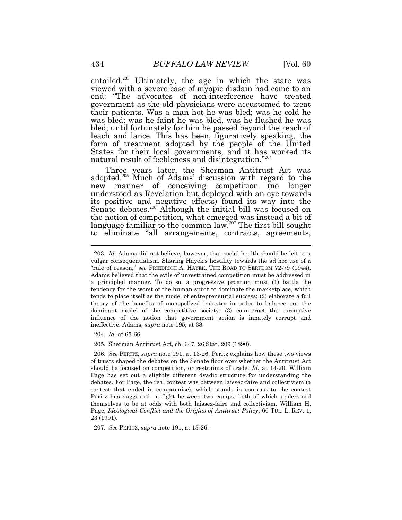entailed.<sup>203</sup> Ultimately, the age in which the state was viewed with a severe case of myopic disdain had come to an end: "The advocates of non-interference have treated government as the old physicians were accustomed to treat their patients. Was a man hot he was bled; was he cold he was bled; was he faint he was bled, was he flushed he was bled; until fortunately for him he passed beyond the reach of leach and lance. This has been, figuratively speaking, the form of treatment adopted by the people of the United States for their local governments, and it has worked its natural result of feebleness and disintegration."<sup>204</sup>

Three years later, the Sherman Antitrust Act was adopted.<sup>205</sup> Much of Adams" discussion with regard to the new manner of conceiving competition (no longer understood as Revelation but deployed with an eye towards its positive and negative effects) found its way into the Senate debates.<sup>206</sup> Although the initial bill was focused on the notion of competition, what emerged was instead a bit of language familiar to the common law.<sup>207</sup> The first bill sought to eliminate "all arrangements, contracts, agreements,

204. *Id.* at 65-66.

205. Sherman Antitrust Act, ch. 647, 26 Stat. 209 (1890).

206. *See* PERITZ, *supra* note 191, at 13-26. Peritz explains how these two views of trusts shaped the debates on the Senate floor over whether the Antitrust Act should be focused on competition, or restraints of trade. *Id.* at 14-20. William Page has set out a slightly different dyadic structure for understanding the debates. For Page, the real contest was between laissez-faire and collectivism (a contest that ended in compromise), which stands in contrast to the contest Peritz has suggested—a fight between two camps, both of which understood themselves to be at odds with both laissez-faire and collectivism. William H. Page, *Ideological Conflict and the Origins of Antitrust Policy*, 66 TUL. L. REV. 1, 23 (1991).

207. *See* PERITZ, *supra* note 191, at 13-26.

<sup>203.</sup> *Id.* Adams did not believe, however, that social health should be left to a vulgar consequentialism. Sharing Hayek"s hostility towards the ad hoc use of a "rule of reason," *see* FRIEDRICH A. HAYEK, THE ROAD TO SERFDOM 72-79 (1944), Adams believed that the evils of unrestrained competition must be addressed in a principled manner. To do so, a progressive program must (1) battle the tendency for the worst of the human spirit to dominate the marketplace, which tends to place itself as the model of entrepreneurial success; (2) elaborate a full theory of the benefits of monopolized industry in order to balance out the dominant model of the competitive society; (3) counteract the corruptive influence of the notion that government action is innately corrupt and ineffective. Adams, *supra* note 195, at 38.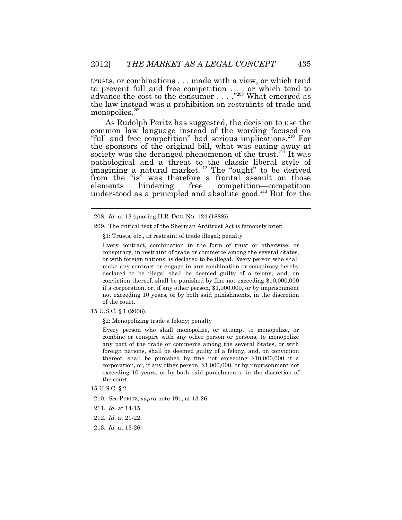trusts, or combinations . . . made with a view, or which tend to prevent full and free competition . . . or which tend to advance the cost to the consumer . . . . "<sup>208</sup> What emerged as the law instead was a prohibition on restraints of trade and monopolies.<sup>209</sup>

As Rudolph Peritz has suggested, the decision to use the common law language instead of the wording focused on "full and free competition" had serious implications.<sup>210</sup> For the sponsors of the original bill, what was eating away at society was the deranged phenomenon of the trust.<sup>211</sup> It was pathological and a threat to the classic liberal style of imagining a natural market.<sup>212</sup> The "ought" to be derived from the "is" was therefore a frontal assault on those elements hindering free competition—competition understood as a principled and absolute good.<sup>213</sup> But for the

209. The critical text of the Sherman Antitrust Act is famously brief:

§1: Trusts, etc., in restraint of trade illegal; penalty

Every contract, combination in the form of trust or otherwise, or conspiracy, in restraint of trade or commerce among the several States, or with foreign nations, is declared to be illegal. Every person who shall make any contract or engage in any combination or conspiracy hereby declared to be illegal shall be deemed guilty of a felony, and, on conviction thereof, shall be punished by fine not exceeding \$10,000,000 if a corporation, or, if any other person, \$1,000,000, or by imprisonment not exceeding 10 years, or by both said punishments, in the discretion of the court.

15 U.S.C. § 1 (2006).

§2: Monopolizing trade a felony; penalty

Every person who shall monopolize, or attempt to monopolize, or combine or conspire with any other person or persons, to monopolize any part of the trade or commerce among the several States, or with foreign nations, shall be deemed guilty of a felony, and, on conviction thereof, shall be punished by fine not exceeding \$10,000,000 if a corporation, or, if any other person, \$1,000,000, or by imprisonment not exceeding 10 years, or by both said punishments, in the discretion of the court.

- 15 U.S.C. § 2.
- 210. *See* PERITZ, *supra* note 191, at 13-26.
- 211. *Id.* at 14-15.
- 212. *Id.* at 21-22.
- 213. *Id.* at 13-26.

<sup>208.</sup> *Id.* at 13 (quoting H.R. DOC. NO. 124 (1888)).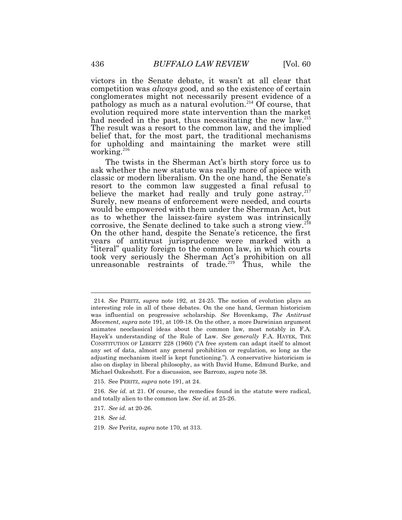victors in the Senate debate, it wasn"t at all clear that competition was *always* good, and so the existence of certain conglomerates might not necessarily present evidence of a pathology as much as a natural evolution.<sup>214</sup> Of course, that evolution required more state intervention than the market had needed in the past, thus necessitating the new law.<sup>215</sup> The result was a resort to the common law, and the implied belief that, for the most part, the traditional mechanisms for upholding and maintaining the market were still working.<sup>216</sup>

The twists in the Sherman Act's birth story force us to ask whether the new statute was really more of apiece with classic or modern liberalism. On the one hand, the Senate"s resort to the common law suggested a final refusal to believe the market had really and truly gone astray.<sup>217</sup> Surely, new means of enforcement were needed, and courts would be empowered with them under the Sherman Act, but as to whether the laissez-faire system was intrinsically corrosive, the Senate declined to take such a strong view.<sup>218</sup> On the other hand, despite the Senate"s reticence, the first years of antitrust jurisprudence were marked with a "literal" quality foreign to the common law, in which courts took very seriously the Sherman Act's prohibition on all unreasonable restraints of trade.<sup>219</sup> Thus, while the

215. See PERITZ, *supra* note 191, at 24.

- 217. *See id.* at 20-26.
- 218. *See id.*
- 219. *See* Peritz, *supra* note 170, at 313.

<sup>214.</sup> *See* PERITZ, *supra* note 192, at 24-25. The notion of evolution plays an interesting role in all of these debates. On the one hand, German historicism was influential on progressive scholarship. *See* Hovenkamp, *The Antitrust Movement*, *supra* note 191, at 109-18. On the other, a more Darwinian argument animates neoclassical ideas about the common law, most notably in F.A. Hayek"s understanding of the Rule of Law. *See generally* F.A. HAYEK, THE CONSTITUTION OF LIBERTY 228 (1960) ("A free system can adapt itself to almost any set of data, almost any general prohibition or regulation, so long as the adjusting mechanism itself is kept functioning."). A conservative historicism is also on display in liberal philosophy, as with David Hume, Edmund Burke, and Michael Oakeshott. For a discussion, see Barrozo, *supra* note 38.

<sup>216.</sup> *See id.* at 21. Of course, the remedies found in the statute were radical, and totally alien to the common law. *See id.* at 25-26.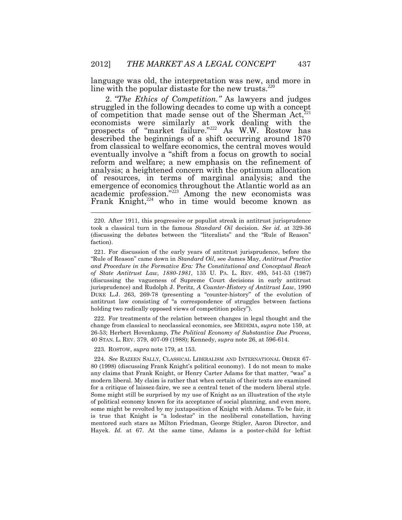language was old, the interpretation was new, and more in line with the popular distaste for the new trusts.<sup>220</sup>

2. *"The Ethics of Competition."* As lawyers and judges struggled in the following decades to come up with a concept of competition that made sense out of the Sherman  $Act<sub>1</sub><sup>2</sup>$ economists were similarly at work dealing with the prospects of "market failure."<sup>222</sup> As W.W. Rostow has described the beginnings of a shift occurring around 1870 from classical to welfare economics, the central moves would eventually involve a "shift from a focus on growth to social reform and welfare; a new emphasis on the refinement of analysis; a heightened concern with the optimum allocation of resources, in terms of marginal analysis; and the emergence of economics throughout the Atlantic world as an academic profession."<sup>223</sup> Among the new economists was Frank Knight,<sup>224</sup> who in time would become known as

222. For treatments of the relation between changes in legal thought and the change from classical to neoclassical economics, see MEDEMA, *supra* note 159, at 26-53; Herbert Hovenkamp, *The Political Economy of Substantive Due Process*, 40 STAN. L. REV. 379, 407-09 (1988); Kennedy, *supra* note 26, at 596-614.

223. ROSTOW, *supra* note 179, at 153.

<sup>220.</sup> After 1911, this progressive or populist streak in antitrust jurisprudence took a classical turn in the famous *Standard Oil* decision. *See id.* at 329-36 (discussing the debates between the "literalists" and the "Rule of Reason" faction).

<sup>221.</sup> For discussion of the early years of antitrust jurisprudence, before the "Rule of Reason" came down in *Standard Oil*, see James May, *Antitrust Practice and Procedure in the Formative Era: The Constitutional and Conceptual Reach of State Antitrust Law, 1880-1981*, 135 U. PA. L. REV. 495, 541-53 (1987) (discussing the vagueness of Supreme Court decisions in early antitrust jurisprudence) and Rudolph J. Peritz, *A Counter-History of Antitrust Law*, 1990 DUKE L.J. 263, 269-78 (presenting a "counter-history" of the evolution of antitrust law consisting of "a correspondence of struggles between factions holding two radically opposed views of competition policy").

<sup>224.</sup> *See* RAZEEN SALLY, CLASSICAL LIBERALISM AND INTERNATIONAL ORDER 67- 80 (1998) (discussing Frank Knight"s political economy). I do not mean to make any claims that Frank Knight, or Henry Carter Adams for that matter, "was" a modern liberal. My claim is rather that when certain of their texts are examined for a critique of laissez-faire, we see a central tenet of the modern liberal style. Some might still be surprised by my use of Knight as an illustration of the style of political economy known for its acceptance of social planning, and even more, some might be revolted by my juxtaposition of Knight with Adams. To be fair, it is true that Knight is "a lodestar" in the neoliberal constellation, having mentored such stars as Milton Friedman, George Stigler, Aaron Director, and Hayek. *Id.* at 67. At the same time, Adams is a poster-child for leftist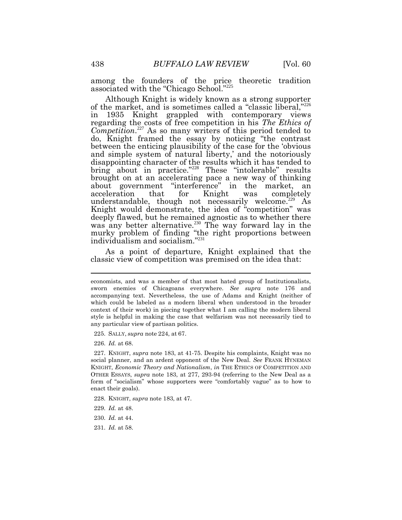among the founders of the price theoretic tradition associated with the "Chicago School."<sup>225</sup>

Although Knight is widely known as a strong supporter of the market, and is sometimes called a "classic liberal,"<sup>226</sup> in 1935 Knight grappled with contemporary views regarding the costs of free competition in his *The Ethics of*  Competition.<sup>227</sup> As so many writers of this period tended to do, Knight framed the essay by noticing "the contrast between the enticing plausibility of the case for the "obvious and simple system of natural liberty, and the notoriously disappointing character of the results which it has tended to bring about in practice."<sup>228</sup> These "intolerable" results brought on at an accelerating pace a new way of thinking about government "interference" in the market, an acceleration that for Knight was completely understandable, though not necessarily welcome.<sup>229</sup> As Knight would demonstrate, the idea of "competition" was deeply flawed, but he remained agnostic as to whether there was any better alternative.<sup>230</sup> The way forward lay in the murky problem of finding "the right proportions between individualism and socialism." 231

As a point of departure, Knight explained that the classic view of competition was premised on the idea that:

225. SALLY, *supra* note 224, at 67.

226. *Id.* at 68.

227. KNIGHT, *supra* note 183, at 41-75. Despite his complaints, Knight was no social planner, and an ardent opponent of the New Deal. *See* FRANK HYNEMAN KNIGHT, *Economic Theory and Nationalism*, *in* THE ETHICS OF COMPETITION AND OTHER ESSAYS, *supra* note 183, at 277, 293-94 (referring to the New Deal as a form of "socialism" whose supporters were "comfortably vague" as to how to enact their goals).

228. KNIGHT, *supra* note 183, at 47.

- 229. *Id.* at 48.
- 230. *Id.* at 44.
- 231. *Id.* at 58.

economists, and was a member of that most hated group of Institutionalists, sworn enemies of Chicagoans everywhere. *See supra* note 176 and accompanying text. Nevertheless, the use of Adams and Knight (neither of which could be labeled as a modern liberal when understood in the broader context of their work) in piecing together what I am calling the modern liberal style is helpful in making the case that welfarism was not necessarily tied to any particular view of partisan politics.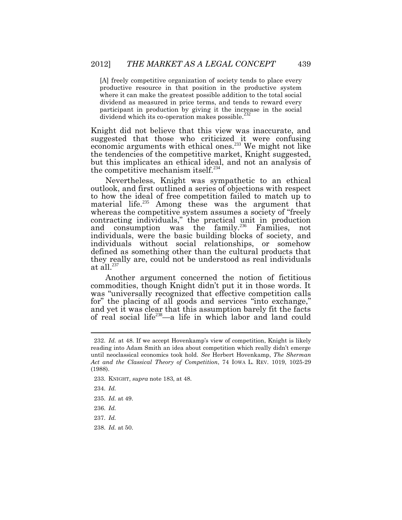[A] freely competitive organization of society tends to place every productive resource in that position in the productive system where it can make the greatest possible addition to the total social dividend as measured in price terms, and tends to reward every participant in production by giving it the increase in the social dividend which its co-operation makes possible. $^{232}$ 

Knight did not believe that this view was inaccurate, and suggested that those who criticized it were confusing economic arguments with ethical ones.<sup>233</sup> We might not like the tendencies of the competitive market, Knight suggested, but this implicates an ethical ideal, and not an analysis of the competitive mechanism itself.<sup>234</sup>

Nevertheless, Knight was sympathetic to an ethical outlook, and first outlined a series of objections with respect to how the ideal of free competition failed to match up to material life.<sup>235</sup> Among these was the argument that whereas the competitive system assumes a society of "freely contracting individuals," the practical unit in production and consumption was the family.<sup>236</sup> Families, not individuals, were the basic building blocks of society, and individuals without social relationships, or somehow defined as something other than the cultural products that they really are, could not be understood as real individuals at all.<sup>237</sup>

Another argument concerned the notion of fictitious commodities, though Knight didn"t put it in those words. It was "universally recognized that effective competition calls for" the placing of all goods and services "into exchange," and yet it was clear that this assumption barely fit the facts of real social life<sup>238</sup>—a life in which labor and land could

233. KNIGHT, *supra* note 183, at 48.

<sup>232.</sup> *Id.* at 48. If we accept Hovenkamp"s view of competition, Knight is likely reading into Adam Smith an idea about competition which really didn"t emerge until neoclassical economics took hold. *See* Herbert Hovenkamp, *The Sherman Act and the Classical Theory of Competition*, 74 IOWA L. REV. 1019, 1025-29 (1988).

<sup>234.</sup> *Id.*

<sup>235.</sup> *Id.* at 49.

<sup>236.</sup> *Id.*

<sup>237.</sup> *Id.*

<sup>238.</sup> *Id.* at 50.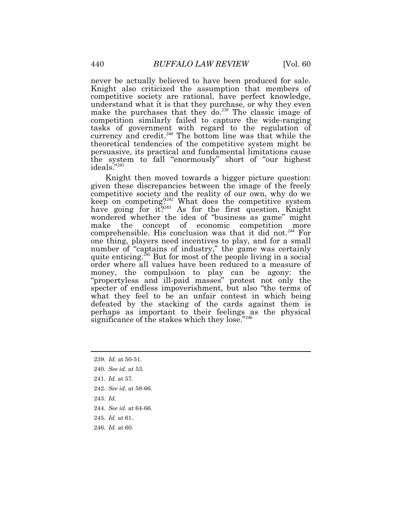never be actually believed to have been produced for sale. Knight also criticized the assumption that members of competitive society are rational, have perfect knowledge, understand what it is that they purchase, or why they even make the purchases that they do.<sup>239</sup> The classic image of competition similarly failed to capture the wide-ranging tasks of government with regard to the regulation of currency and credit.<sup>240</sup> The bottom line was that while the theoretical tendencies of the competitive system might be persuasive, its practical and fundamental limitations cause the system to fall "enormously" short of "our highest ideals."<sup>241</sup>

Knight then moved towards a bigger picture question: given these discrepancies between the image of the freely competitive society and the reality of our own, why do we keep on competing? $242}$  What does the competitive system have going for it?<sup>243</sup> As for the first question, Knight wondered whether the idea of "business as game" might make the concept of economic competition more comprehensible. His conclusion was that it did not.<sup>244</sup> For one thing, players need incentives to play, and for a small number of "captains of industry," the game was certainly quite enticing.<sup> $245$ </sup> But for most of the people living in a social order where all values have been reduced to a measure of money, the compulsion to play can be agony: the "propertyless and ill-paid masses" protest not only the specter of endless impoverishment, but also "the terms of what they feel to be an unfair contest in which being defeated by the stacking of the cards against them is perhaps as important to their feelings as the physical significance of the stakes which they lose."246

- 239. *Id.* at 50-51.
- 240. *See id.* at 53.
- 241. *Id.* at 57.
- 242. *See id.* at 58-66.
- 243. *Id.*
- 244. *See id.* at 64-66.
- 245. *Id.* at 61.
- 246. *Id.* at 60.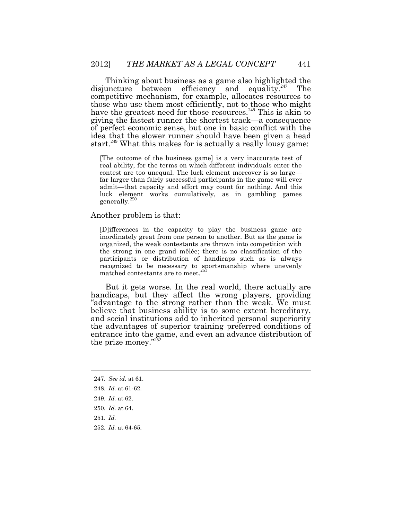Thinking about business as a game also highlighted the disjuncture between efficiency and equality.<sup>247</sup> The competitive mechanism, for example, allocates resources to those who use them most efficiently, not to those who might have the greatest need for those resources.<sup>248</sup> This is akin to giving the fastest runner the shortest track—a consequence of perfect economic sense, but one in basic conflict with the idea that the slower runner should have been given a head start.<sup>249</sup> What this makes for is actually a really lousy game:

[The outcome of the business game] is a very inaccurate test of real ability, for the terms on which different individuals enter the contest are too unequal. The luck element moreover is so large far larger than fairly successful participants in the game will ever admit—that capacity and effort may count for nothing. And this luck element works cumulatively, as in gambling games generally.<sup>250</sup>

## Another problem is that:

[D]ifferences in the capacity to play the business game are inordinately great from one person to another. But as the game is organized, the weak contestants are thrown into competition with the strong in one grand mêlée; there is no classification of the participants or distribution of handicaps such as is always recognized to be necessary to sportsmanship where unevenly matched contestants are to meet.<sup>251</sup>

But it gets worse. In the real world, there actually are handicaps, but they affect the wrong players, providing "advantage to the strong rather than the weak. We must believe that business ability is to some extent hereditary, and social institutions add to inherited personal superiority the advantages of superior training preferred conditions of entrance into the game, and even an advance distribution of the prize money." $22$ 

<sup>247.</sup> *See id.* at 61.

<sup>248.</sup> *Id.* at 61-62.

<sup>249.</sup> *Id.* at 62.

<sup>250.</sup> *Id.* at 64.

<sup>251.</sup> *Id.*

<sup>252.</sup> *Id.* at 64-65.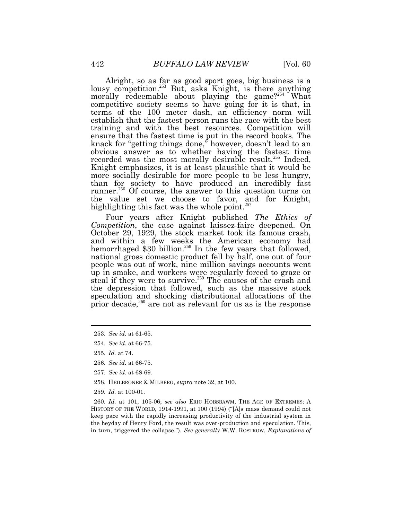Alright, so as far as good sport goes, big business is a lousy competition.<sup>253</sup> But, asks Knight, is there anything morally redeemable about playing the game?<sup>254</sup> What competitive society seems to have going for it is that, in terms of the 100 meter dash, an efficiency norm will establish that the fastest person runs the race with the best training and with the best resources. Competition will ensure that the fastest time is put in the record books. The knack for "getting things done," however, doesn't lead to an obvious answer as to whether having the fastest time recorded was the most morally desirable result.<sup>255</sup> Indeed, Knight emphasizes, it is at least plausible that it would be more socially desirable for more people to be less hungry, than for society to have produced an incredibly fast runner.<sup>256</sup> Of course, the answer to this question turns on the value set we choose to favor, and for Knight, highlighting this fact was the whole point.<sup>257</sup>

Four years after Knight published *The Ethics of Competition*, the case against laissez-faire deepened. On October 29, 1929, the stock market took its famous crash, and within a few weeks the American economy had hemorrhaged \$30 billion.<sup>258</sup> In the few years that followed, national gross domestic product fell by half, one out of four people was out of work, nine million savings accounts went up in smoke, and workers were regularly forced to graze or steal if they were to survive.<sup>259</sup> The causes of the crash and the depression that followed, such as the massive stock speculation and shocking distributional allocations of the prior decade,  $260$  are not as relevant for us as is the response

- 257. *See id.* at 68-69.
- 258. HEILBRONER & MILBERG, *supra* note 32, at 100.
- 259. *Id.* at 100-01.

260. *Id.* at 101, 105-06; *see also* ERIC HOBSBAWM, THE AGE OF EXTREMES: A HISTORY OF THE WORLD, 1914-1991, at 100 (1994) ("[A]s mass demand could not keep pace with the rapidly increasing productivity of the industrial system in the heyday of Henry Ford, the result was over-production and speculation. This, in turn, triggered the collapse."). *See generally* W.W. ROSTROW, *Explanations of* 

<sup>253.</sup> *See id.* at 61-65.

<sup>254.</sup> *See id.* at 66-75.

<sup>255.</sup> *Id.* at 74.

<sup>256.</sup> *See id.* at 66-75.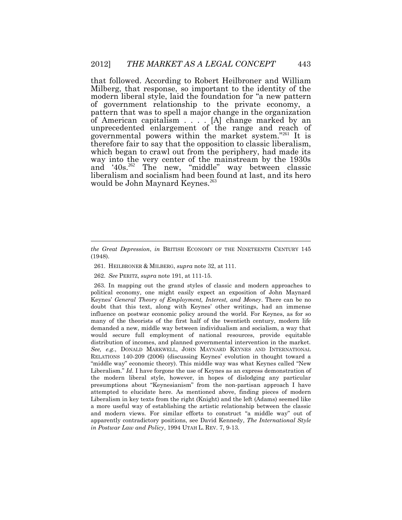that followed. According to Robert Heilbroner and William Milberg, that response, so important to the identity of the modern liberal style, laid the foundation for "a new pattern of government relationship to the private economy, a pattern that was to spell a major change in the organization of American capitalism . . . . [A] change marked by an unprecedented enlargement of the range and reach of governmental powers within the market system."<sup>261</sup> It is therefore fair to say that the opposition to classic liberalism, which began to crawl out from the periphery, had made its way into the very center of the mainstream by the 1930s and "40s.<sup>262</sup> The new, "middle" way between classic liberalism and socialism had been found at last, and its hero would be John Maynard Keynes. 263

262. *See* PERITZ, *supra* note 191, at 111-15.

263. In mapping out the grand styles of classic and modern approaches to political economy, one might easily expect an exposition of John Maynard Keynes" *General Theory of Employment, Interest, and Money*. There can be no doubt that this text, along with Keynes" other writings, had an immense influence on postwar economic policy around the world. For Keynes, as for so many of the theorists of the first half of the twentieth century, modern life demanded a new, middle way between individualism and socialism, a way that would secure full employment of national resources, provide equitable distribution of incomes, and planned governmental intervention in the market. *See, e.g.*, DONALD MARKWELL, JOHN MAYNARD KEYNES AND INTERNATIONAL RELATIONS 140-209 (2006) (discussing Keynes' evolution in thought toward a "middle way" economic theory). This middle way was what Keynes called "New Liberalism." *Id.* I have forgone the use of Keynes as an express demonstration of the modern liberal style, however, in hopes of dislodging any particular presumptions about "Keynesianism" from the non-partisan approach I have attempted to elucidate here. As mentioned above, finding pieces of modern Liberalism in key texts from the right (Knight) and the left (Adams) seemed like a more useful way of establishing the artistic relationship between the classic and modern views. For similar efforts to construct "a middle way" out of apparently contradictory positions, see David Kennedy, *The International Style in Postwar Law and Policy*, 1994 UTAH L. REV. 7, 9-13.

*the Great Depression*, *in* BRITISH ECONOMY OF THE NINETEENTH CENTURY 145 (1948).

<sup>261.</sup> HEILBRONER & MILBERG, *supra* note 32, at 111.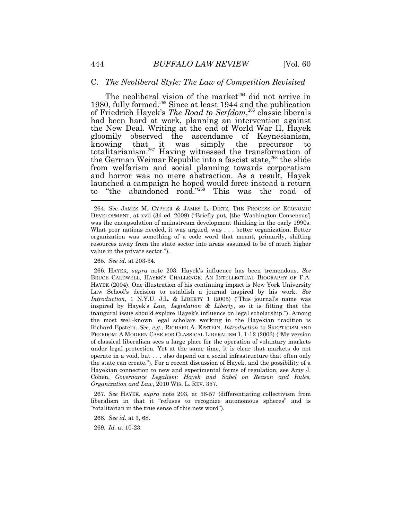## C. *The Neoliberal Style: The Law of Competition Revisited*

The neoliberal vision of the market<sup>264</sup> did not arrive in 1980, fully formed.<sup>265</sup> Since at least 1944 and the publication of Friedrich Hayek"s *The Road to Serfdom*, <sup>266</sup> classic liberals had been hard at work, planning an intervention against the New Deal. Writing at the end of World War II, Hayek gloomily observed the ascendance of Keynesianism, knowing that it was simply the precursor to totalitarianism.<sup>267</sup> Having witnessed the transformation of the German Weimar Republic into a fascist state,<sup>268</sup> the slide from welfarism and social planning towards corporatism and horror was no mere abstraction. As a result, Hayek launched a campaign he hoped would force instead a return<br>to "the abandoned road."269 This was the road of to "the abandoned road."<sup>269</sup> This was the road of

265. *See id.* at 203-34.

266. HAYEK, *supra* note 203. Hayek"s influence has been tremendous. *See*  BRUCE CALDWELL, HAYEK'S CHALLENGE: AN INTELLECTUAL BIOGRAPHY OF F.A. HAYEK (2004). One illustration of his continuing impact is New York University Law School"s decision to establish a journal inspired by his work. *See Introduction*, 1 N.Y.U. J.L. & LIBERTY 1 (2005) ("This journal's name was inspired by Hayek"s *Law, Legislation & Liberty*, so it is fitting that the inaugural issue should explore Hayek"s influence on legal scholarship."). Among the most well-known legal scholars working in the Hayekian tradition is Richard Epstein. *See, e.g.*, RICHARD A. EPSTEIN, *Introduction* to SKEPTICISM AND FREEDOM: A MODERN CASE FOR CLASSICAL LIBERALISM 1, 1-12 (2003) ("My version of classical liberalism sees a large place for the operation of voluntary markets under legal protection. Yet at the same time, it is clear that markets do not operate in a void, but . . . also depend on a social infrastructure that often only the state can create."). For a recent discussion of Hayek, and the possibility of a Hayekian connection to new and experimental forms of regulation, see Amy J. Cohen, *Governance Legalism: Hayek and Sabel on Reason and Rules, Organization and Law*, 2010 WIS. L. REV. 357.

267. *See* HAYEK, *supra* note 203, at 56-57 (differentiating collectivism from liberalism in that it "refuses to recognize autonomous spheres" and is "totalitarian in the true sense of this new word").

268. *See id.* at 3, 68.

269. *Id.* at 10-23.

<sup>264.</sup> *See* JAMES M. CYPHER & JAMES L. DIETZ, THE PROCESS OF ECONOMIC DEVELOPMENT, at xvii (3d ed. 2009) ("Briefly put, [the "Washington Consensus"] was the encapsulation of mainstream development thinking in the early 1990s. What poor nations needed, it was argued, was . . . better organization. Better organization was something of a code word that meant, primarily, shifting resources away from the state sector into areas assumed to be of much higher value in the private sector.").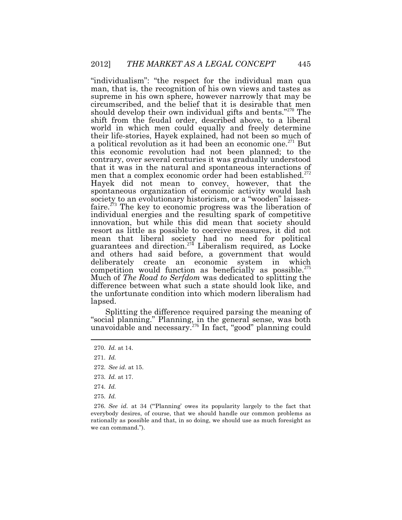"individualism": "the respect for the individual man qua man, that is, the recognition of his own views and tastes as supreme in his own sphere, however narrowly that may be circumscribed, and the belief that it is desirable that men should develop their own individual gifts and bents."<sup>270</sup> The shift from the feudal order, described above, to a liberal world in which men could equally and freely determine their life-stories, Hayek explained, had not been so much of a political revolution as it had been an economic one.<sup>271</sup> But this economic revolution had not been planned; to the contrary, over several centuries it was gradually understood that it was in the natural and spontaneous interactions of men that a complex economic order had been established.<sup>272</sup> Hayek did not mean to convey, however, that the spontaneous organization of economic activity would lash society to an evolutionary historicism, or a "wooden" laissezfaire.<sup>273</sup> The key to economic progress was the liberation of individual energies and the resulting spark of competitive innovation, but while this did mean that society should resort as little as possible to coercive measures, it did not mean that liberal society had no need for political guarantees and direction.<sup>274</sup> Liberalism required, as Locke and others had said before, a government that would deliberately create an economic system in which competition would function as beneficially as possible.<sup>275</sup> Much of *The Road to Serfdom* was dedicated to splitting the difference between what such a state should look like, and the unfortunate condition into which modern liberalism had lapsed.

Splitting the difference required parsing the meaning of "social planning." Planning, in the general sense, was both unavoidable and necessary.<sup>276</sup> In fact, "good" planning could

271. *Id.* 

274. *Id.* 

275. *Id.*

<sup>270.</sup> *Id.* at 14.

<sup>272.</sup> *See id.* at 15.

<sup>273.</sup> *Id.* at 17.

<sup>276.</sup> *See id.* at 34 (""Planning" owes its popularity largely to the fact that everybody desires, of course, that we should handle our common problems as rationally as possible and that, in so doing, we should use as much foresight as we can command.").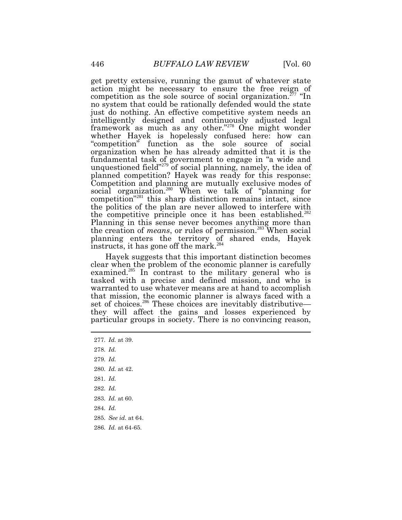get pretty extensive, running the gamut of whatever state action might be necessary to ensure the free reign of competition as the sole source of social organization.<sup> $277$ </sup> "In no system that could be rationally defended would the state just do nothing. An effective competitive system needs an intelligently designed and continuously adjusted legal framework as much as any other."<sup>278</sup> One might wonder whether Hayek is hopelessly confused here: how can "competition" function as the sole source of social organization when he has already admitted that it is the fundamental task of government to engage in "a wide and unquestioned field"<sup>279</sup> of social planning, namely, the idea of planned competition? Hayek was ready for this response: Competition and planning are mutually exclusive modes of social organization.<sup>280</sup> When we talk of "planning for  $\alpha$  competition<sup>"281</sup> this sharp distinction remains intact, since the politics of the plan are never allowed to interfere with the competitive principle once it has been established.<sup>282</sup> Planning in this sense never becomes anything more than the creation of *means*, or rules of permission.<sup>283</sup> When social planning enters the territory of shared ends, Hayek instructs, it has gone off the mark.<sup>284</sup>

Hayek suggests that this important distinction becomes clear when the problem of the economic planner is carefully examined.<sup>285</sup> In contrast to the military general who is tasked with a precise and defined mission, and who is warranted to use whatever means are at hand to accomplish that mission, the economic planner is always faced with a set of choices.<sup>286</sup> These choices are inevitably distributive they will affect the gains and losses experienced by particular groups in society. There is no convincing reason,

- 278. *Id.*
- 279. *Id.*
- 280. *Id.* at 42.
- 281. *Id.*
- 282. *Id.*
- 283. *Id.* at 60.
- 284. *Id.*
- 285. *See id.* at 64.
- 286. *Id.* at 64-65.

<sup>277.</sup> *Id.* at 39.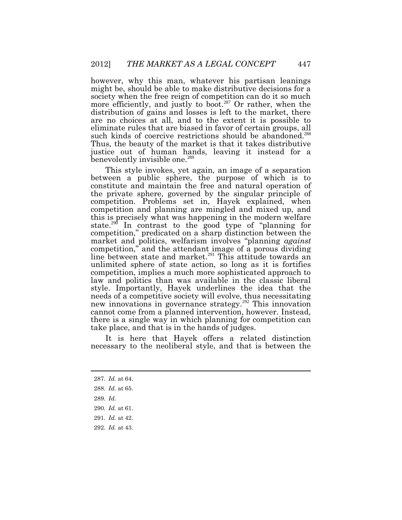however, why this man, whatever his partisan leanings might be, should be able to make distributive decisions for a society when the free reign of competition can do it so much more efficiently, and justly to boot.<sup>287</sup> Or rather, when the distribution of gains and losses is left to the market, there are no choices at all, and to the extent it is possible to eliminate rules that are biased in favor of certain groups, all such kinds of coercive restrictions should be abandoned.<sup>288</sup> Thus, the beauty of the market is that it takes distributive justice out of human hands, leaving it instead for a benevolently invisible one.<sup>289</sup>

This style invokes, yet again, an image of a separation between a public sphere, the purpose of which is to constitute and maintain the free and natural operation of the private sphere, governed by the singular principle of competition. Problems set in, Hayek explained, when competition and planning are mingled and mixed up, and this is precisely what was happening in the modern welfare state.<sup>290</sup> In contrast to the good type of "planning for competition," predicated on a sharp distinction between the market and politics, welfarism involves "planning *against* competition," and the attendant image of a porous dividing line between state and market.<sup>291</sup> This attitude towards an unlimited sphere of state action, so long as it is fortifies competition, implies a much more sophisticated approach to law and politics than was available in the classic liberal style. Importantly, Hayek underlines the idea that the needs of a competitive society will evolve, thus necessitating new innovations in governance strategy.<sup>292</sup> This innovation cannot come from a planned intervention, however. Instead, there is a single way in which planning for competition can take place, and that is in the hands of judges.

It is here that Hayek offers a related distinction necessary to the neoliberal style, and that is between the

<sup>287.</sup> *Id.* at 64.

<sup>288.</sup> *Id.* at 65.

<sup>289.</sup> *Id.*

<sup>290.</sup> *Id.* at 61.

<sup>291.</sup> *Id.* at 42.

<sup>292.</sup> *Id.* at 43.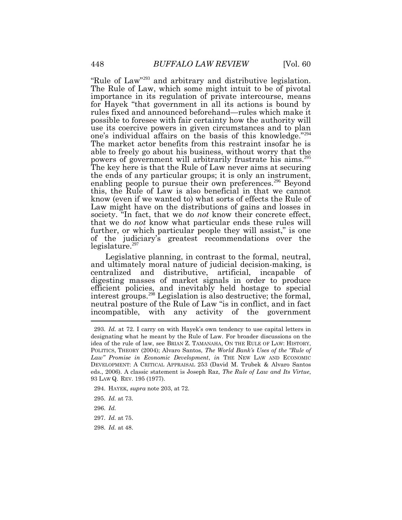"Rule of Law"<sup>293</sup> and arbitrary and distributive legislation. The Rule of Law, which some might intuit to be of pivotal importance in its regulation of private intercourse, means for Hayek "that government in all its actions is bound by rules fixed and announced beforehand—rules which make it possible to foresee with fair certainty how the authority will use its coercive powers in given circumstances and to plan one"s individual affairs on the basis of this knowledge."<sup>294</sup> The market actor benefits from this restraint insofar he is able to freely go about his business, without worry that the powers of government will arbitrarily frustrate his aims.<sup>295</sup> The key here is that the Rule of Law never aims at securing the ends of any particular groups; it is only an instrument, enabling people to pursue their own preferences.<sup>296</sup> Beyond this, the Rule of Law is also beneficial in that we cannot know (even if we wanted to) what sorts of effects the Rule of Law might have on the distributions of gains and losses in society. "In fact, that we do *not* know their concrete effect, that we do *not* know what particular ends these rules will further, or which particular people they will assist," is one of the judiciary"s greatest recommendations over the legislature.<sup>297</sup>

Legislative planning, in contrast to the formal, neutral, and ultimately moral nature of judicial decision-making, is centralized and distributive, artificial, incapable of digesting masses of market signals in order to produce efficient policies, and inevitably held hostage to special interest groups.<sup>298</sup> Legislation is also destructive; the formal, neutral posture of the Rule of Law "is in conflict, and in fact incompatible, with any activity of the government

- 294. HAYEK, *supra* note 203, at 72.
- 295. *Id.* at 73.
- 296. *Id.*
- 297. *Id.* at 75.
- 298. *Id.* at 48.

<sup>293.</sup> *Id.* at 72. I carry on with Hayek's own tendency to use capital letters in designating what he meant by the Rule of Law. For broader discussions on the idea of the rule of law, see BRIAN Z. TAMANAHA, ON THE RULE OF LAW: HISTORY, POLITICS, THEORY (2004); Alvaro Santos, *The World Bank"s Uses of the "Rule of Law" Promise in Economic Development*, *in* THE NEW LAW AND ECONOMIC DEVELOPMENT: A CRITICAL APPRAISAL 253 (David M. Trubek & Alvaro Santos eds., 2006). A classic statement is Joseph Raz, *The Rule of Law and Its Virtue*, 93 LAW Q. REV. 195 (1977).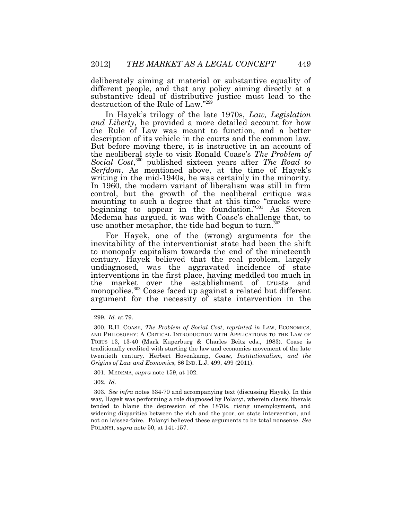deliberately aiming at material or substantive equality of different people, and that any policy aiming directly at a substantive ideal of distributive justice must lead to the destruction of the Rule of Law."<sup>299</sup>

In Hayek"s trilogy of the late 1970s, *Law, Legislation and Liberty*, he provided a more detailed account for how the Rule of Law was meant to function, and a better description of its vehicle in the courts and the common law. But before moving there, it is instructive in an account of the neoliberal style to visit Ronald Coase"s *The Problem of Social Cost*, <sup>300</sup> published sixteen years after *The Road to Serfdom*. As mentioned above, at the time of Hayek"s writing in the mid-1940s, he was certainly in the minority. In 1960, the modern variant of liberalism was still in firm control, but the growth of the neoliberal critique was mounting to such a degree that at this time "cracks were beginning to appear in the foundation."<sup>301</sup> As Steven Medema has argued, it was with Coase's challenge that, to use another metaphor, the tide had begun to turn.

For Hayek, one of the (wrong) arguments for the inevitability of the interventionist state had been the shift to monopoly capitalism towards the end of the nineteenth century. Hayek believed that the real problem, largely undiagnosed, was the aggravated incidence of state interventions in the first place, having meddled too much in the market over the establishment of trusts and monopolies.<sup>303</sup> Coase faced up against a related but different argument for the necessity of state intervention in the

302. *Id*.

303. *See infra* notes 334-70 and accompanying text (discussing Hayek). In this way, Hayek was performing a role diagnosed by Polanyi, wherein classic liberals tended to blame the depression of the 1870s, rising unemployment, and widening disparities between the rich and the poor, on state intervention, and not on laissez-faire. Polanyi believed these arguments to be total nonsense. *See*  POLANYI, *supra* note 50, at 141-157.

<sup>299.</sup> *Id.* at 79.

<sup>300.</sup> R.H. COASE, *The Problem of Social Cost*, *reprinted in* LAW, ECONOMICS, AND PHILOSOPHY: A CRITICAL INTRODUCTION WITH APPLICATIONS TO THE LAW OF TORTS 13, 13-40 (Mark Kuperburg & Charles Beitz eds., 1983)*.* Coase is traditionally credited with starting the law and economics movement of the late twentieth century. Herbert Hovenkamp, *Coase, Institutionalism, and the Origins of Law and Economics*, 86 IND. L.J. 499, 499 (2011).

<sup>301.</sup> MEDEMA, *supra* note 159, at 102.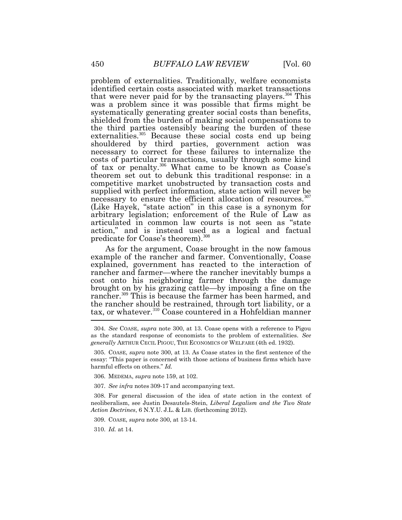problem of externalities. Traditionally, welfare economists identified certain costs associated with market transactions that were never paid for by the transacting players.<sup>304</sup> This was a problem since it was possible that firms might be systematically generating greater social costs than benefits, shielded from the burden of making social compensations to the third parties ostensibly bearing the burden of these externalities.<sup>305</sup> Because these social costs end up being shouldered by third parties, government action was necessary to correct for these failures to internalize the costs of particular transactions, usually through some kind of tax or penalty.<sup>306</sup> What came to be known as Coase's theorem set out to debunk this traditional response: in a competitive market unobstructed by transaction costs and supplied with perfect information, state action will never be necessary to ensure the efficient allocation of resources.<sup>307</sup> (Like Hayek, "state action" in this case is a synonym for arbitrary legislation; enforcement of the Rule of Law as articulated in common law courts is not seen as "state action," and is instead used as a logical and factual predicate for Coase's theorem).<sup>308</sup>

As for the argument, Coase brought in the now famous example of the rancher and farmer. Conventionally, Coase explained, government has reacted to the interaction of rancher and farmer—where the rancher inevitably bumps a cost onto his neighboring farmer through the damage brought on by his grazing cattle—by imposing a fine on the rancher.<sup>309</sup> This is because the farmer has been harmed, and the rancher should be restrained, through tort liability, or a tax, or whatever.<sup>310</sup> Coase countered in a Hohfeldian manner

- 306. MEDEMA, *supra* note 159, at 102.
- 307. *See infra* notes 309-17 and accompanying text.

308. For general discussion of the idea of state action in the context of neoliberalism, see Justin Desautels-Stein, *Liberal Legalism and the Two State Action Doctrines*, 6 N.Y.U. J.L. & LIB. (forthcoming 2012).

309. COASE, *supra* note 300, at 13-14.

310. *Id.* at 14.

<sup>304.</sup> *See* COASE, *supra* note 300, at 13. Coase opens with a reference to Pigou as the standard response of economists to the problem of externalities. *See generally* ARTHUR CECIL PIGOU, THE ECONOMICS OF WELFARE (4th ed. 1932).

<sup>305.</sup> COASE, *supra* note 300, at 13. As Coase states in the first sentence of the essay: "This paper is concerned with those actions of business firms which have harmful effects on others." *Id.*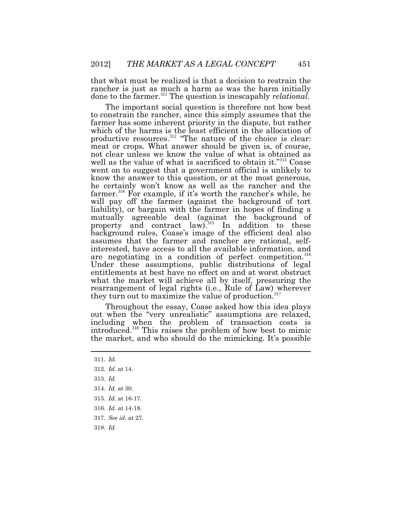that what must be realized is that a decision to restrain the rancher is just as much a harm as was the harm initially done to the farmer.<sup>311</sup> The question is inescapably *relational*.

The important social question is therefore not how best to constrain the rancher, since this simply assumes that the farmer has some inherent priority in the dispute, but rather which of the harms is the least efficient in the allocation of productive resources.<sup>312</sup> "The nature of the choice is clear: meat or crops. What answer should be given is, of course, not clear unless we know the value of what is obtained as well as the value of what is sacrificed to obtain it."<sup>313</sup> Coase went on to suggest that a government official is unlikely to know the answer to this question, or at the most generous, he certainly won"t know as well as the rancher and the farmer.<sup>314</sup> For example, if it's worth the rancher's while, he will pay off the farmer (against the background of tort liability), or bargain with the farmer in hopes of finding a mutually agreeable deal (against the background of property and contract  $law$ ).<sup>315</sup> In addition to these background rules, Coase's image of the efficient deal also assumes that the farmer and rancher are rational, selfinterested, have access to all the available information, and are negotiating in a condition of perfect competition.<sup>316</sup> Under these assumptions, public distributions of legal entitlements at best have no effect on and at worst obstruct what the market will achieve all by itself, pressuring the rearrangement of legal rights (i.e., Rule of Law) wherever they turn out to maximize the value of production.<sup>317</sup>

Throughout the essay, Coase asked how this idea plays out when the "very unrealistic" assumptions are relaxed, including when the problem of transaction costs is introduced.<sup>318</sup> This raises the problem of how best to mimic the market, and who should do the mimicking. It's possible

- 313. *Id.*
- 314. *Id.* at 30.
- 315. *Id.* at 16-17.
- 316. *Id.* at 14-18.
- 317. *See id.* at 27.
- 318. *Id.*

<sup>311.</sup> *Id.*

<sup>312.</sup> *Id.* at 14.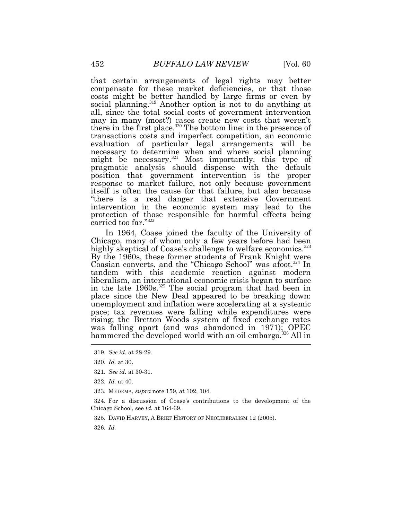that certain arrangements of legal rights may better compensate for these market deficiencies, or that those costs might be better handled by large firms or even by social planning.<sup>319</sup> Another option is not to do anything at all, since the total social costs of government intervention may in many (most?) cases create new costs that weren"t there in the first place.<sup>320</sup> The bottom line: in the presence of transactions costs and imperfect competition, an economic evaluation of particular legal arrangements will be necessary to determine when and where social planning might be necessary.<sup>321</sup> Most importantly, this type of pragmatic analysis should dispense with the default position that government intervention is the proper response to market failure, not only because government itself is often the cause for that failure, but also because "there is a real danger that extensive Government intervention in the economic system may lead to the protection of those responsible for harmful effects being carried too far."<sup>322</sup>

In 1964, Coase joined the faculty of the University of Chicago, many of whom only a few years before had been highly skeptical of Coase's challenge to welfare economics.<sup>323</sup> By the 1960s, these former students of Frank Knight were Coasian converts, and the "Chicago School" was afoot.<sup>324</sup> In tandem with this academic reaction against modern liberalism, an international economic crisis began to surface in the late 1960s.<sup>325</sup> The social program that had been in place since the New Deal appeared to be breaking down: unemployment and inflation were accelerating at a systemic pace; tax revenues were falling while expenditures were rising; the Bretton Woods system of fixed exchange rates was falling apart (and was abandoned in 1971); OPEC hammered the developed world with an oil embargo.<sup>326</sup> All in

323. MEDEMA, *supra* note 159, at 102, 104.

324. For a discussion of Coase"s contributions to the development of the Chicago School, see *id.* at 164-69.

325. DAVID HARVEY, A BRIEF HISTORY OF NEOLIBERALISM 12 (2005).

326. *Id.*

<sup>319.</sup> *See id.* at 28-29.

<sup>320.</sup> *Id.* at 30.

<sup>321.</sup> *See id.* at 30-31.

<sup>322.</sup> *Id.* at 40.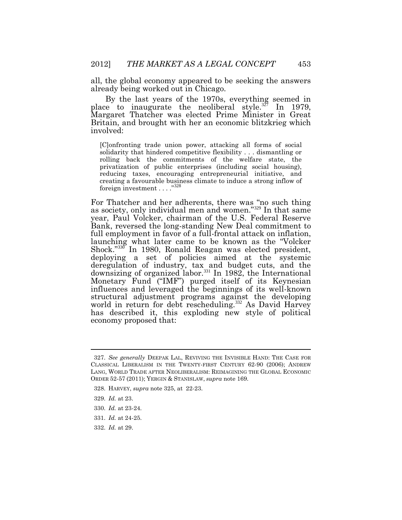all, the global economy appeared to be seeking the answers already being worked out in Chicago.

By the last years of the 1970s, everything seemed in place to inaugurate the neoliberal style. $327$  In 1979, Margaret Thatcher was elected Prime Minister in Great Britain, and brought with her an economic blitzkrieg which involved:

[C]onfronting trade union power, attacking all forms of social solidarity that hindered competitive flexibility . . . dismantling or rolling back the commitments of the welfare state, the privatization of public enterprises (including social housing), reducing taxes, encouraging entrepreneurial initiative, and creating a favourable business climate to induce a strong inflow of foreign investment  $\ldots$ ."<sup>32</sup>

For Thatcher and her adherents, there was "no such thing as society, only individual men and women."<sup>329</sup> In that same year, Paul Volcker, chairman of the U.S. Federal Reserve Bank, reversed the long-standing New Deal commitment to full employment in favor of a full-frontal attack on inflation, launching what later came to be known as the "Volcker Shock."<sup>330</sup> In 1980, Ronald Reagan was elected president, deploying a set of policies aimed at the systemic deregulation of industry, tax and budget cuts, and the downsizing of organized labor.<sup>331</sup> In 1982, the International Monetary Fund ("IMF") purged itself of its Keynesian influences and leveraged the beginnings of its well-known structural adjustment programs against the developing world in return for debt rescheduling.<sup>332</sup> As David Harvey has described it, this exploding new style of political economy proposed that:

<sup>327.</sup> *See generally* DEEPAK LAL, REVIVING THE INVISIBLE HAND: THE CASE FOR CLASSICAL LIBERALISM IN THE TWENTY-FIRST CENTURY 62-90 (2006); ANDREW LANG, WORLD TRADE AFTER NEOLIBERALISM: REIMAGINING THE GLOBAL ECONOMIC ORDER 52-57 (2011); YERGIN & STANISLAW, *supra* note 169.

<sup>328.</sup> HARVEY, *supra* note 325, at 22-23.

<sup>329.</sup> *Id.* at 23.

<sup>330.</sup> *Id.* at 23-24.

<sup>331.</sup> *Id.* at 24-25.

<sup>332.</sup> *Id.* at 29.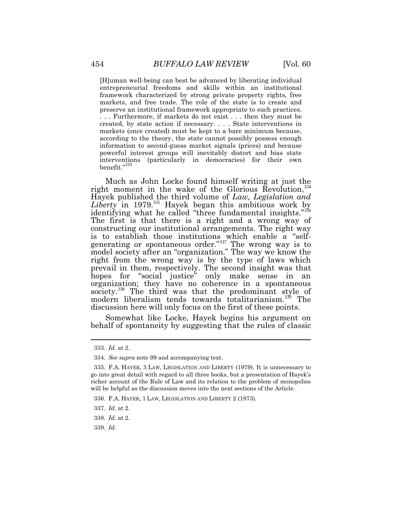[H]uman well-being can best be advanced by liberating individual entrepreneurial freedoms and skills within an institutional framework characterized by strong private property rights, free markets, and free trade. The role of the state is to create and preserve an institutional framework appropriate to such practices. . . . Furthermore, if markets do not exist . . . then they must be created, by state action if necessary. . . . State interventions in markets (once created) must be kept to a bare minimum because, according to the theory, the state cannot possibly possess enough information to second-guess market signals (prices) and because powerful interest groups will inevitably distort and bias state interventions (particularly in democracies) for their own benefit."<sup>333</sup>

Much as John Locke found himself writing at just the right moment in the wake of the Glorious Revolution,  $334$ Hayek published the third volume of *Law, Legislation and*  Liberty in 1979.<sup>335</sup> Hayek began this ambitious work by identifying what he called "three fundamental insights."<sup>336</sup> The first is that there is a right and a wrong way of constructing our institutional arrangements. The right way is to establish those institutions which enable a "selfgenerating or spontaneous order."<sup>337</sup> The wrong way is to model society after an "organization." The way we know the right from the wrong way is by the type of laws which prevail in them, respectively. The second insight was that hopes for "social justice" only make sense in an organization; they have no coherence in a spontaneous society.<sup>338</sup> The third was that the predominant style of modern liberalism tends towards totalitarianism.<sup>339</sup> The discussion here will only focus on the first of these points.

Somewhat like Locke, Hayek begins his argument on behalf of spontaneity by suggesting that the rules of classic

<sup>333.</sup> *Id.* at 2.

<sup>334.</sup> *See supra* note 99 and accompanying text.

<sup>335.</sup> F.A. HAYEK, 3 LAW, LEGISLATION AND LIBERTY (1979). It is unnecessary to go into great detail with regard to all three books, but a presentation of Hayek"s richer account of the Rule of Law and its relation to the problem of monopolies will be helpful as the discussion moves into the next sections of the Article.

<sup>336.</sup> F.A. HAYEK, 1 LAW, LEGISLATION AND LIBERTY 2 (1973).

<sup>337.</sup> *Id.* at 2.

<sup>338.</sup> *Id.* at 2.

<sup>339.</sup> *Id.*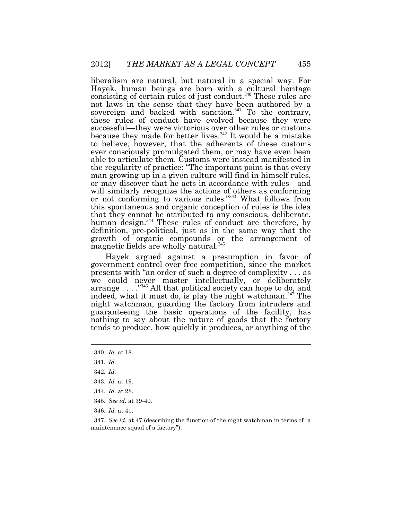liberalism are natural, but natural in a special way. For Hayek, human beings are born with a cultural heritage consisting of certain rules of just conduct.<sup> $340$ </sup> These rules are not laws in the sense that they have been authored by a sovereign and backed with sanction.<sup>341</sup> To the contrary, these rules of conduct have evolved because they were successful—they were victorious over other rules or customs because they made for better lives. $342$  It would be a mistake to believe, however, that the adherents of these customs ever consciously promulgated them, or may have even been able to articulate them. Customs were instead manifested in the regularity of practice: "The important point is that every man growing up in a given culture will find in himself rules, or may discover that he acts in accordance with rules—and will similarly recognize the actions of others as conforming or not conforming to various rules."<sup>343</sup> What follows from this spontaneous and organic conception of rules is the idea that they cannot be attributed to any conscious, deliberate, human design.<sup>344</sup> These rules of conduct are therefore, by definition, pre-political, just as in the same way that the growth of organic compounds or the arrangement of magnetic fields are wholly natural.<sup>345</sup>

Hayek argued against a presumption in favor of government control over free competition, since the market presents with "an order of such a degree of complexity . . . as we could never master intellectually, or deliberately arrange  $\dots$  ."<sup>346</sup> All that political society can hope to do, and indeed, what it must do, is play the night watchman.<sup>347</sup> The night watchman, guarding the factory from intruders and guaranteeing the basic operations of the facility, has nothing to say about the nature of goods that the factory tends to produce, how quickly it produces, or anything of the

- 345. *See id.* at 39-40.
- 346. *Id.* at 41.

347. *See id.* at 47 (describing the function of the night watchman in terms of "a maintenance squad of a factory").

<sup>340.</sup> *Id.* at 18.

<sup>341.</sup> *Id.*

<sup>342.</sup> *Id.*

<sup>343.</sup> *Id.* at 19.

<sup>344.</sup> *Id.* at 28.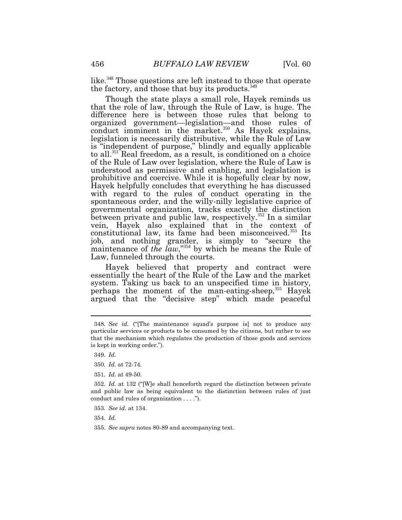like.<sup>348</sup> Those questions are left instead to those that operate the factory, and those that buy its products.<sup>349</sup>

Though the state plays a small role, Hayek reminds us that the role of law, through the Rule of Law, is huge. The difference here is between those rules that belong to organized government—legislation—and those rules of conduct imminent in the market. $350$  As Hayek explains, legislation is necessarily distributive, while the Rule of Law is "independent of purpose," blindly and equally applicable to all.<sup>351</sup> Real freedom, as a result, is conditioned on a choice of the Rule of Law over legislation, where the Rule of Law is understood as permissive and enabling, and legislation is prohibitive and coercive. While it is hopefully clear by now, Hayek helpfully concludes that everything he has discussed with regard to the rules of conduct operating in the spontaneous order, and the willy-nilly legislative caprice of governmental organization, tracks exactly the distinction between private and public law, respectively.<sup>352</sup> In a similar vein, Hayek also explained that in the context of constitutional law, its fame had been misconceived.<sup>353</sup> Its job, and nothing grander, is simply to "secure the maintenance of the law,"<sup>354</sup> by which he means the Rule of Law, funneled through the courts.

Hayek believed that property and contract were essentially the heart of the Rule of the Law and the market system. Taking us back to an unspecified time in history, perhaps the moment of the man-eating-sheep,<sup>355</sup> Hayek argued that the "decisive step" which made peaceful

349. *Id.*

354. *Id.*

355. *See supra* notes 80-89 and accompanying text.

<sup>348.</sup> *See id.* ("[The maintenance squad"s purpose is] not to produce any particular services or products to be consumed by the citizens, but rather to see that the mechanism which regulates the production of those goods and services is kept in working order.").

<sup>350.</sup> *Id.* at 72-74.

<sup>351.</sup> *Id.* at 49-50.

<sup>352.</sup> *Id.* at 132 ("[W]e shall henceforth regard the distinction between private and public law as being equivalent to the distinction between rules of just conduct and rules of organization . . . .").

<sup>353.</sup> *See id.* at 134.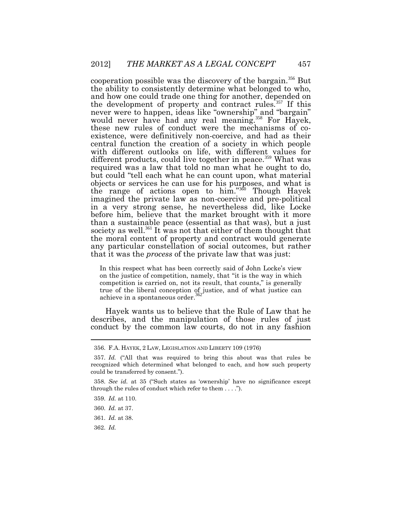cooperation possible was the discovery of the bargain.<sup>356</sup> But the ability to consistently determine what belonged to who, and how one could trade one thing for another, depended on the development of property and contract rules.<sup>357</sup> If this never were to happen, ideas like "ownership" and "bargain" would never have had any real meaning.<sup>358</sup> For Hayek, these new rules of conduct were the mechanisms of coexistence, were definitively non-coercive, and had as their central function the creation of a society in which people with different outlooks on life, with different values for different products, could live together in peace.<sup>359</sup> What was required was a law that told no man what he ought to do, but could "tell each what he can count upon, what material objects or services he can use for his purposes, and what is the range of actions open to him."<sup>360</sup> Though Hayek imagined the private law as non-coercive and pre-political in a very strong sense, he nevertheless did, like Locke before him, believe that the market brought with it more than a sustainable peace (essential as that was), but a just society as well.<sup>361</sup> It was not that either of them thought that the moral content of property and contract would generate any particular constellation of social outcomes, but rather that it was the *process* of the private law that was just:

In this respect what has been correctly said of John Locke's view on the justice of competition, namely, that "it is the way in which competition is carried on, not its result, that counts," is generally true of the liberal conception of justice, and of what justice can achieve in a spontaneous order.<sup>362</sup>

Hayek wants us to believe that the Rule of Law that he describes, and the manipulation of those rules of just conduct by the common law courts, do not in any fashion

<sup>356.</sup> F.A. HAYEK, 2 LAW, LEGISLATION AND LIBERTY 109 (1976)

<sup>357.</sup> *Id.* ("All that was required to bring this about was that rules be recognized which determined what belonged to each, and how such property could be transferred by consent.").

<sup>358.</sup> *See id.* at 35 ("Such states as "ownership" have no significance except through the rules of conduct which refer to them . . . .").

<sup>359.</sup> *Id.* at 110.

<sup>360.</sup> *Id.* at 37.

<sup>361.</sup> *Id.* at 38.

<sup>362.</sup> *Id.*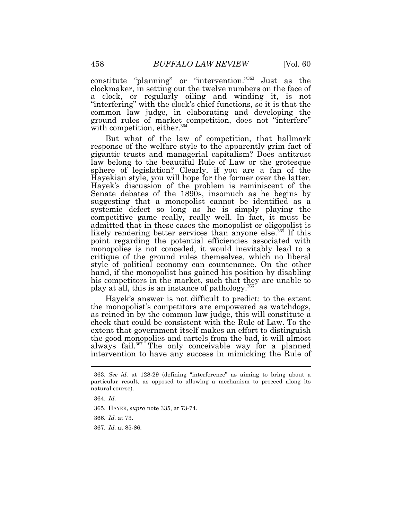constitute "planning" or "intervention."<sup>363</sup> Just as the clockmaker, in setting out the twelve numbers on the face of a clock, or regularly oiling and winding it, is not "interfering" with the clock"s chief functions, so it is that the common law judge, in elaborating and developing the ground rules of market competition, does not "interfere" with competition, either.<sup>364</sup>

But what of the law of competition, that hallmark response of the welfare style to the apparently grim fact of gigantic trusts and managerial capitalism? Does antitrust law belong to the beautiful Rule of Law or the grotesque sphere of legislation? Clearly, if you are a fan of the Hayekian style, you will hope for the former over the latter. Hayek"s discussion of the problem is reminiscent of the Senate debates of the 1890s, insomuch as he begins by suggesting that a monopolist cannot be identified as a systemic defect so long as he is simply playing the competitive game really, really well. In fact, it must be admitted that in these cases the monopolist or oligopolist is likely rendering better services than anyone else.<sup>365</sup> If this point regarding the potential efficiencies associated with monopolies is not conceded, it would inevitably lead to a critique of the ground rules themselves, which no liberal style of political economy can countenance. On the other hand, if the monopolist has gained his position by disabling his competitors in the market, such that they are unable to play at all, this is an instance of pathology.<sup>366</sup>

Hayek's answer is not difficult to predict: to the extent the monopolist's competitors are empowered as watchdogs, as reined in by the common law judge, this will constitute a check that could be consistent with the Rule of Law. To the extent that government itself makes an effort to distinguish the good monopolies and cartels from the bad, it will almost always fail.<sup>367</sup> The only conceivable way for a planned intervention to have any success in mimicking the Rule of

<sup>363.</sup> *See id.* at 128-29 (defining "interference" as aiming to bring about a particular result, as opposed to allowing a mechanism to proceed along its natural course).

<sup>364.</sup> *Id.*

<sup>365.</sup> HAYEK, *supra* note 335, at 73-74.

<sup>366.</sup> *Id.* at 73.

<sup>367.</sup> *Id.* at 85-86.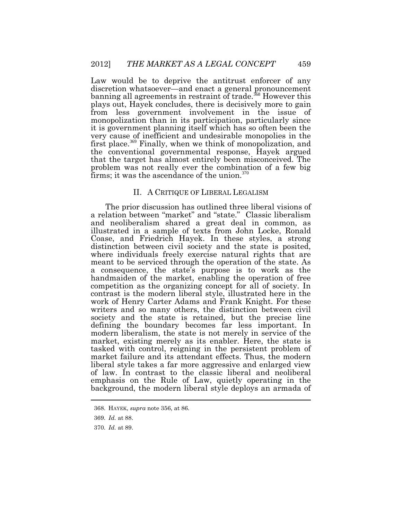Law would be to deprive the antitrust enforcer of any discretion whatsoever—and enact a general pronouncement banning all agreements in restraint of trade.<sup>368</sup> However this plays out, Hayek concludes, there is decisively more to gain from less government involvement in the issue of monopolization than in its participation, particularly since it is government planning itself which has so often been the very cause of inefficient and undesirable monopolies in the first place.<sup>369</sup> Finally, when we think of monopolization, and the conventional governmental response, Hayek argued that the target has almost entirely been misconceived. The problem was not really ever the combination of a few big firms; it was the ascendance of the union.<sup>370</sup>

## II. A CRITIQUE OF LIBERAL LEGALISM

The prior discussion has outlined three liberal visions of a relation between "market" and "state." Classic liberalism and neoliberalism shared a great deal in common, as illustrated in a sample of texts from John Locke, Ronald Coase, and Friedrich Hayek. In these styles, a strong distinction between civil society and the state is posited, where individuals freely exercise natural rights that are meant to be serviced through the operation of the state. As a consequence, the state's purpose is to work as the handmaiden of the market, enabling the operation of free competition as the organizing concept for all of society. In contrast is the modern liberal style, illustrated here in the work of Henry Carter Adams and Frank Knight. For these writers and so many others, the distinction between civil society and the state is retained, but the precise line defining the boundary becomes far less important. In modern liberalism, the state is not merely in service of the market, existing merely as its enabler. Here, the state is tasked with control, reigning in the persistent problem of market failure and its attendant effects. Thus, the modern liberal style takes a far more aggressive and enlarged view of law. In contrast to the classic liberal and neoliberal emphasis on the Rule of Law, quietly operating in the background, the modern liberal style deploys an armada of

<sup>368.</sup> HAYEK, *supra* note 356, at 86.

<sup>369.</sup> *Id.* at 88.

<sup>370.</sup> *Id.* at 89.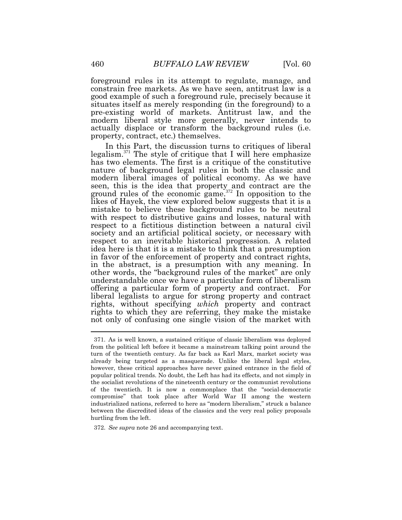foreground rules in its attempt to regulate, manage, and constrain free markets. As we have seen, antitrust law is a good example of such a foreground rule, precisely because it situates itself as merely responding (in the foreground) to a pre-existing world of markets. Antitrust law, and the modern liberal style more generally, never intends to actually displace or transform the background rules (i.e. property, contract, etc.) themselves.

In this Part, the discussion turns to critiques of liberal legalism.<sup>371</sup> The style of critique that I will here emphasize has two elements. The first is a critique of the constitutive nature of background legal rules in both the classic and modern liberal images of political economy. As we have seen, this is the idea that property and contract are the ground rules of the economic game. <sup>372</sup> In opposition to the likes of Hayek, the view explored below suggests that it is a mistake to believe these background rules to be neutral with respect to distributive gains and losses, natural with respect to a fictitious distinction between a natural civil society and an artificial political society, or necessary with respect to an inevitable historical progression. A related idea here is that it is a mistake to think that a presumption in favor of the enforcement of property and contract rights, in the abstract, is a presumption with any meaning. In other words, the "background rules of the market" are only understandable once we have a particular form of liberalism offering a particular form of property and contract. For liberal legalists to argue for strong property and contract rights, without specifying *which* property and contract rights to which they are referring, they make the mistake not only of confusing one single vision of the market with

372. *See supra* note 26 and accompanying text.

<sup>371.</sup> As is well known, a sustained critique of classic liberalism was deployed from the political left before it became a mainstream talking point around the turn of the twentieth century. As far back as Karl Marx, market society was already being targeted as a masquerade. Unlike the liberal legal styles, however, these critical approaches have never gained entrance in the field of popular political trends. No doubt, the Left has had its effects, and not simply in the socialist revolutions of the nineteenth century or the communist revolutions of the twentieth. It is now a commonplace that the "social-democratic compromise" that took place after World War II among the western industrialized nations, referred to here as "modern liberalism," struck a balance between the discredited ideas of the classics and the very real policy proposals hurtling from the left.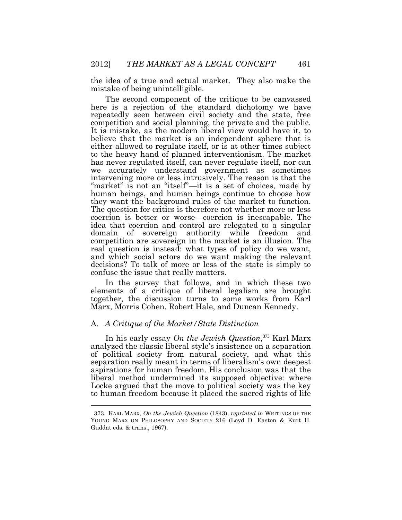the idea of a true and actual market. They also make the mistake of being unintelligible.

The second component of the critique to be canvassed here is a rejection of the standard dichotomy we have repeatedly seen between civil society and the state, free competition and social planning, the private and the public. It is mistake, as the modern liberal view would have it, to believe that the market is an independent sphere that is either allowed to regulate itself, or is at other times subject to the heavy hand of planned interventionism. The market has never regulated itself, can never regulate itself, nor can we accurately understand government as sometimes intervening more or less intrusively. The reason is that the "market" is not an "itself"—it is a set of choices, made by human beings, and human beings continue to choose how they want the background rules of the market to function. The question for critics is therefore not whether more or less coercion is better or worse—coercion is inescapable. The idea that coercion and control are relegated to a singular domain of sovereign authority while freedom and competition are sovereign in the market is an illusion. The real question is instead: what types of policy do we want, and which social actors do we want making the relevant decisions? To talk of more or less of the state is simply to confuse the issue that really matters.

In the survey that follows, and in which these two elements of a critique of liberal legalism are brought together, the discussion turns to some works from Karl Marx, Morris Cohen, Robert Hale, and Duncan Kennedy.

## A. *A Critique of the Market/State Distinction*

In his early essay *On the Jewish Question*, <sup>373</sup> Karl Marx analyzed the classic liberal style"s insistence on a separation of political society from natural society, and what this separation really meant in terms of liberalism"s own deepest aspirations for human freedom. His conclusion was that the liberal method undermined its supposed objective: where Locke argued that the move to political society was the key to human freedom because it placed the sacred rights of life

<sup>373.</sup> KARL MARX, *On the Jewish Question* (1843), *reprinted in* WRITINGS OF THE YOUNG MARX ON PHILOSOPHY AND SOCIETY 216 (Loyd D. Easton & Kurt H. Guddat eds. & trans., 1967).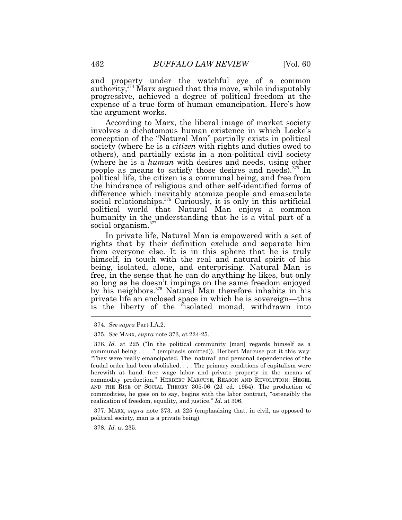and property under the watchful eye of a common authority,  $374$  Marx argued that this move, while indisputably progressive, achieved a degree of political freedom at the expense of a true form of human emancipation. Here's how the argument works.

According to Marx, the liberal image of market society involves a dichotomous human existence in which Locke"s conception of the "Natural Man" partially exists in political society (where he is a *citizen* with rights and duties owed to others), and partially exists in a non-political civil society (where he is a *human* with desires and needs, using other people as means to satisfy those desires and needs).<sup>375</sup> In political life, the citizen is a communal being, and free from the hindrance of religious and other self-identified forms of difference which inevitably atomize people and emasculate social relationships.<sup>376</sup> Curiously, it is only in this artificial political world that Natural Man enjoys a common humanity in the understanding that he is a vital part of a social organism.<sup>377</sup>

In private life, Natural Man is empowered with a set of rights that by their definition exclude and separate him from everyone else. It is in this sphere that he is truly himself, in touch with the real and natural spirit of his being, isolated, alone, and enterprising. Natural Man is free, in the sense that he can do anything he likes, but only so long as he doesn"t impinge on the same freedom enjoyed by his neighbors. <sup>378</sup> Natural Man therefore inhabits in his private life an enclosed space in which he is sovereign—this is the liberty of the "isolated monad, withdrawn into

377. MARX, *supra* note 373, at 225 (emphasizing that, in civil, as opposed to political society, man is a private being).

378. *Id.* at 235.

<sup>374.</sup> *See supra* Part I.A.2.

<sup>375.</sup> *See* MARX, *supra* note 373, at 224-25.

<sup>376.</sup> *Id.* at 225 ("In the political community [man] regards himself as a communal being . . . ." (emphasis omitted)). Herbert Marcuse put it this way: "They were really emancipated. The "natural" and personal dependencies of the feudal order had been abolished. . . . The primary conditions of capitalism were herewith at hand: free wage labor and private property in the means of commodity production." HERBERT MARCUSE, REASON AND REVOLUTION: HEGEL AND THE RISE OF SOCIAL THEORY 305-06 (2d ed. 1954). The production of commodities, he goes on to say, begins with the labor contract, "ostensibly the realization of freedom, equality, and justice." *Id.* at 306.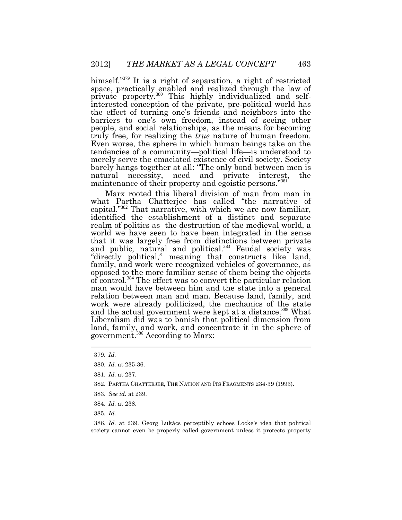himself."<sup>379</sup> It is a right of separation, a right of restricted space, practically enabled and realized through the law of private property.<sup>380</sup> This highly individualized and selfinterested conception of the private, pre-political world has the effect of turning one"s friends and neighbors into the barriers to one"s own freedom, instead of seeing other people, and social relationships, as the means for becoming truly free, for realizing the *true* nature of human freedom. Even worse, the sphere in which human beings take on the tendencies of a community—political life—is understood to merely serve the emaciated existence of civil society. Society barely hangs together at all: "The only bond between men is natural necessity, need and private interest, the maintenance of their property and egoistic persons." 381

Marx rooted this liberal division of man from man in what Partha Chatterjee has called "the narrative of capital."<sup>382</sup> That narrative, with which we are now familiar, identified the establishment of a distinct and separate realm of politics as the destruction of the medieval world, a world we have seen to have been integrated in the sense that it was largely free from distinctions between private and public, natural and political.<sup>383</sup> Feudal society was "directly political," meaning that constructs like land, family, and work were recognized vehicles of governance, as opposed to the more familiar sense of them being the objects of control.<sup>384</sup> The effect was to convert the particular relation man would have between him and the state into a general relation between man and man. Because land, family, and work were already politicized, the mechanics of the state and the actual government were kept at a distance.<sup>385</sup> What Liberalism did was to banish that political dimension from land, family, and work, and concentrate it in the sphere of government.<sup>386</sup> According to Marx:

- 383. *See id.* at 239.
- 384. *Id.* at 238.
- 385. *Id.*

386. *Id.* at 239. Georg Lukács perceptibly echoes Locke's idea that political society cannot even be properly called government unless it protects property

<sup>379.</sup> *Id.*

<sup>380.</sup> *Id.* at 235-36.

<sup>381.</sup> *Id.* at 237.

<sup>382.</sup> PARTHA CHATTERJEE, THE NATION AND ITS FRAGMENTS 234-39 (1993).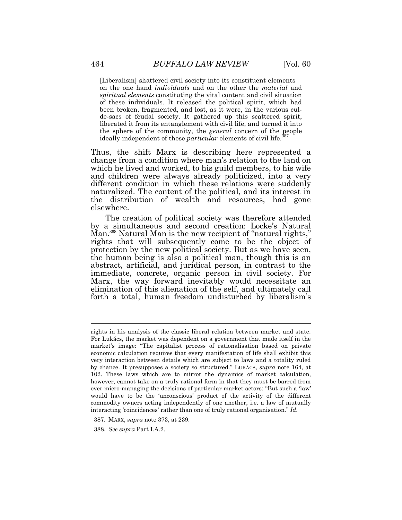[Liberalism] shattered civil society into its constituent elements on the one hand *individuals* and on the other the *material* and *spiritual elements* constituting the vital content and civil situation of these individuals. It released the political spirit, which had been broken, fragmented, and lost, as it were, in the various culde-sacs of feudal society. It gathered up this scattered spirit, liberated it from its entanglement with civil life, and turned it into the sphere of the community, the *general* concern of the people ideally independent of these *particular* elements of civil life.

Thus, the shift Marx is describing here represented a change from a condition where man"s relation to the land on which he lived and worked, to his guild members, to his wife and children were always already politicized, into a very different condition in which these relations were suddenly naturalized. The content of the political, and its interest in the distribution of wealth and resources, had gone elsewhere.

The creation of political society was therefore attended by a simultaneous and second creation: Locke"s Natural Man.<sup>388</sup> Natural Man is the new recipient of "natural rights," rights that will subsequently come to be the object of protection by the new political society. But as we have seen, the human being is also a political man, though this is an abstract, artificial, and juridical person, in contrast to the immediate, concrete, organic person in civil society. For Marx, the way forward inevitably would necessitate an elimination of this alienation of the self, and ultimately call forth a total, human freedom undisturbed by liberalism"s

rights in his analysis of the classic liberal relation between market and state. For Lukács, the market was dependent on a government that made itself in the market's image: "The capitalist process of rationalisation based on private economic calculation requires that every manifestation of life shall exhibit this very interaction between details which are subject to laws and a totality ruled by chance. It presupposes a society so structured." LUKÁCS, *supra* note 164, at 102. These laws which are to mirror the dynamics of market calculation, however, cannot take on a truly rational form in that they must be barred from ever micro-managing the decisions of particular market actors: "But such a "law" would have to be the "unconscious" product of the activity of the different commodity owners acting independently of one another, i.e. a law of mutually interacting "coincidences" rather than one of truly rational organisation." *Id.*

<sup>387.</sup> MARX, *supra* note 373, at 239.

<sup>388.</sup> *See supra* Part I.A.2.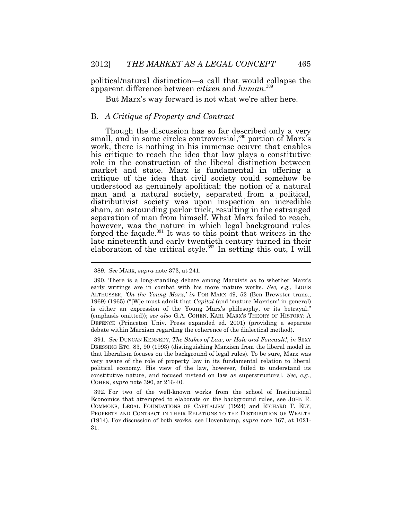political/natural distinction—a call that would collapse the apparent difference between *citizen* and *human*. 389

But Marx's way forward is not what we're after here.

# B. *A Critique of Property and Contract*

Though the discussion has so far described only a very small, and in some circles controversial,<sup>390</sup> portion of Marx's work, there is nothing in his immense oeuvre that enables his critique to reach the idea that law plays a constitutive role in the construction of the liberal distinction between market and state. Marx is fundamental in offering a critique of the idea that civil society could somehow be understood as genuinely apolitical; the notion of a natural man and a natural society, separated from a political, distributivist society was upon inspection an incredible sham, an astounding parlor trick, resulting in the estranged separation of man from himself. What Marx failed to reach, however, was the nature in which legal background rules forged the facade.<sup>391</sup> It was to this point that writers in the late nineteenth and early twentieth century turned in their elaboration of the critical style.<sup>392</sup> In setting this out, I will

391. *See* DUNCAN KENNEDY, *The Stakes of Law, or Hale and Foucault!*, *in* SEXY DRESSING ETC. 83, 90 (1993) (distinguishing Marxism from the liberal model in that liberalism focuses on the background of legal rules). To be sure, Marx was very aware of the role of property law in its fundamental relation to liberal political economy. His view of the law, however, failed to understand its constitutive nature, and focused instead on law as superstructural. *See, e.g.*, COHEN, *supra* note 390, at 216-40.

392. For two of the well-known works from the school of Institutional Economics that attempted to elaborate on the background rules, see JOHN R. COMMONS, LEGAL FOUNDATIONS OF CAPITALISM (1924) and RICHARD T. ELY, PROPERTY AND CONTRACT IN THEIR RELATIONS TO THE DISTRIBUTION OF WEALTH (1914). For discussion of both works, see Hovenkamp, *supra* note 167, at 1021- 31.

<sup>389.</sup> *See* MARX, *supra* note 373, at 241.

<sup>390.</sup> There is a long-standing debate among Marxists as to whether Marx"s early writings are in combat with his more mature works. *See, e.g.*, LOUIS ALTHUSSER, *"On the Young Marx*,*" in* FOR MARX 49, 52 (Ben Brewster trans., 1969) (1965) ("[W]e must admit that *Capital* (and "mature Marxism" in general) is either an expression of the Young Marx"s philosophy, or its betrayal." (emphasis omitted)); *see also* G.A. COHEN, KARL MARX"S THEORY OF HISTORY: A DEFENCE (Princeton Univ. Press expanded ed. 2001) (providing a separate debate within Marxism regarding the coherence of the dialectical method).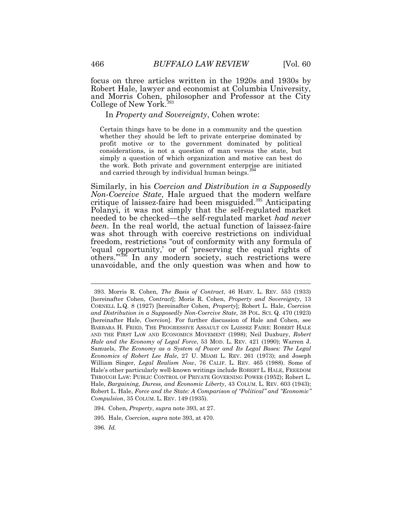focus on three articles written in the 1920s and 1930s by Robert Hale, lawyer and economist at Columbia University, and Morris Cohen, philosopher and Professor at the City College of New York.<sup>393</sup>

In *Property and Sovereignty*, Cohen wrote:

Certain things have to be done in a community and the question whether they should be left to private enterprise dominated by profit motive or to the government dominated by political considerations, is not a question of man versus the state, but simply a question of which organization and motive can best do the work. Both private and government enterprise are initiated and carried through by individual human beings.<sup>39</sup>

Similarly, in his *Coercion and Distribution in a Supposedly Non-Coercive State*, Hale argued that the modern welfare critique of laissez-faire had been misguided.<sup>395</sup> Anticipating Polanyi, it was not simply that the self-regulated market needed to be checked—the self-regulated market *had never been*. In the real world, the actual function of laissez-faire was shot through with coercive restrictions on individual freedom, restrictions "out of conformity with any formula of "equal opportunity," or of "preserving the equal rights of others."" <sup>396</sup> In any modern society, such restrictions were unavoidable, and the only question was when and how to

396. *Id.*

<sup>393.</sup> Morris R. Cohen, *The Basis of Contract*, 46 HARV. L. REV. 553 (1933) [hereinafter Cohen, *Contract*]; Moris R. Cohen, *Property and Sovereignty*, 13 CORNELL L.Q. 8 (1927) [hereinafter Cohen, *Property*]; Robert L. Hale, *Coercion and Distribution in a Supposedly Non-Coercive State*, 38 POL. SCI. Q. 470 (1923) [hereinafter Hale, *Coercion*]. For further discussion of Hale and Cohen, see BARBARA H. FRIED, THE PROGRESSIVE ASSAULT ON LAISSEZ FAIRE: ROBERT HALE AND THE FIRST LAW AND ECONOMICS MOVEMENT (1998); Neil Duxbury, *Robert Hale and the Economy of Legal Force*, 53 MOD. L. REV. 421 (1990); Warren J. Samuels, *The Economy as a System of Power and Its Legal Bases: The Legal Economics of Robert Lee Hale*, 27 U. MIAMI L. REV. 261 (1973); and Joseph William Singer, *Legal Realism Now*, 76 CALIF. L. REV. 465 (1988). Some of Hale"s other particularly well-known writings include ROBERT L. HALE, FREEDOM THROUGH LAW: PUBLIC CONTROL OF PRIVATE GOVERNING POWER (1952); Robert L. Hale, *Bargaining, Duress, and Economic Liberty*, 43 COLUM. L. REV. 603 (1943); Robert L. Hale, *Force and the State: A Comparison of "Political" and "Economic" Compulsion*, 35 COLUM. L. REV. 149 (1935).

<sup>394.</sup> Cohen, *Property*, *supra* note 393, at 27.

<sup>395.</sup> Hale, *Coercion*, *supra* note 393, at 470.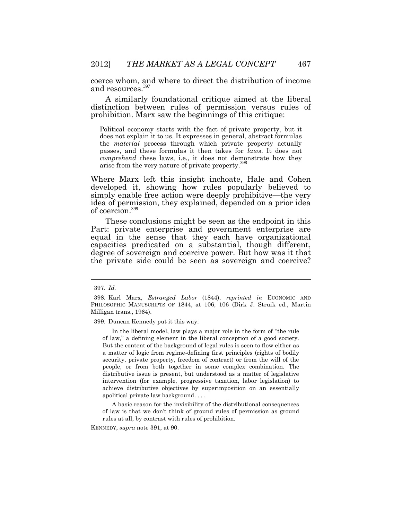coerce whom, and where to direct the distribution of income and resources  $^{397}$ 

A similarly foundational critique aimed at the liberal distinction between rules of permission versus rules of prohibition. Marx saw the beginnings of this critique:

Political economy starts with the fact of private property, but it does not explain it to us. It expresses in general, abstract formulas the *material* process through which private property actually passes, and these formulas it then takes for *laws*. It does not *comprehend* these laws, i.e., it does not demonstrate how they arise from the very nature of private property.<sup>398</sup>

Where Marx left this insight inchoate, Hale and Cohen developed it, showing how rules popularly believed to simply enable free action were deeply prohibitive—the very idea of permission, they explained, depended on a prior idea of coercion.<sup>399</sup>

These conclusions might be seen as the endpoint in this Part: private enterprise and government enterprise are equal in the sense that they each have organizational capacities predicated on a substantial, though different, degree of sovereign and coercive power. But how was it that the private side could be seen as sovereign and coercive?

399. Duncan Kennedy put it this way:

In the liberal model, law plays a major role in the form of "the rule of law," a defining element in the liberal conception of a good society. But the content of the background of legal rules is seen to flow either as a matter of logic from regime-defining first principles (rights of bodily security, private property, freedom of contract) or from the will of the people, or from both together in some complex combination. The distributive issue is present, but understood as a matter of legislative intervention (for example, progressive taxation, labor legislation) to achieve distributive objectives by superimposition on an essentially apolitical private law background. . . .

A basic reason for the invisibility of the distributional consequences of law is that we don"t think of ground rules of permission as ground rules at all, by contrast with rules of prohibition.

KENNEDY, *supra* note 391, at 90.

<sup>397.</sup> *Id.*

<sup>398.</sup> Karl Marx, *Estranged Labor* (1844), *reprinted in* ECONOMIC AND PHILOSOPHIC MANUSCRIPTS OF 1844, at 106, 106 (Dirk J. Struik ed., Martin Milligan trans., 1964).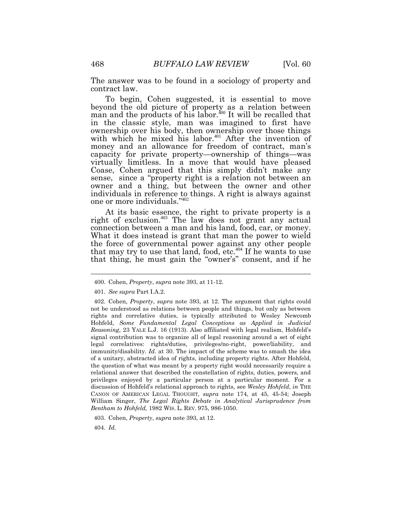The answer was to be found in a sociology of property and contract law.

To begin, Cohen suggested, it is essential to move beyond the old picture of property as a relation between man and the products of his labor.<sup>400</sup> It will be recalled that in the classic style, man was imagined to first have ownership over his body, then ownership over those things with which he mixed his labor. $401$  After the invention of money and an allowance for freedom of contract, man"s capacity for private property—ownership of things—was virtually limitless. In a move that would have pleased Coase, Cohen argued that this simply didn"t make any sense, since a "property right is a relation not between an owner and a thing, but between the owner and other individuals in reference to things. A right is always against one or more individuals." 402

At its basic essence, the right to private property is a right of exclusion.<sup>403</sup> The law does not grant any actual connection between a man and his land, food, car, or money. What it does instead is grant that man the power to wield the force of governmental power against any other people that may try to use that land, food,  $etc.<sup>404</sup>$  If he wants to use that thing, he must gain the "owner"s" consent, and if he

404. *Id.*

<sup>400.</sup> Cohen, *Property*, *supra* note 393, at 11-12.

<sup>401.</sup> *See supra* Part I.A.2.

<sup>402.</sup> Cohen, *Property*, *supra* note 393, at 12. The argument that rights could not be understood as relations between people and things, but only as between rights and correlative duties, is typically attributed to Wesley Newcomb Hohfeld, *Some Fundamental Legal Conceptions as Applied in Judicial Reasoning*, 23 YALE L.J. 16 (1913). Also affiliated with legal realism, Hohfeld"s signal contribution was to organize all of legal reasoning around a set of eight legal correlatives: rights/duties, privileges/no-right, power/liability, and immunity/disability. *Id.* at 30. The impact of the scheme was to smash the idea of a unitary, abstracted idea of rights, including property rights. After Hohfeld, the question of what was meant by a property right would necessarily require a relational answer that described the constellation of rights, duties, powers, and privileges enjoyed by a particular person at a particular moment. For a discussion of Hohfeld"s relational approach to rights, see *Wesley Hohfeld*, *in* THE CANON OF AMERICAN LEGAL THOUGHT, *supra* note 174, at 45, 45-54; Joseph William Singer, *The Legal Rights Debate in Analytical Jurisprudence from Bentham to Hohfeld,* 1982 WIS. L. REV. 975, 986-1050.

<sup>403.</sup> Cohen, *Property*, *supra* note 393, at 12.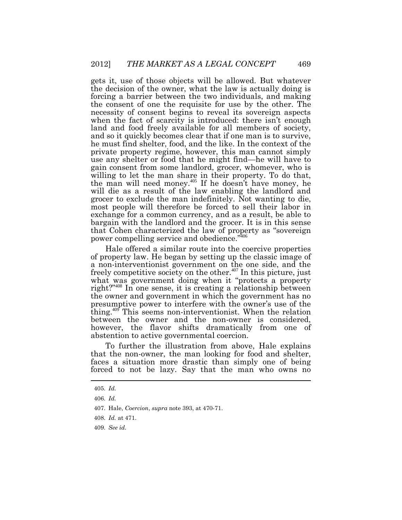gets it, use of those objects will be allowed. But whatever the decision of the owner, what the law is actually doing is forcing a barrier between the two individuals, and making the consent of one the requisite for use by the other. The necessity of consent begins to reveal its sovereign aspects when the fact of scarcity is introduced: there isn't enough land and food freely available for all members of society, and so it quickly becomes clear that if one man is to survive, he must find shelter, food, and the like. In the context of the private property regime, however, this man cannot simply use any shelter or food that he might find—he will have to gain consent from some landlord, grocer, whomever, who is willing to let the man share in their property. To do that, the man will need money.<sup>405</sup> If he doesn't have money, he will die as a result of the law enabling the landlord and grocer to exclude the man indefinitely. Not wanting to die, most people will therefore be forced to sell their labor in exchange for a common currency, and as a result, be able to bargain with the landlord and the grocer. It is in this sense that Cohen characterized the law of property as "sovereign power compelling service and obedience." 406

Hale offered a similar route into the coercive properties of property law. He began by setting up the classic image of a non-interventionist government on the one side, and the freely competitive society on the other. $407$  In this picture, just what was government doing when it "protects a property right?"<sup>408</sup> In one sense, it is creating a relationship between the owner and government in which the government has no presumptive power to interfere with the owner"s use of the thing.<sup>409</sup> This seems non-interventionist. When the relation between the owner and the non-owner is considered, however, the flavor shifts dramatically from one of abstention to active governmental coercion.

To further the illustration from above, Hale explains that the non-owner, the man looking for food and shelter, faces a situation more drastic than simply one of being forced to not be lazy. Say that the man who owns no

<sup>405.</sup> *Id.*

<sup>406.</sup> *Id.*

<sup>407.</sup> Hale, *Coercion*, *supra* note 393, at 470-71.

<sup>408.</sup> *Id.* at 471.

<sup>409.</sup> *See id.*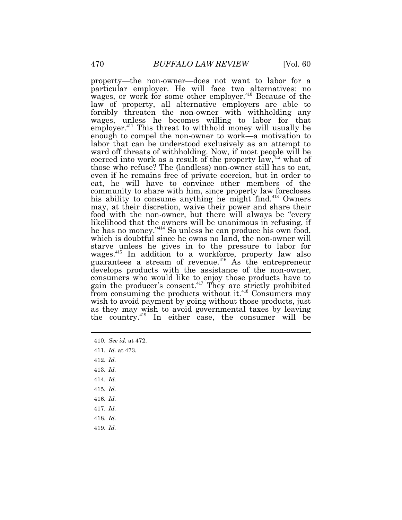property—the non-owner—does not want to labor for a particular employer. He will face two alternatives: no wages, or work for some other employer.<sup>410</sup> Because of the law of property, all alternative employers are able to forcibly threaten the non-owner with withholding any wages, unless he becomes willing to labor for that employer.<sup>411</sup> This threat to withhold money will usually be enough to compel the non-owner to work—a motivation to labor that can be understood exclusively as an attempt to ward off threats of withholding. Now, if most people will be coerced into work as a result of the property  $\int_{a}^{a}$  and  $\int_{a}^{a}$  what of those who refuse? The (landless) non-owner still has to eat, even if he remains free of private coercion, but in order to eat, he will have to convince other members of the community to share with him, since property law forecloses his ability to consume anything he might find.<sup>413</sup> Owners may, at their discretion, waive their power and share their food with the non-owner, but there will always be "every likelihood that the owners will be unanimous in refusing, if he has no money."<sup>414</sup> So unless he can produce his own food, which is doubtful since he owns no land, the non-owner will starve unless he gives in to the pressure to labor for wages.<sup>415</sup> In addition to a workforce, property law also guarantees a stream of revenue.<sup>416</sup> As the entrepreneur develops products with the assistance of the non-owner, consumers who would like to enjoy those products have to gain the producer's consent.<sup>417</sup> They are strictly prohibited from consuming the products without it.<sup>418</sup> Consumers may wish to avoid payment by going without those products, just as they may wish to avoid governmental taxes by leaving the country.<sup>419</sup> In either case, the consumer will be

- 411. *Id.* at 473.
- 412. *Id.*
- 413. *Id.*
- 414. *Id.*
- 415. *Id.*
- 416. *Id.*
- 417. *Id.*
- 418. *Id.*
- 419. *Id.*

<sup>410.</sup> *See id.* at 472.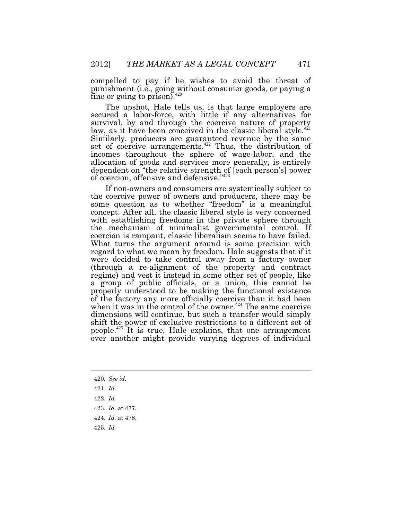compelled to pay if he wishes to avoid the threat of punishment (i.e., going without consumer goods, or paying a fine or going to prison). $420$ 

The upshot, Hale tells us, is that large employers are secured a labor-force, with little if any alternatives for survival, by and through the coercive nature of property law, as it have been conceived in the classic liberal style.<sup>421</sup> Similarly, producers are guaranteed revenue by the same set of coercive arrangements.<sup>422</sup> Thus, the distribution of incomes throughout the sphere of wage-labor, and the allocation of goods and services more generally, is entirely dependent on "the relative strength of [each person"s] power of coercion, offensive and defensive." 423

If non-owners and consumers are systemically subject to the coercive power of owners and producers, there may be some question as to whether "freedom" is a meaningful concept. After all, the classic liberal style is very concerned with establishing freedoms in the private sphere through the mechanism of minimalist governmental control. If coercion is rampant, classic liberalism seems to have failed. What turns the argument around is some precision with regard to what we mean by freedom. Hale suggests that if it were decided to take control away from a factory owner (through a re-alignment of the property and contract regime) and vest it instead in some other set of people, like a group of public officials, or a union, this cannot be properly understood to be making the functional existence of the factory any more officially coercive than it had been when it was in the control of the owner.<sup>424</sup> The same coercive dimensions will continue, but such a transfer would simply shift the power of exclusive restrictions to a different set of people.<sup>425</sup> It is true, Hale explains, that one arrangement over another might provide varying degrees of individual

425. *Id.*

<sup>420.</sup> *See id.*

<sup>421.</sup> *Id.*

<sup>422.</sup> *Id.*

<sup>423.</sup> *Id.* at 477.

<sup>424.</sup> *Id.* at 478.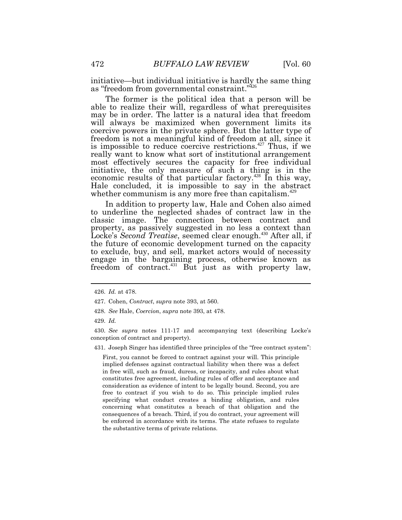initiative—but individual initiative is hardly the same thing as "freedom from governmental constraint."<sup>426</sup>

The former is the political idea that a person will be able to realize their will, regardless of what prerequisites may be in order. The latter is a natural idea that freedom will always be maximized when government limits its coercive powers in the private sphere. But the latter type of freedom is not a meaningful kind of freedom at all, since it is impossible to reduce coercive restrictions. $427$  Thus, if we really want to know what sort of institutional arrangement most effectively secures the capacity for free individual initiative, the only measure of such a thing is in the economic results of that particular factory.<sup>428</sup> In this way, Hale concluded, it is impossible to say in the abstract whether communism is any more free than capitalism.<sup>429</sup>

In addition to property law, Hale and Cohen also aimed to underline the neglected shades of contract law in the classic image. The connection between contract and property, as passively suggested in no less a context than Locke"s *Second Treatise*, seemed clear enough.<sup>430</sup> After all, if the future of economic development turned on the capacity to exclude, buy, and sell, market actors would of necessity engage in the bargaining process, otherwise known as freedom of contract.<sup>431</sup> But just as with property law,

- 428. *See* Hale, *Coercion*, *supra* note 393, at 478.
- 429. *Id.*

431. Joseph Singer has identified three principles of the "free contract system":

First, you cannot be forced to contract against your will. This principle implied defenses against contractual liability when there was a defect in free will, such as fraud, duress, or incapacity, and rules about what constitutes free agreement, including rules of offer and acceptance and consideration as evidence of intent to be legally bound. Second, you are free to contract if you wish to do so. This principle implied rules specifying what conduct creates a binding obligation, and rules concerning what constitutes a breach of that obligation and the consequences of a breach. Third, if you do contract, your agreement will be enforced in accordance with its terms. The state refuses to regulate the substantive terms of private relations.

<sup>426.</sup> *Id.* at 478.

<sup>427.</sup> Cohen, *Contract*, *supra* note 393, at 560.

<sup>430.</sup> *See supra* notes 111-17 and accompanying text (describing Locke"s conception of contract and property).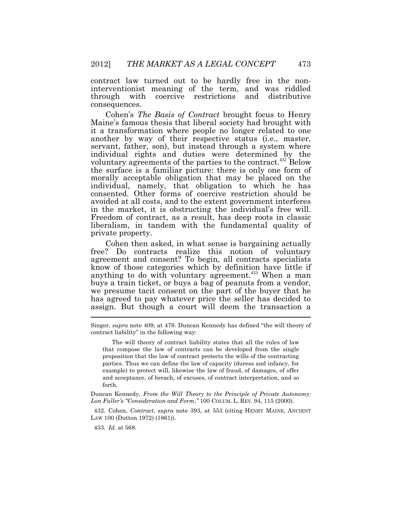contract law turned out to be hardly free in the noninterventionist meaning of the term, and was riddled through with coercive restrictions and distributive consequences.

Cohen"s *The Basis of Contract* brought focus to Henry Maine's famous thesis that liberal society had brought with it a transformation where people no longer related to one another by way of their respective status (i.e., master, servant, father, son), but instead through a system where individual rights and duties were determined by the voluntary agreements of the parties to the contract.<sup>432</sup> Below the surface is a familiar picture: there is only one form of morally acceptable obligation that may be placed on the individual, namely, that obligation to which he has consented. Other forms of coercive restriction should be avoided at all costs, and to the extent government interferes in the market, it is obstructing the individual's free will. Freedom of contract, as a result, has deep roots in classic liberalism, in tandem with the fundamental quality of private property.

Cohen then asked, in what sense is bargaining actually free? Do contracts realize this notion of voluntary agreement and consent? To begin, all contracts specialists know of those categories which by definition have little if anything to do with voluntary agreement.<sup>433</sup> When a man buys a train ticket, or buys a bag of peanuts from a vendor, we presume tacit consent on the part of the buyer that he has agreed to pay whatever price the seller has decided to assign. But though a court will deem the transaction a

The will theory of contract liability states that all the rules of law that compose the law of contracts can be developed from the single proposition that the law of contract protects the wills of the contracting parties. Thus we can define the law of capacity (duress and infancy, for example) to protect will, likewise the law of fraud, of damages, of offer and acceptance, of breach, of excuses, of contract interpretation, and so forth.

Duncan Kennedy, *From the Will Theory to the Principle of Private Autonomy: Lon Fuller"s "Consideration and Form*,*"* 100 COLUM. L. REV. 94, 115 (2000).

432. Cohen, *Contract*, *supra* note 393, at 553 (citing HENRY MAINE, ANCIENT LAW 100 (Dutton 1972) (1861)).

433. *Id.* at 568.

Singer, *supra* note 409, at 479. Duncan Kennedy has defined "the will theory of contract liability" in the following way: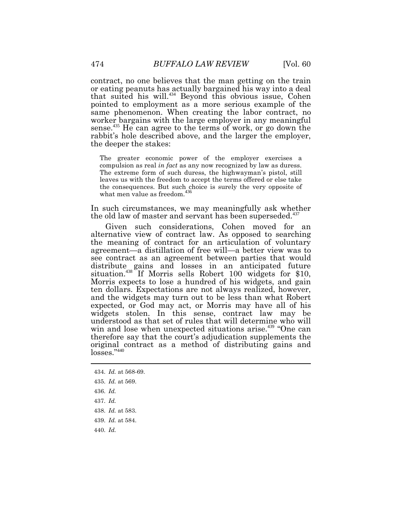contract, no one believes that the man getting on the train or eating peanuts has actually bargained his way into a deal that suited his will.<sup>434</sup> Beyond this obvious issue, Cohen pointed to employment as a more serious example of the same phenomenon. When creating the labor contract, no worker bargains with the large employer in any meaningful sense.<sup>435</sup> He can agree to the terms of work, or go down the rabbit's hole described above, and the larger the employer, the deeper the stakes:

The greater economic power of the employer exercises a compulsion as real *in fact* as any now recognized by law as duress. The extreme form of such duress, the highwayman's pistol, still leaves us with the freedom to accept the terms offered or else take the consequences. But such choice is surely the very opposite of what men value as freedom.<sup>436</sup>

In such circumstances, we may meaningfully ask whether the old law of master and servant has been superseded.<sup>43</sup>

Given such considerations, Cohen moved for an alternative view of contract law. As opposed to searching the meaning of contract for an articulation of voluntary agreement—a distillation of free will—a better view was to see contract as an agreement between parties that would distribute gains and losses in an anticipated future situation.<sup>438</sup> If Morris sells Robert 100 widgets for \$10, Morris expects to lose a hundred of his widgets, and gain ten dollars. Expectations are not always realized, however, and the widgets may turn out to be less than what Robert expected, or God may act, or Morris may have all of his widgets stolen. In this sense, contract law may be understood as that set of rules that will determine who will win and lose when unexpected situations arise.<sup>439</sup> "One can therefore say that the court's adjudication supplements the original contract as a method of distributing gains and losses."440

- 436. *Id.*
- 437. *Id.*
- 438. *Id.* at 583.
- 439. *Id.* at 584.
- 440. *Id.*

<sup>434.</sup> *Id.* at 568-69.

<sup>435.</sup> *Id.* at 569.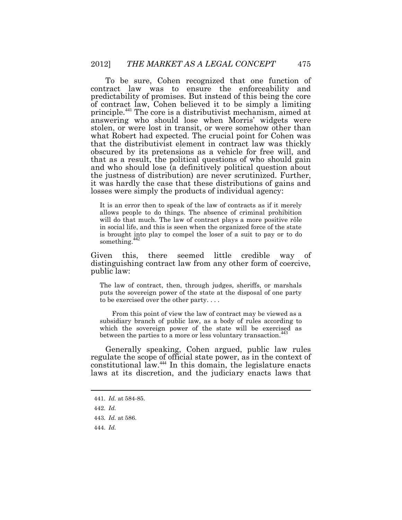To be sure, Cohen recognized that one function of contract law was to ensure the enforceability and predictability of promises. But instead of this being the core of contract law, Cohen believed it to be simply a limiting principle.<sup>441</sup> The core is a distributivist mechanism, aimed at answering who should lose when Morris' widgets were stolen, or were lost in transit, or were somehow other than what Robert had expected. The crucial point for Cohen was that the distributivist element in contract law was thickly obscured by its pretensions as a vehicle for free will, and that as a result, the political questions of who should gain and who should lose (a definitively political question about the justness of distribution) are never scrutinized. Further, it was hardly the case that these distributions of gains and losses were simply the products of individual agency:

It is an error then to speak of the law of contracts as if it merely allows people to do things. The absence of criminal prohibition will do that much. The law of contract plays a more positive rôle in social life, and this is seen when the organized force of the state is brought into play to compel the loser of a suit to pay or to do something. $442$ 

Given this, there seemed little credible way of distinguishing contract law from any other form of coercive, public law:

The law of contract, then, through judges, sheriffs, or marshals puts the sovereign power of the state at the disposal of one party to be exercised over the other party. . . .

From this point of view the law of contract may be viewed as a subsidiary branch of public law, as a body of rules according to which the sovereign power of the state will be exercised as between the parties to a more or less voluntary transaction.<sup>443</sup>

Generally speaking, Cohen argued, public law rules regulate the scope of official state power, as in the context of constitutional law.<sup>444</sup> In this domain, the legislature enacts laws at its discretion, and the judiciary enacts laws that

<sup>441.</sup> *Id.* at 584-85.

<sup>442.</sup> *Id.* 

<sup>443.</sup> *Id.* at 586.

<sup>444.</sup> *Id.*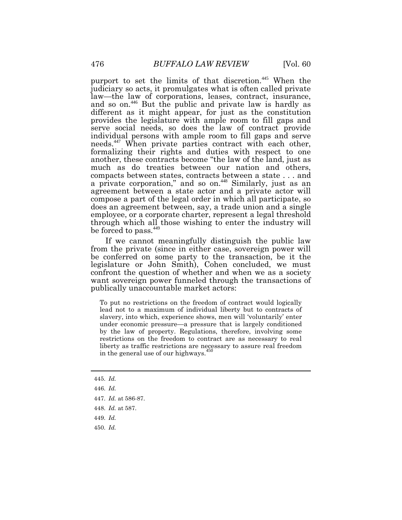purport to set the limits of that discretion.<sup>445</sup> When the judiciary so acts, it promulgates what is often called private law—the law of corporations, leases, contract, insurance, and so on.<sup>446</sup> But the public and private law is hardly as different as it might appear, for just as the constitution provides the legislature with ample room to fill gaps and serve social needs, so does the law of contract provide individual persons with ample room to fill gaps and serve needs.<sup>447</sup> When private parties contract with each other, formalizing their rights and duties with respect to one another, these contracts become "the law of the land, just as much as do treaties between our nation and others, compacts between states, contracts between a state . . . and a private corporation," and so on.<sup>448</sup> Similarly, just as an agreement between a state actor and a private actor will compose a part of the legal order in which all participate, so does an agreement between, say, a trade union and a single employee, or a corporate charter, represent a legal threshold through which all those wishing to enter the industry will be forced to pass.<sup>449</sup>

If we cannot meaningfully distinguish the public law from the private (since in either case, sovereign power will be conferred on some party to the transaction, be it the legislature or John Smith), Cohen concluded, we must confront the question of whether and when we as a society want sovereign power funneled through the transactions of publically unaccountable market actors:

To put no restrictions on the freedom of contract would logically lead not to a maximum of individual liberty but to contracts of slavery, into which, experience shows, men will "voluntarily" enter under economic pressure—a pressure that is largely conditioned by the law of property. Regulations, therefore, involving some restrictions on the freedom to contract are as necessary to real liberty as traffic restrictions are necessary to assure real freedom in the general use of our highways.<sup>450</sup>

- 449. *Id.*
- 450. *Id.*

<sup>445.</sup> *Id.*

<sup>446.</sup> *Id.*

<sup>447.</sup> *Id.* at 586-87.

<sup>448.</sup> *Id.* at 587.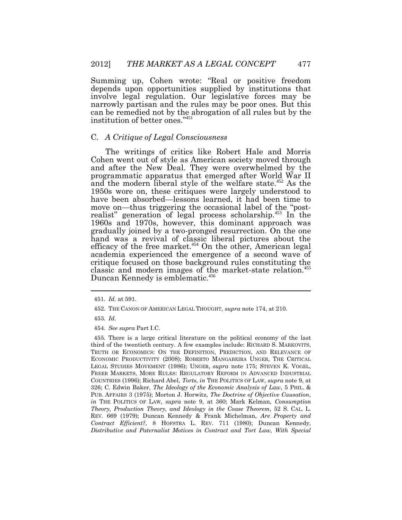Summing up, Cohen wrote: "Real or positive freedom depends upon opportunities supplied by institutions that involve legal regulation. Our legislative forces may be narrowly partisan and the rules may be poor ones. But this can be remedied not by the abrogation of all rules but by the institution of better ones." 451

## C. *A Critique of Legal Consciousness*

The writings of critics like Robert Hale and Morris Cohen went out of style as American society moved through and after the New Deal. They were overwhelmed by the programmatic apparatus that emerged after World War II and the modern liberal style of the welfare state.<sup>452</sup> As the 1950s wore on, these critiques were largely understood to have been absorbed—lessons learned, it had been time to move on—thus triggering the occasional label of the "postrealist" generation of legal process scholarship.<sup>453</sup> In the 1960s and 1970s, however, this dominant approach was gradually joined by a two-pronged resurrection. On the one hand was a revival of classic liberal pictures about the efficacy of the free market.<sup>454</sup> On the other, American legal academia experienced the emergence of a second wave of critique focused on those background rules constituting the classic and modern images of the market-state relation.<sup>455</sup> Duncan Kennedy is emblematic. 456

<sup>451.</sup> *Id.* at 591.

<sup>452.</sup> THE CANON OF AMERICAN LEGAL THOUGHT, *supra* note 174, at 210.

<sup>453.</sup> *Id.*

<sup>454.</sup> *See supra* Part I.C.

<sup>455.</sup> There is a large critical literature on the political economy of the last third of the twentieth century. A few examples include: RICHARD S. MARKOVITS, TRUTH OR ECONOMICS: ON THE DEFINITION, PREDICTION, AND RELEVANCE OF ECONOMIC PRODUCTIVITY (2008); ROBERTO MANGABEIRA UNGER, THE CRITICAL LEGAL STUDIES MOVEMENT (1986); UNGER, *supra* note 175; STEVEN K. VOGEL, FREER MARKETS, MORE RULES: REGULATORY REFORM IN ADVANCED INDUSTRIAL COUNTRIES (1996); Richard Abel, *Torts*, *in* THE POLITICS OF LAW, *supra* note 9, at 326; C. Edwin Baker, *The Ideology of the Economic Analysis of Law*, 5 PHIL. & PUB. AFFAIRS 3 (1975); Morton J. Horwitz, *The Doctrine of Objective Causation*, *in* THE POLITICS OF LAW, *supra* note 9, at 360; Mark Kelman, *Consumption Theory, Production Theory, and Ideology in the Coase Theorem*, 52 S. CAL. L. REV. 669 (1979); Duncan Kennedy & Frank Michelman, *Are Property and Contract Efficient?*, 8 HOFSTRA L. REV. 711 (1980); Duncan Kennedy, *Distributive and Paternalist Motives in Contract and Tort Law, With Special*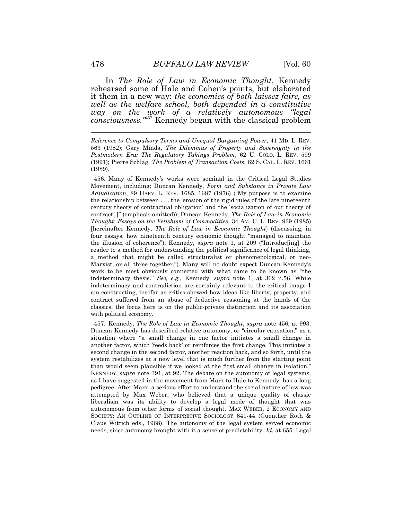In *The Role of Law in Economic Thought*, Kennedy rehearsed some of Hale and Cohen"s points, but elaborated it them in a new way: *the economics of both laissez faire, as well as the welfare school, both depended in a constitutive way on the work of a relatively autonomous "legal consciousness."*<sup>457</sup> Kennedy began with the classical problem

456. Many of Kennedy"s works were seminal in the Critical Legal Studies Movement, including: Duncan Kennedy, *Form and Substance in Private Law Adjudication*, 89 HARV. L. REV. 1685, 1687 (1976) ("My purpose is to examine the relationship between . . . the "erosion of the rigid rules of the late nineteenth century theory of contractual obligation" and the "socialization of our theory of contract[.]" (emphasis omitted)); Duncan Kennedy, *The Role of Law in Economic Thought: Essays on the Fetishism of Commodities*, 34 AM. U. L. REV. 939 (1985) [hereinafter Kennedy, *The Role of Law in Economic Thought*] (discussing, in four essays, how nineteenth century economic thought "managed to maintain the illusion of coherence"); Kennedy, *supra* note 1, at 209 ("Introduc[ing] the reader to a method for understanding the political significance of legal thinking, a method that might be called structuralist or phenomenological, or neo-Marxist, or all three together."). Many will no doubt expect Duncan Kennedy"s work to be most obviously connected with what came to be known as "the indeterminacy thesis." *See, e.g.*, Kennedy, *supra* note 1, at 362 n.56. While indeterminacy and contradiction are certainly relevant to the critical image I am constructing, insofar as critics showed how ideas like liberty, property, and contract suffered from an abuse of deductive reasoning at the hands of the classics, the focus here is on the public-private distinction and its association with political economy.

457. Kennedy, *The Role of Law in Economic Thought*, *supra* note 456, at 993. Duncan Kennedy has described relative autonomy, or "circular causation," as a situation where "a small change in one factor initiates a small change in another factor, which "feeds back" or reinforces the first change. This initiates a second change in the second factor, another reaction back, and so forth, until the system restabilizes at a new level that is much further from the starting point than would seem plausible if we looked at the first small change in isolation." KENNEDY, *supra* note 391, at 92. The debate on the autonomy of legal systems, as I have suggested in the movement from Marx to Hale to Kennedy, has a long pedigree. After Marx, a serious effort to understand the social nature of law was attempted by Max Weber, who believed that a unique quality of classic liberalism was its ability to develop a legal mode of thought that was autonomous from other forms of social thought. MAX WEBER, 2 ECONOMY AND SOCIETY: AN OUTLINE OF INTERPRETIVE SOCIOLOGY 641-44 (Guenther Roth & Claus Wittich eds., 1968). The autonomy of the legal system served economic needs, since autonomy brought with it a sense of predictability. *Id.* at 655. Legal

*Reference to Compulsory Terms and Unequal Bargaining Power*, 41 MD. L. REV. 563 (1982); Gary Minda, *The Dilemmas of Property and Sovereignty in the Postmodern Era: The Regulatory Takings Problem*, 62 U. COLO. L. REV. 599 (1991); Pierre Schlag, *The Problem of Transaction Costs*, 62 S. CAL. L. REV. 1661 (1989).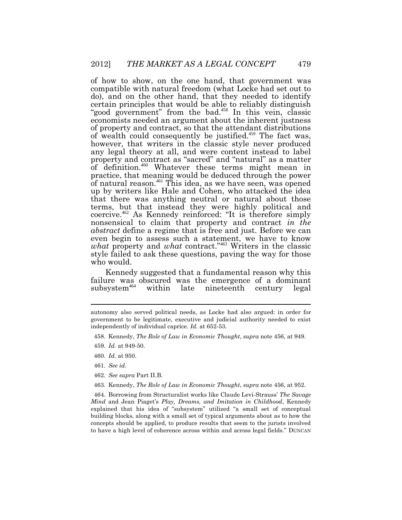of how to show, on the one hand, that government was compatible with natural freedom (what Locke had set out to do), and on the other hand, that they needed to identify certain principles that would be able to reliably distinguish "good government" from the bad.<sup>458</sup> In this vein, classic economists needed an argument about the inherent justness of property and contract, so that the attendant distributions of wealth could consequently be justified.<sup>459</sup> The fact was, however, that writers in the classic style never produced any legal theory at all, and were content instead to label property and contract as "sacred" and "natural" as a matter of definition.<sup>460</sup> Whatever these terms might mean in practice, that meaning would be deduced through the power of natural reason.<sup>461</sup> This idea, as we have seen, was opened up by writers like Hale and Cohen, who attacked the idea that there was anything neutral or natural about those terms, but that instead they were highly political and coercive.<sup>462</sup> As Kennedy reinforced: "It is therefore simply nonsensical to claim that property and contract *in the abstract* define a regime that is free and just. Before we can even begin to assess such a statement, we have to know *what* property and *what* contract." <sup>463</sup> Writers in the classic style failed to ask these questions, paving the way for those who would.

Kennedy suggested that a fundamental reason why this failure was obscured was the emergence of a dominant subsystem<sup>464</sup> within late nineteenth century legal

- 458. Kennedy, *The Role of Law in Economic Thought*, *supra* note 456, at 949.
- 459. *Id.* at 949-50.
- 460. *Id.* at 950.
- 461. *See id.*
- 462. *See supra* Part II.B.
- 463. Kennedy, *The Role of Law in Economic Thought*, *supra* note 456, at 952.

464. Borrowing from Structuralist works like Claude Levi-Strauss" *The Savage Mind* and Jean Piaget"s *Play, Dreams, and Imitation in Childhood*, Kennedy explained that his idea of "subsystem" utilized "a small set of conceptual building blocks, along with a small set of typical arguments about as to how the concepts should be applied, to produce results that seem to the jurists involved to have a high level of coherence across within and across legal fields." DUNCAN

autonomy also served political needs, as Locke had also argued: in order for government to be legitimate, executive and judicial authority needed to exist independently of individual caprice. *Id.* at 652-53.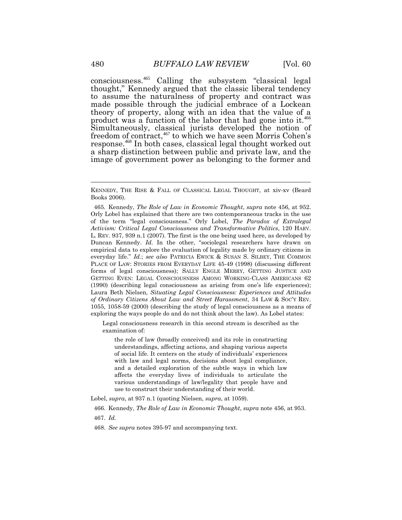consciousness.<sup>465</sup> Calling the subsystem "classical legal thought," Kennedy argued that the classic liberal tendency to assume the naturalness of property and contract was made possible through the judicial embrace of a Lockean theory of property, along with an idea that the value of a product was a function of the labor that had gone into it.<sup>466</sup> Simultaneously, classical jurists developed the notion of freedom of contract,<sup>467</sup> to which we have seen Morris Cohen's response.<sup>468</sup> In both cases, classical legal thought worked out a sharp distinction between public and private law, and the image of government power as belonging to the former and

Legal consciousness research in this second stream is described as the examination of:

the role of law (broadly conceived) and its role in constructing understandings, affecting actions, and shaping various aspects of social life. It centers on the study of individuals" experiences with law and legal norms, decisions about legal compliance, and a detailed exploration of the subtle ways in which law affects the everyday lives of individuals to articulate the various understandings of law/legality that people have and use to construct their understanding of their world.

Lobel, *supra*, at 937 n.1 (quoting Nielsen, *supra*, at 1059).

466. Kennedy, *The Role of Law in Economic Thought*, *supra* note 456, at 953.

- 467. *Id.*
- 468. *See supra* notes 395-97 and accompanying text.

KENNEDY, THE RISE & FALL OF CLASSICAL LEGAL THOUGHT, at xiv-xv (Beard Books 2006).

<sup>465.</sup> Kennedy, *The Role of Law in Economic Thought*, *supra* note 456, at 952. Orly Lobel has explained that there are two contemporaneous tracks in the use of the term "legal consciousness." Orly Lobel, *The Paradox of Extralegal Activism: Critical Legal Consciousness and Transformative Politics*, 120 HARV. L. REV. 937, 939 n.1 (2007). The first is the one being used here, as developed by Duncan Kennedy. *Id.* In the other, "sociolegal researchers have drawn on empirical data to explore the evaluation of legality made by ordinary citizens in everyday life." *Id.*; *see also* PATRICIA EWICK & SUSAN S. SILBEY, THE COMMON PLACE OF LAW: STORIES FROM EVERYDAY LIFE 45-49 (1998) (discussing different forms of legal consciousness); SALLY ENGLE MERRY, GETTING JUSTICE AND GETTING EVEN: LEGAL CONSCIOUSNESS AMONG WORKING-CLASS AMERICANS 62 (1990) (describing legal consciousness as arising from one"s life experiences); Laura Beth Nielsen, *[Situating Legal Consciousness: Experiences and Attitudes](http://web2.westlaw.com/find/default.wl?tf=-1&rs=WLW10.03&referencepositiontype=S&serialnum=0283862163&fn=_top&sv=Split&referenceposition=1058&pbc=7B01585E&tc=-1&ordoc=0330375058&findtype=Y&db=100947&vr=2.0&rp=%2ffind%2fdefault.wl&mt=208)  [of Ordinary Citizens About Law and Street Harassment](http://web2.westlaw.com/find/default.wl?tf=-1&rs=WLW10.03&referencepositiontype=S&serialnum=0283862163&fn=_top&sv=Split&referenceposition=1058&pbc=7B01585E&tc=-1&ordoc=0330375058&findtype=Y&db=100947&vr=2.0&rp=%2ffind%2fdefault.wl&mt=208)*, 34 LAW & SOC"Y REV. [1055, 1058-59 \(2000\)](http://web2.westlaw.com/find/default.wl?tf=-1&rs=WLW10.03&referencepositiontype=S&serialnum=0283862163&fn=_top&sv=Split&referenceposition=1058&pbc=7B01585E&tc=-1&ordoc=0330375058&findtype=Y&db=100947&vr=2.0&rp=%2ffind%2fdefault.wl&mt=208) (describing the study of legal consciousness as a means of exploring the ways people do and do not think about the law). As Lobel states: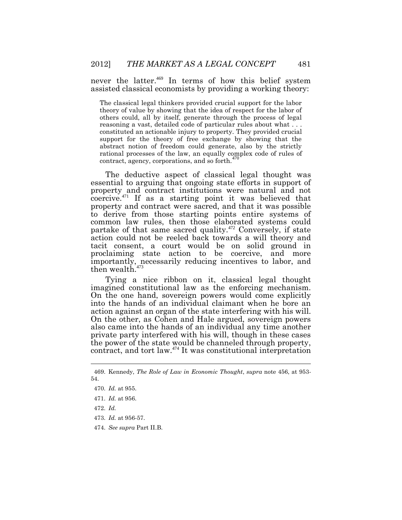never the latter.<sup>469</sup> In terms of how this belief system assisted classical economists by providing a working theory:

The classical legal thinkers provided crucial support for the labor theory of value by showing that the idea of respect for the labor of others could, all by itself, generate through the process of legal reasoning a vast, detailed code of particular rules about what . . . constituted an actionable injury to property. They provided crucial support for the theory of free exchange by showing that the abstract notion of freedom could generate, also by the strictly rational processes of the law, an equally complex code of rules of contract, agency, corporations, and so forth.<sup>4</sup>

The deductive aspect of classical legal thought was essential to arguing that ongoing state efforts in support of property and contract institutions were natural and not coercive.<sup>471</sup> If as a starting point it was believed that property and contract were sacred, and that it was possible to derive from those starting points entire systems of common law rules, then those elaborated systems could partake of that same sacred quality.<sup>472</sup> Conversely, if state action could not be reeled back towards a will theory and tacit consent, a court would be on solid ground in proclaiming state action to be coercive, and more importantly, necessarily reducing incentives to labor, and then wealth.<sup>473</sup>

Tying a nice ribbon on it, classical legal thought imagined constitutional law as the enforcing mechanism. On the one hand, sovereign powers would come explicitly into the hands of an individual claimant when he bore an action against an organ of the state interfering with his will. On the other, as Cohen and Hale argued, sovereign powers also came into the hands of an individual any time another private party interfered with his will, though in these cases the power of the state would be channeled through property, contract, and tort law.<sup> $474$ </sup> It was constitutional interpretation

<sup>469.</sup> Kennedy, *The Role of Law in Economic Thought*, *supra* note 456, at 953- 54.

<sup>470.</sup> *Id.* at 955.

<sup>471.</sup> *Id.* at 956.

<sup>472.</sup> *Id.*

<sup>473.</sup> *Id.* at 956-57.

<sup>474.</sup> *See supra* Part II.B.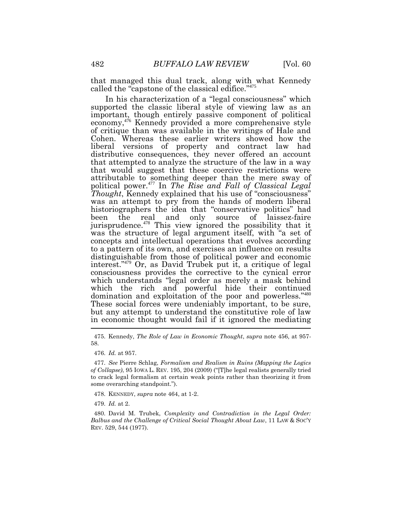that managed this dual track, along with what Kennedy called the "capstone of the classical edifice." 475

In his characterization of a "legal consciousness" which supported the classic liberal style of viewing law as an important, though entirely passive component of political economy,<sup>476</sup> Kennedy provided a more comprehensive style of critique than was available in the writings of Hale and Cohen. Whereas these earlier writers showed how the liberal versions of property and contract law had distributive consequences, they never offered an account that attempted to analyze the structure of the law in a way that would suggest that these coercive restrictions were attributable to something deeper than the mere sway of political power.<sup>477</sup> In *The Rise and Fall of Classical Legal Thought*, Kennedy explained that his use of "consciousness" was an attempt to pry from the hands of modern liberal historiographers the idea that "conservative politics" had been the real and only source of laissez-faire jurisprudence.<sup>478</sup> This view ignored the possibility that it was the structure of legal argument itself, with "a set of concepts and intellectual operations that evolves according to a pattern of its own, and exercises an influence on results distinguishable from those of political power and economic interest." <sup>479</sup> Or, as David Trubek put it, a critique of legal consciousness provides the corrective to the cynical error which understands "legal order as merely a mask behind which the rich and powerful hide their continued domination and exploitation of the poor and powerless."480 These social forces were undeniably important, to be sure, but any attempt to understand the constitutive role of law in economic thought would fail if it ignored the mediating

479. *Id.* at 2.

480. David M. Trubek, *Complexity and Contradiction in the Legal Order: Balbus and the Challenge of Critical Social Thought About Law*, 11 LAW & SOC"Y REV. 529, 544 (1977).

<sup>475.</sup> Kennedy, *The Role of Law in Economic Thought*, *supra* note 456, at 957- 58.

<sup>476.</sup> *Id.* at 957.

<sup>477.</sup> *See* Pierre Schlag, *Formalism and Realism in Ruins (Mapping the Logics of Collapse)*, 95 IOWA L. REV. 195, 204 (2009) ("[T]he legal realists generally tried to crack legal formalism at certain weak points rather than theorizing it from some overarching standpoint.").

<sup>478.</sup> KENNEDY, *supra* note 464, at 1-2.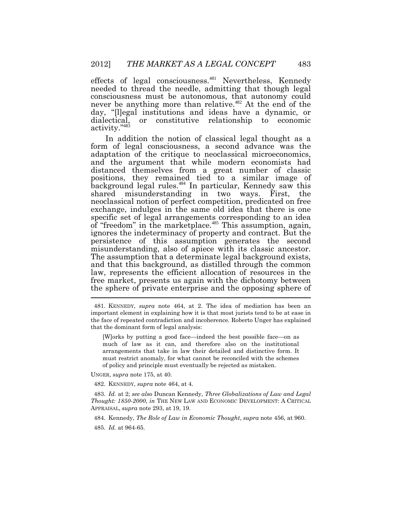effects of legal consciousness.<sup>481</sup> Nevertheless, Kennedy needed to thread the needle, admitting that though legal consciousness must be autonomous, that autonomy could never be anything more than relative.<sup>482</sup> At the end of the day, "[l]egal institutions and ideas have a dynamic, or dialectical, or constitutive relationship to economic activity." 483

In addition the notion of classical legal thought as a form of legal consciousness, a second advance was the adaptation of the critique to neoclassical microeconomics, and the argument that while modern economists had distanced themselves from a great number of classic positions, they remained tied to a similar image of background legal rules.<sup>484</sup> In particular, Kennedy saw this shared misunderstanding in two ways. First, the neoclassical notion of perfect competition, predicated on free exchange, indulges in the same old idea that there is one specific set of legal arrangements corresponding to an idea of "freedom" in the marketplace.<sup>485</sup> This assumption, again, ignores the indeterminacy of property and contract. But the persistence of this assumption generates the second misunderstanding, also of apiece with its classic ancestor. The assumption that a determinate legal background exists, and that this background, as distilled through the common law, represents the efficient allocation of resources in the free market, presents us again with the dichotomy between the sphere of private enterprise and the opposing sphere of

[W]orks by putting a good face—indeed the best possible face—on as much of law as it can, and therefore also on the institutional arrangements that take in law their detailed and distinctive form. It must restrict anomaly, for what cannot be reconciled with the schemes of policy and principle must eventually be rejected as mistaken.

UNGER, *supra* note 175, at 40.

482. KENNEDY, *supra* note 464, at 4.

483. *Id.* at 2; *see also* Duncan Kennedy, *Three Globalizations of Law and Legal Thought: 1850-2000*, *in* THE NEW LAW AND ECONOMIC DEVELOPMENT: A CRITICAL APPRAISAL, *supra* note 293, at 19, 19.

484. Kennedy, *The Role of Law in Economic Thought*, *supra* note 456, at 960.

485. *Id.* at 964-65.

<sup>481.</sup> KENNEDY, *supra* note 464, at 2. The idea of mediation has been an important element in explaining how it is that most jurists tend to be at ease in the face of repeated contradiction and incoherence. Roberto Unger has explained that the dominant form of legal analysis: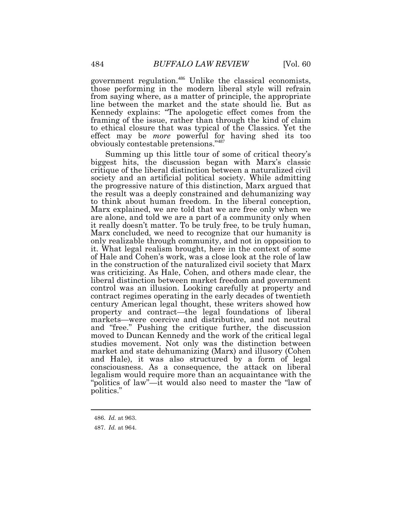government regulation.<sup>486</sup> Unlike the classical economists, those performing in the modern liberal style will refrain from saying where, as a matter of principle, the appropriate line between the market and the state should lie. But as Kennedy explains: "The apologetic effect comes from the framing of the issue, rather than through the kind of claim to ethical closure that was typical of the Classics. Yet the effect may be *more* powerful for having shed its too obviously contestable pretensions." 487

Summing up this little tour of some of critical theory"s biggest hits, the discussion began with Marx"s classic critique of the liberal distinction between a naturalized civil society and an artificial political society. While admitting the progressive nature of this distinction, Marx argued that the result was a deeply constrained and dehumanizing way to think about human freedom. In the liberal conception, Marx explained, we are told that we are free only when we are alone, and told we are a part of a community only when it really doesn"t matter. To be truly free, to be truly human, Marx concluded, we need to recognize that our humanity is only realizable through community, and not in opposition to it. What legal realism brought, here in the context of some of Hale and Cohen"s work, was a close look at the role of law in the construction of the naturalized civil society that Marx was criticizing. As Hale, Cohen, and others made clear, the liberal distinction between market freedom and government control was an illusion. Looking carefully at property and contract regimes operating in the early decades of twentieth century American legal thought, these writers showed how property and contract—the legal foundations of liberal markets—were coercive and distributive, and not neutral and "free." Pushing the critique further, the discussion moved to Duncan Kennedy and the work of the critical legal studies movement. Not only was the distinction between market and state dehumanizing (Marx) and illusory (Cohen and Hale), it was also structured by a form of legal consciousness. As a consequence, the attack on liberal legalism would require more than an acquaintance with the "politics of law"—it would also need to master the "law of politics."

<sup>486.</sup> *Id.* at 963.

<sup>487.</sup> *Id.* at 964.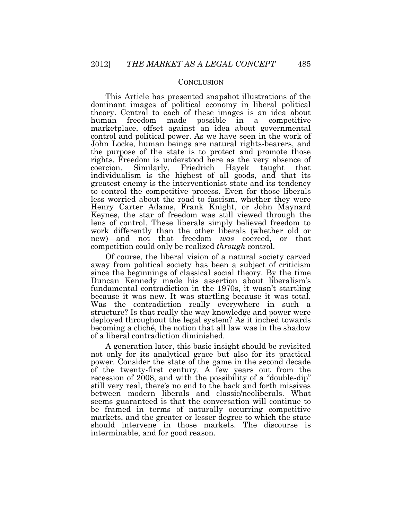#### **CONCLUSION**

This Article has presented snapshot illustrations of the dominant images of political economy in liberal political theory. Central to each of these images is an idea about human freedom made possible in a competitive marketplace, offset against an idea about governmental control and political power. As we have seen in the work of John Locke, human beings are natural rights-bearers, and the purpose of the state is to protect and promote those rights. Freedom is understood here as the very absence of coercion. Similarly, Friedrich Hayek taught that individualism is the highest of all goods, and that its greatest enemy is the interventionist state and its tendency to control the competitive process. Even for those liberals less worried about the road to fascism, whether they were Henry Carter Adams, Frank Knight, or John Maynard Keynes, the star of freedom was still viewed through the lens of control. These liberals simply believed freedom to work differently than the other liberals (whether old or new)—and not that freedom *was* coerced, or that competition could only be realized *through* control.

Of course, the liberal vision of a natural society carved away from political society has been a subject of criticism since the beginnings of classical social theory. By the time Duncan Kennedy made his assertion about liberalism"s fundamental contradiction in the 1970s, it wasn"t startling because it was new. It was startling because it was total. Was the contradiction really everywhere in such a structure? Is that really the way knowledge and power were deployed throughout the legal system? As it inched towards becoming a cliché, the notion that all law was in the shadow of a liberal contradiction diminished.

A generation later, this basic insight should be revisited not only for its analytical grace but also for its practical power. Consider the state of the game in the second decade of the twenty-first century. A few years out from the recession of 2008, and with the possibility of a "double-dip" still very real, there"s no end to the back and forth missives between modern liberals and classic/neoliberals. What seems guaranteed is that the conversation will continue to be framed in terms of naturally occurring competitive markets, and the greater or lesser degree to which the state should intervene in those markets. The discourse is interminable, and for good reason.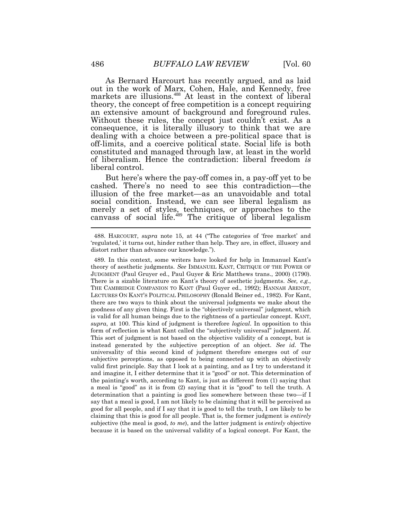As Bernard Harcourt has recently argued, and as laid out in the work of Marx, Cohen, Hale, and Kennedy, free markets are illusions.<sup>488</sup> At least in the context of liberal theory, the concept of free competition is a concept requiring an extensive amount of background and foreground rules. Without these rules, the concept just couldn"t exist. As a consequence, it is literally illusory to think that we are dealing with a choice between a pre-political space that is off-limits, and a coercive political state. Social life is both constituted and managed through law, at least in the world of liberalism. Hence the contradiction: liberal freedom *is* liberal control.

But here's where the pay-off comes in, a pay-off yet to be cashed. There"s no need to see this contradiction—the illusion of the free market—as an unavoidable and total social condition. Instead, we can see liberal legalism as merely a set of styles, techniques, or approaches to the canvass of social life.<sup>489</sup> The critique of liberal legalism

489. In this context, some writers have looked for help in Immanuel Kant"s theory of aesthetic judgments. *See* IMMANUEL KANT, CRITIQUE OF THE POWER OF JUDGMENT (Paul Gruyer ed., Paul Guyer & Eric Matthews trans., 2000) (1790). There is a sizable literature on Kant's theory of aesthetic judgments. *See, e.g.*, THE CAMBRIDGE COMPANION TO KANT (Paul Guyer ed., 1992); HANNAH ARENDT, LECTURES ON KANT"S POLITICAL PHILOSOPHY (Ronald Beiner ed., 1982). For Kant, there are two ways to think about the universal judgments we make about the goodness of any given thing. First is the "objectively universal" judgment, which is valid for all human beings due to the rightness of a particular concept. KANT, *supra*, at 100. This kind of judgment is therefore *logical*. In opposition to this form of reflection is what Kant called the "subjectively universal" judgment. *Id.* This sort of judgment is not based on the objective validity of a concept, but is instead generated by the subjective perception of an object. *See id.* The universality of this second kind of judgment therefore emerges out of our subjective perceptions, as opposed to being connected up with an objectively valid first principle. Say that I look at a painting, and as I try to understand it and imagine it, I either determine that it is "good" or not. This determination of the painting"s worth, according to Kant, is just as different from (1) saying that a meal is "good" as it is from (2) saying that it is "good" to tell the truth. A determination that a painting is good lies somewhere between these two—if I say that a meal is good, I am not likely to be claiming that it will be perceived as good for all people, and if I say that it is good to tell the truth, I *am* likely to be claiming that this is good for all people. That is, the former judgment is *entirely*  subjective (the meal is good, *to me*), and the latter judgment is *entirely* objective because it is based on the universal validity of a logical concept. For Kant, the

<sup>488.</sup> HARCOURT, *supra* note 15, at 44 ("The categories of "free market" and "regulated," it turns out, hinder rather than help. They are, in effect, illusory and distort rather than advance our knowledge.").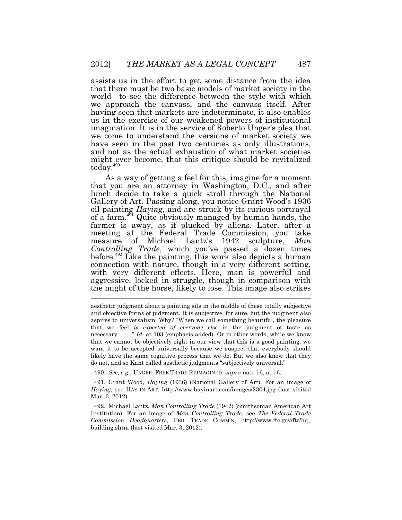assists us in the effort to get some distance from the idea that there must be two basic models of market society in the world—to see the difference between the style with which we approach the canvass, and the canvass itself. After having seen that markets are indeterminate, it also enables us in the exercise of our weakened powers of institutional imagination. It is in the service of Roberto Unger's plea that we come to understand the versions of market society we have seen in the past two centuries as only illustrations, and not as the actual exhaustion of what market societies might ever become, that this critique should be revitalized  $\mathrm{today.}^{490}$ 

As a way of getting a feel for this, imagine for a moment that you are an attorney in Washington, D.C., and after lunch decide to take a quick stroll through the National Gallery of Art. Passing along, you notice Grant Wood"s 1936 oil painting *Haying*, and are struck by its curious portrayal of a farm.<sup>491</sup> Quite obviously managed by human hands, the farmer is away, as if plucked by aliens. Later, after a meeting at the Federal Trade Commission, you take measure of Michael Lantz"s 1942 sculpture, *Man Controlling Trade*, which you"ve passed a dozen times before.<sup>492</sup> Like the painting, this work also depicts a human connection with nature, though in a very different setting, with very different effects. Here, man is powerful and aggressive, locked in struggle, though in comparison with the might of the horse, likely to lose. This image also strikes

490. *See, e.g.*, UNGER, FREE TRADE REIMAGINED, *supra* note 16, at 16.

491. Grant Wood, *Haying* (1936) (National Gallery of Art). For an image of *Haying*, see HAY IN ART, http://www.hayinart.com/images/2304.jpg (last visited Mar. 3, 2012).

492. Michael Lantz, *Man Controlling Trade* (1942) (Smithsonian American Art Institution). For an image of *Man Controlling Trade*, see *The Federal Trade Commission Headquarters*, FED. TRADE COMM"N, http://www.ftc.gov/ftc/hq\_ building.shtm (last visited Mar. 3, 2012).

aesthetic judgment about a painting sits in the middle of these totally subjective and objective forms of judgment. It is subjective, for sure, but the judgment also aspires to universalism. Why? "When we call something beautiful, the pleasure that we feel *is expected of everyone else* in the judgment of taste as necessary . . . ." *Id.* at 103 (emphasis added). Or in other words, while we know that we cannot be objectively right in our view that this is a good painting, we want it to be accepted universally because we suspect that everybody should likely have the same cognitive process that we do. But we also know that they do not, and so Kant called aesthetic judgments "subjectively universal."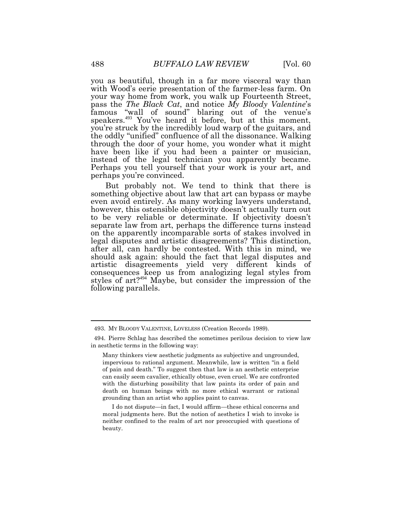you as beautiful, though in a far more visceral way than with Wood"s eerie presentation of the farmer-less farm. On your way home from work, you walk up Fourteenth Street, pass the *The Black Cat*, and notice *My Bloody Valentine*"s famous "wall of sound" blaring out of the venue's speakers.<sup>493</sup> You've heard it before, but at this moment, you"re struck by the incredibly loud warp of the guitars, and the oddly "unified" confluence of all the dissonance. Walking through the door of your home, you wonder what it might have been like if you had been a painter or musician, instead of the legal technician you apparently became. Perhaps you tell yourself that your work is your art, and perhaps you"re convinced.

But probably not. We tend to think that there is something objective about law that art can bypass or maybe even avoid entirely. As many working lawyers understand, however, this ostensible objectivity doesn't actually turn out to be very reliable or determinate. If objectivity doesn"t separate law from art, perhaps the difference turns instead on the apparently incomparable sorts of stakes involved in legal disputes and artistic disagreements? This distinction, after all, can hardly be contested. With this in mind, we should ask again: should the fact that legal disputes and artistic disagreements yield very different kinds of consequences keep us from analogizing legal styles from styles of art?<sup>494</sup> Maybe, but consider the impression of the following parallels.

<sup>493.</sup> MY BLOODY VALENTINE, LOVELESS (Creation Records 1989).

<sup>494.</sup> Pierre Schlag has described the sometimes perilous decision to view law in aesthetic terms in the following way:

Many thinkers view aesthetic judgments as subjective and ungrounded, impervious to rational argument. Meanwhile, law is written "in a field of pain and death." To suggest then that law is an aesthetic enterprise can easily seem cavalier, ethically obtuse, even cruel. We are confronted with the disturbing possibility that law paints its order of pain and death on human beings with no more ethical warrant or rational grounding than an artist who applies paint to canvas.

I do not dispute—in fact, I would affirm—these ethical concerns and moral judgments here. But the notion of aesthetics I wish to invoke is neither confined to the realm of art nor preoccupied with questions of beauty.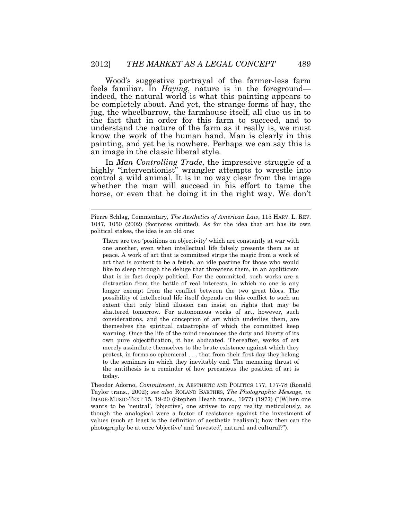Wood"s suggestive portrayal of the farmer-less farm feels familiar. In *Haying*, nature is in the foreground indeed, the natural world is what this painting appears to be completely about. And yet, the strange forms of hay, the jug, the wheelbarrow, the farmhouse itself, all clue us in to the fact that in order for this farm to succeed, and to understand the nature of the farm as it really is, we must know the work of the human hand. Man is clearly in this painting, and yet he is nowhere. Perhaps we can say this is an image in the classic liberal style.

In *Man Controlling Trade*, the impressive struggle of a highly "interventionist" wrangler attempts to wrestle into control a wild animal. It is in no way clear from the image whether the man will succeed in his effort to tame the horse, or even that he doing it in the right way. We don't

There are two "positions on objectivity" which are constantly at war with one another, even when intellectual life falsely presents them as at peace. A work of art that is committed strips the magic from a work of art that is content to be a fetish, an idle pastime for those who would like to sleep through the deluge that threatens them, in an apoliticism that is in fact deeply political. For the committed, such works are a distraction from the battle of real interests, in which no one is any longer exempt from the conflict between the two great blocs. The possibility of intellectual life itself depends on this conflict to such an extent that only blind illusion can insist on rights that may be shattered tomorrow. For autonomous works of art, however, such considerations, and the conception of art which underlies them, are themselves the spiritual catastrophe of which the committed keep warning. Once the life of the mind renounces the duty and liberty of its own pure objectification, it has abdicated. Thereafter, works of art merely assimilate themselves to the brute existence against which they protest, in forms so ephemeral . . . that from their first day they belong to the seminars in which they inevitably end. The menacing thrust of the antithesis is a reminder of how precarious the position of art is today.

Theodor Adorno, *Commitment*, *in* AESTHETIC AND POLITICS 177, 177-78 (Ronald Taylor trans., 2002); *see also* ROLAND BARTHES, *The Photographic Message*, *in* IMAGE-MUSIC-TEXT 15, 19-20 (Stephen Heath trans., 1977) (1977) ("[W]hen one wants to be 'neutral', 'objective', one strives to copy reality meticulously, as though the analogical were a factor of resistance against the investment of values (such at least is the definition of aesthetic "realism"); how then can the photography be at once "objective" and "invested", natural and cultural?").

Pierre Schlag, Commentary, *The Aesthetics of American Law*, 115 HARV. L. REV. 1047, 1050 (2002) (footnotes omitted). As for the idea that art has its own political stakes, the idea is an old one: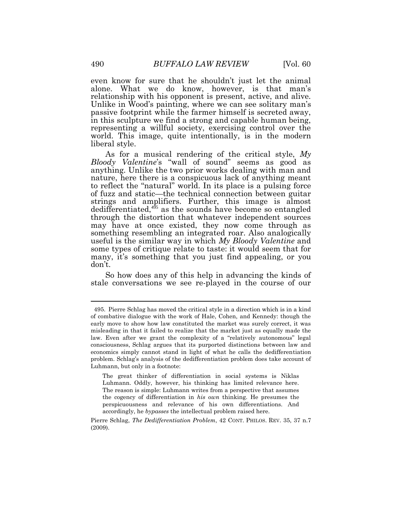even know for sure that he shouldn"t just let the animal alone. What we do know, however, is that man"s relationship with his opponent is present, active, and alive. Unlike in Wood's painting, where we can see solitary man's passive footprint while the farmer himself is secreted away, in this sculpture we find a strong and capable human being, representing a willful society, exercising control over the world. This image, quite intentionally, is in the modern liberal style.

As for a musical rendering of the critical style, *My Bloody Valentine*"s "wall of sound" seems as good as anything. Unlike the two prior works dealing with man and nature, here there is a conspicuous lack of anything meant to reflect the "natural" world. In its place is a pulsing force of fuzz and static—the technical connection between guitar strings and amplifiers. Further, this image is almost dedifferentiated,<sup>455</sup> as the sounds have become so entangled through the distortion that whatever independent sources may have at once existed, they now come through as something resembling an integrated roar. Also analogically useful is the similar way in which *My Bloody Valentine* and some types of critique relate to taste: it would seem that for many, it's something that you just find appealing, or you don"t.

So how does any of this help in advancing the kinds of stale conversations we see re-played in the course of our

<sup>495.</sup> Pierre Schlag has moved the critical style in a direction which is in a kind of combative dialogue with the work of Hale, Cohen, and Kennedy: though the early move to show how law constituted the market was surely correct, it was misleading in that it failed to realize that the market just as equally made the law. Even after we grant the complexity of a "relatively autonomous" legal consciousness, Schlag argues that its purported distinctions between law and economics simply cannot stand in light of what he calls the dedifferentiation problem. Schlag"s analysis of the dedifferentiation problem does take account of Luhmann, but only in a footnote:

The great thinker of differentiation in social systems is Niklas Luhmann. Oddly, however, his thinking has limited relevance here. The reason is simple: Luhmann writes from a perspective that assumes the cogency of differentiation in *his own* thinking. He presumes the perspicuousness and relevance of his own differentiations. And accordingly, he *bypasses* the intellectual problem raised here.

Pierre Schlag, *The Dedifferentiation Problem*, 42 CONT. PHILOS. REV. 35, 37 n.7 (2009).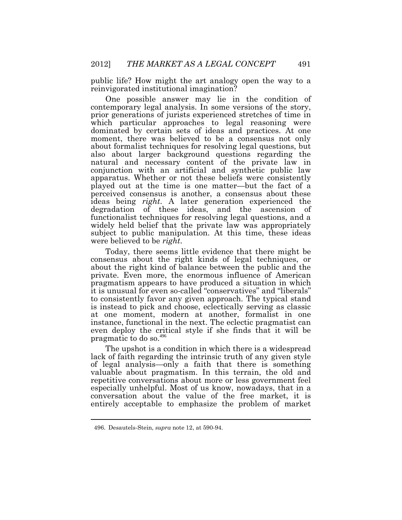public life? How might the art analogy open the way to a reinvigorated institutional imagination?

One possible answer may lie in the condition of contemporary legal analysis. In some versions of the story, prior generations of jurists experienced stretches of time in which particular approaches to legal reasoning were dominated by certain sets of ideas and practices. At one moment, there was believed to be a consensus not only about formalist techniques for resolving legal questions, but also about larger background questions regarding the natural and necessary content of the private law in conjunction with an artificial and synthetic public law apparatus. Whether or not these beliefs were consistently played out at the time is one matter—but the fact of a perceived consensus is another, a consensus about these ideas being *right*. A later generation experienced the degradation of these ideas, and the ascension of functionalist techniques for resolving legal questions, and a widely held belief that the private law was appropriately subject to public manipulation. At this time, these ideas were believed to be *right*.

Today, there seems little evidence that there might be consensus about the right kinds of legal techniques, or about the right kind of balance between the public and the private. Even more, the enormous influence of American pragmatism appears to have produced a situation in which it is unusual for even so-called "conservatives" and "liberals" to consistently favor any given approach. The typical stand is instead to pick and choose, eclectically serving as classic at one moment, modern at another, formalist in one instance, functional in the next. The eclectic pragmatist can even deploy the critical style if she finds that it will be pragmatic to do so.<sup>496</sup>

The upshot is a condition in which there is a widespread lack of faith regarding the intrinsic truth of any given style of legal analysis—only a faith that there is something valuable about pragmatism. In this terrain, the old and repetitive conversations about more or less government feel especially unhelpful. Most of us know, nowadays, that in a conversation about the value of the free market, it is entirely acceptable to emphasize the problem of market

<sup>496.</sup> Desautels-Stein, *supra* note 12, at 590-94.